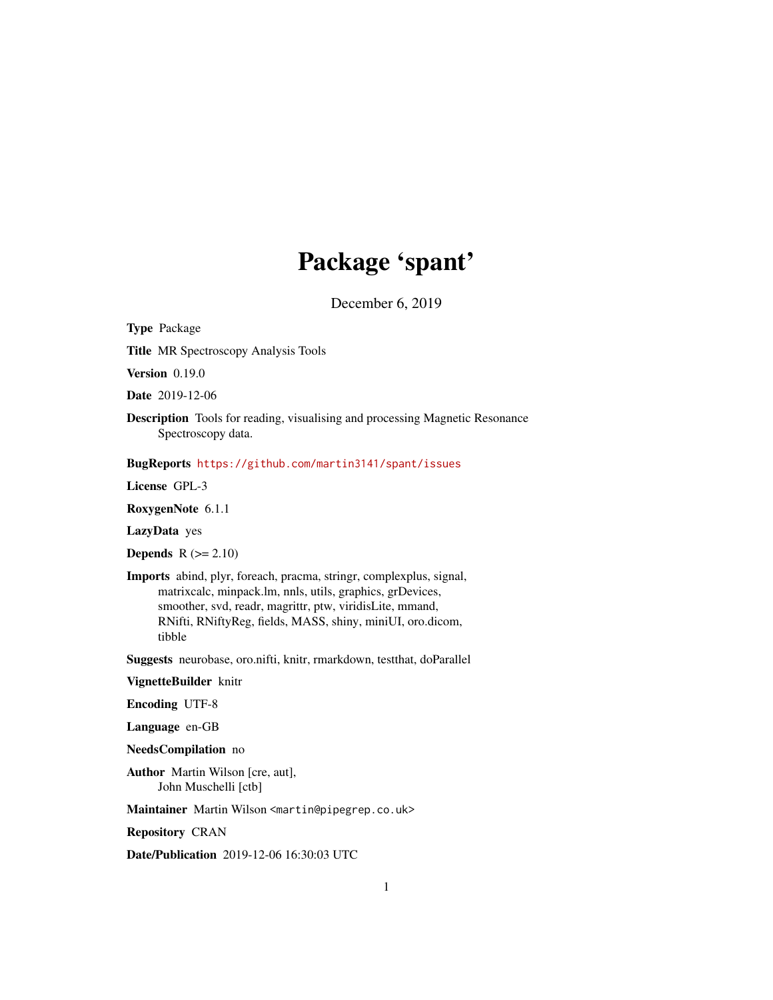# Package 'spant'

December 6, 2019

Type Package

Title MR Spectroscopy Analysis Tools

Version 0.19.0

Date 2019-12-06

Description Tools for reading, visualising and processing Magnetic Resonance Spectroscopy data.

BugReports <https://github.com/martin3141/spant/issues>

License GPL-3

RoxygenNote 6.1.1

LazyData yes

**Depends**  $R$  ( $>= 2.10$ )

Imports abind, plyr, foreach, pracma, stringr, complexplus, signal, matrixcalc, minpack.lm, nnls, utils, graphics, grDevices, smoother, svd, readr, magrittr, ptw, viridisLite, mmand, RNifti, RNiftyReg, fields, MASS, shiny, miniUI, oro.dicom, tibble

Suggests neurobase, oro.nifti, knitr, rmarkdown, testthat, doParallel

VignetteBuilder knitr

Encoding UTF-8

Language en-GB

NeedsCompilation no

Author Martin Wilson [cre, aut], John Muschelli [ctb]

Maintainer Martin Wilson <martin@pipegrep.co.uk>

Repository CRAN

Date/Publication 2019-12-06 16:30:03 UTC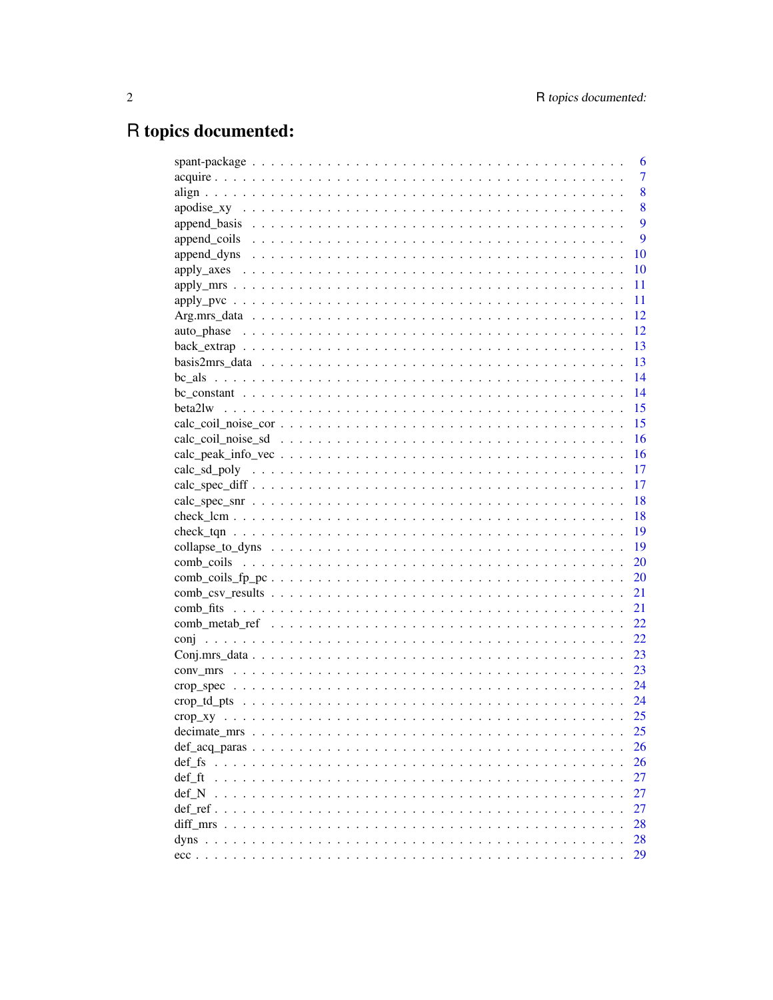# R topics documented:

|        | 6              |
|--------|----------------|
|        | $\overline{7}$ |
|        | 8              |
|        | 8              |
|        | 9              |
|        | 9              |
|        | 10             |
|        | 10             |
|        | 11             |
|        | 11             |
|        | 12             |
|        | 12             |
|        | 13             |
|        | 13             |
|        | 14             |
|        | 14             |
|        | 15             |
|        |                |
|        |                |
|        |                |
|        |                |
|        | 17             |
|        |                |
|        |                |
|        |                |
|        | - 19           |
|        |                |
|        | 20             |
|        | 21             |
|        |                |
|        |                |
|        | 22             |
|        | 23             |
|        | 23             |
|        |                |
|        |                |
|        | 25             |
|        | 25             |
|        | 26             |
| def fs | 26             |
| def ft | 27             |
| def N  | 27             |
|        | 27             |
|        | 28             |
| dyns   | 28             |
|        | 29             |
|        |                |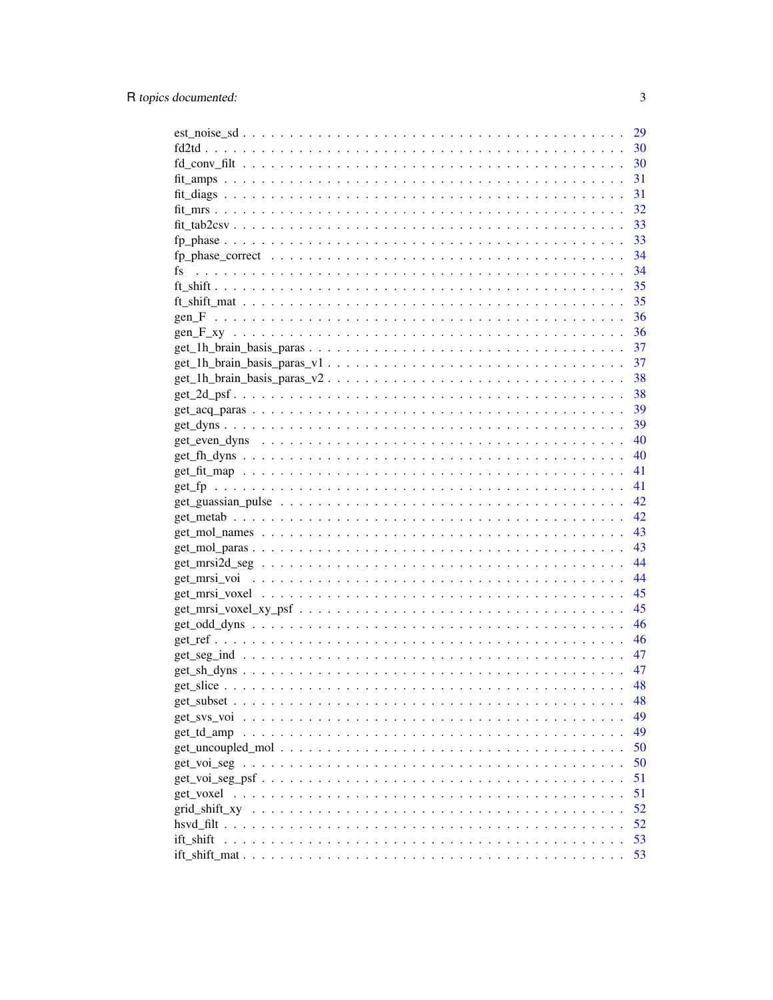| $est\_noise\_sd \ldots \ldots \ldots \ldots \ldots \ldots \ldots \ldots \ldots \ldots \ldots \ldots \ldots$ | 29 |
|-------------------------------------------------------------------------------------------------------------|----|
|                                                                                                             |    |
|                                                                                                             |    |
|                                                                                                             |    |
|                                                                                                             | 31 |
|                                                                                                             |    |
|                                                                                                             |    |
|                                                                                                             |    |
|                                                                                                             |    |
| fs                                                                                                          |    |
|                                                                                                             |    |
|                                                                                                             |    |
|                                                                                                             |    |
|                                                                                                             |    |
|                                                                                                             |    |
|                                                                                                             |    |
|                                                                                                             | 38 |
|                                                                                                             | 38 |
|                                                                                                             | 39 |
|                                                                                                             |    |
|                                                                                                             | 40 |
|                                                                                                             | 40 |
|                                                                                                             | 41 |
|                                                                                                             | 41 |
| $get\_guassian\_pulse \ldots \ldots \ldots \ldots \ldots \ldots \ldots \ldots \ldots \ldots \ldots$         | 42 |
|                                                                                                             | 42 |
|                                                                                                             | 43 |
|                                                                                                             |    |
|                                                                                                             | 43 |
|                                                                                                             | 44 |
|                                                                                                             | 44 |
|                                                                                                             | 45 |
|                                                                                                             | 45 |
|                                                                                                             | 46 |
|                                                                                                             | 46 |
|                                                                                                             |    |
|                                                                                                             | 47 |
|                                                                                                             | 48 |
|                                                                                                             | 48 |
| get sys voi                                                                                                 | 49 |
|                                                                                                             | 49 |
|                                                                                                             | 50 |
|                                                                                                             | 50 |
|                                                                                                             | 51 |
| get_voxel                                                                                                   | 51 |
|                                                                                                             | 52 |
|                                                                                                             | 52 |
| ift shift                                                                                                   | 53 |
|                                                                                                             | 53 |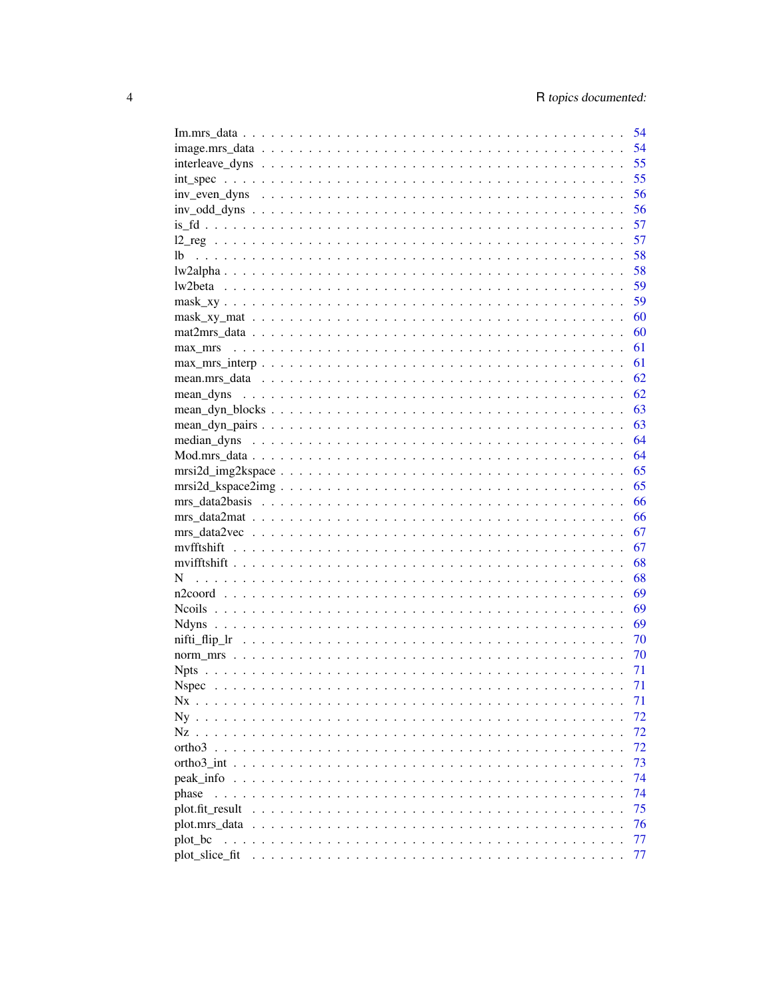|                                                                                                                         | 54       |  |
|-------------------------------------------------------------------------------------------------------------------------|----------|--|
|                                                                                                                         | 54       |  |
|                                                                                                                         | 55       |  |
|                                                                                                                         | 55       |  |
|                                                                                                                         | 56       |  |
|                                                                                                                         | 56       |  |
|                                                                                                                         | 57       |  |
|                                                                                                                         | 57       |  |
|                                                                                                                         | 58       |  |
|                                                                                                                         | 58       |  |
|                                                                                                                         | 59       |  |
|                                                                                                                         | 59       |  |
|                                                                                                                         | 60       |  |
|                                                                                                                         | 60       |  |
|                                                                                                                         | 61       |  |
| $\text{max\_mrs\_interp } \ldots \ldots \ldots \ldots \ldots \ldots \ldots \ldots \ldots \ldots \ldots \ldots \ldots$   | 61       |  |
|                                                                                                                         | 62       |  |
| mean dyns $\dots \dots \dots \dots \dots \dots \dots \dots \dots \dots \dots \dots \dots \dots \dots \dots \dots \dots$ | 62       |  |
|                                                                                                                         | 63       |  |
|                                                                                                                         | 63       |  |
|                                                                                                                         | 64       |  |
|                                                                                                                         |          |  |
| $msi2d\_img2kspace \ldots \ldots \ldots \ldots \ldots \ldots \ldots \ldots \ldots \ldots \ldots \ldots \ldots$          | 65       |  |
|                                                                                                                         | 65       |  |
|                                                                                                                         | - 66     |  |
|                                                                                                                         |          |  |
| $mrs\_data2vec \dots \dots \dots \dots \dots \dots \dots \dots \dots \dots \dots \dots \dots \dots \dots \dots$         | 67       |  |
|                                                                                                                         | 67       |  |
|                                                                                                                         | 68       |  |
|                                                                                                                         | 68       |  |
|                                                                                                                         | - 69     |  |
|                                                                                                                         | - 69     |  |
|                                                                                                                         | - 69     |  |
|                                                                                                                         |          |  |
|                                                                                                                         | - 70     |  |
|                                                                                                                         |          |  |
|                                                                                                                         | 71<br>71 |  |
|                                                                                                                         |          |  |
| Nx                                                                                                                      | 71       |  |
| $Nv$<br>$\mathbf{r}$ , $\mathbf{r}$ , $\mathbf{r}$ , $\mathbf{r}$ , $\mathbf{r}$ , $\mathbf{r}$ , $\mathbf{r}$          | 72       |  |
|                                                                                                                         | 72       |  |
|                                                                                                                         | 72       |  |
|                                                                                                                         | 73       |  |
|                                                                                                                         | 74       |  |
| phase                                                                                                                   | 74       |  |
|                                                                                                                         | 75       |  |
|                                                                                                                         | 76       |  |
| plot_bc                                                                                                                 | 77       |  |
| plot slice fit                                                                                                          | 77       |  |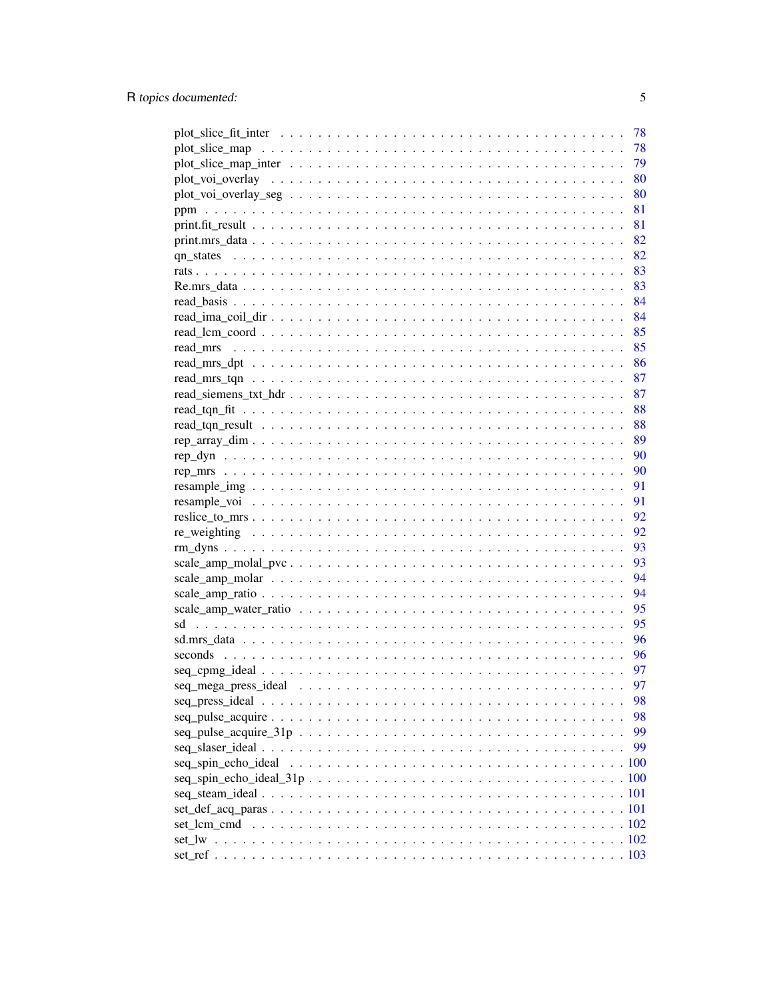|                                                                                                              | 78 |
|--------------------------------------------------------------------------------------------------------------|----|
|                                                                                                              | 78 |
|                                                                                                              | 79 |
|                                                                                                              | 80 |
|                                                                                                              | 80 |
|                                                                                                              | 81 |
|                                                                                                              | 81 |
|                                                                                                              | 82 |
|                                                                                                              | 82 |
|                                                                                                              | 83 |
|                                                                                                              |    |
|                                                                                                              |    |
|                                                                                                              |    |
|                                                                                                              |    |
|                                                                                                              |    |
|                                                                                                              |    |
|                                                                                                              | 87 |
|                                                                                                              | 87 |
|                                                                                                              | 88 |
|                                                                                                              | 88 |
|                                                                                                              |    |
|                                                                                                              | 89 |
|                                                                                                              | 90 |
|                                                                                                              | 90 |
|                                                                                                              | 91 |
|                                                                                                              | 91 |
|                                                                                                              | 92 |
|                                                                                                              | 92 |
|                                                                                                              | 93 |
|                                                                                                              | 93 |
|                                                                                                              | 94 |
|                                                                                                              | 94 |
|                                                                                                              | 95 |
|                                                                                                              | 95 |
|                                                                                                              | 96 |
|                                                                                                              | 96 |
| $seq_cppng_ideal \ldots \ldots \ldots \ldots \ldots \ldots \ldots \ldots \ldots \ldots \ldots \ldots \ldots$ | 97 |
|                                                                                                              | 97 |
|                                                                                                              | 98 |
|                                                                                                              | 98 |
|                                                                                                              | 99 |
|                                                                                                              | 99 |
|                                                                                                              |    |
|                                                                                                              |    |
|                                                                                                              |    |
|                                                                                                              |    |
|                                                                                                              |    |
|                                                                                                              |    |
|                                                                                                              |    |
|                                                                                                              |    |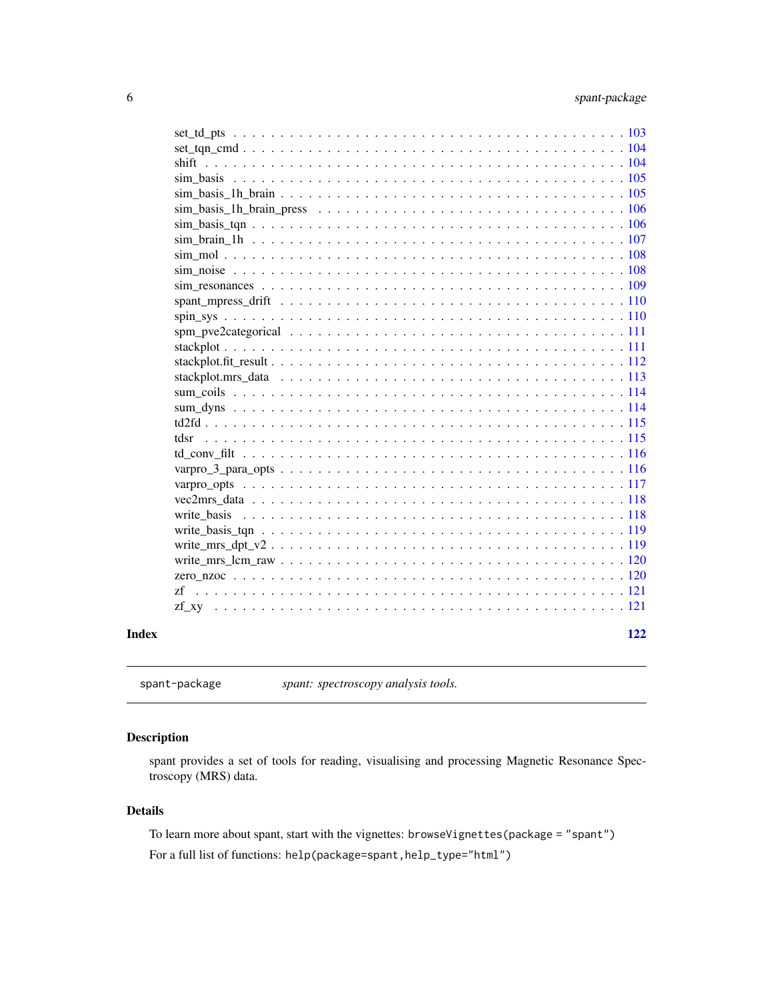<span id="page-5-0"></span>

| Index | 122 |
|-------|-----|
|       |     |
|       |     |
|       |     |
|       |     |
|       |     |
|       |     |
|       |     |
|       |     |
|       |     |
|       |     |
|       |     |
|       |     |
|       |     |
|       |     |
|       |     |
|       |     |
|       |     |
|       |     |
|       |     |
|       |     |
|       |     |
|       |     |
|       |     |
|       |     |
|       |     |
|       |     |
|       |     |
|       |     |
|       |     |
|       |     |
|       |     |
|       |     |

spant-package *spant: spectroscopy analysis tools.*

# Description

spant provides a set of tools for reading, visualising and processing Magnetic Resonance Spectroscopy (MRS) data.

# Details

To learn more about spant, start with the vignettes: browseVignettes(package = "spant") For a full list of functions: help(package=spant,help\_type="html")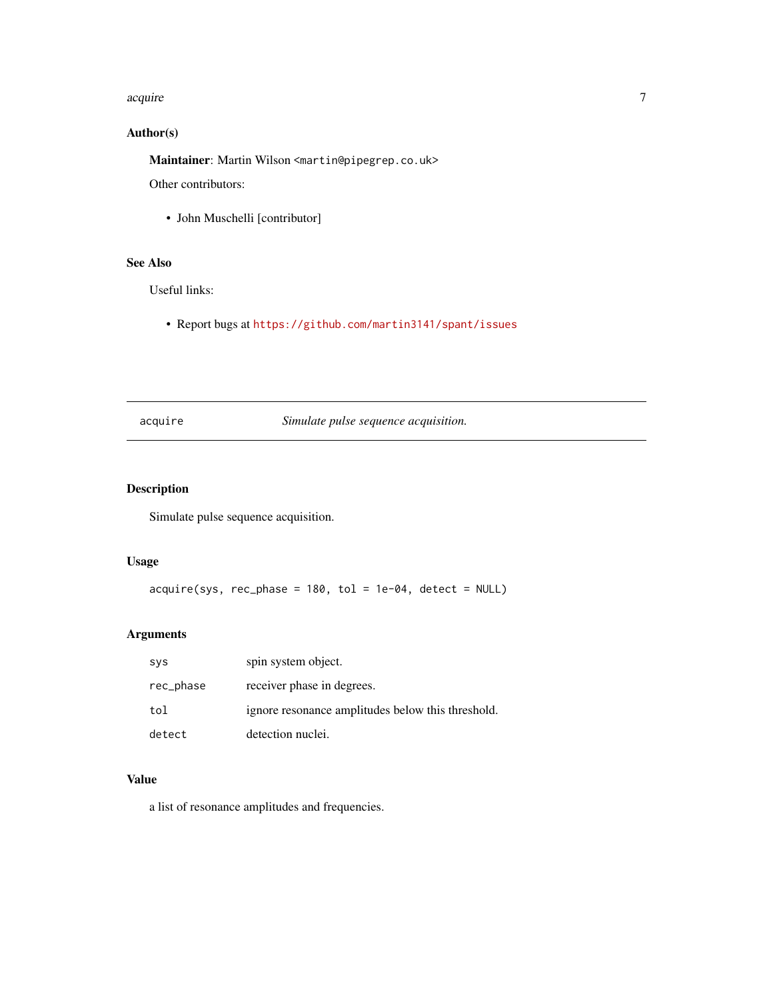#### <span id="page-6-0"></span>acquire to the contract of the contract of the contract of the contract of the contract of the contract of the contract of the contract of the contract of the contract of the contract of the contract of the contract of the

# Author(s)

Maintainer: Martin Wilson <martin@pipegrep.co.uk>

Other contributors:

• John Muschelli [contributor]

# See Also

Useful links:

• Report bugs at <https://github.com/martin3141/spant/issues>

acquire *Simulate pulse sequence acquisition.*

# Description

Simulate pulse sequence acquisition.

#### Usage

 $acquire(sys, rec-phase = 180, tol = 1e-04, detect = NULL)$ 

# Arguments

| sys       | spin system object.                               |
|-----------|---------------------------------------------------|
| rec_phase | receiver phase in degrees.                        |
| tol       | ignore resonance amplitudes below this threshold. |
| detect    | detection nuclei.                                 |

# Value

a list of resonance amplitudes and frequencies.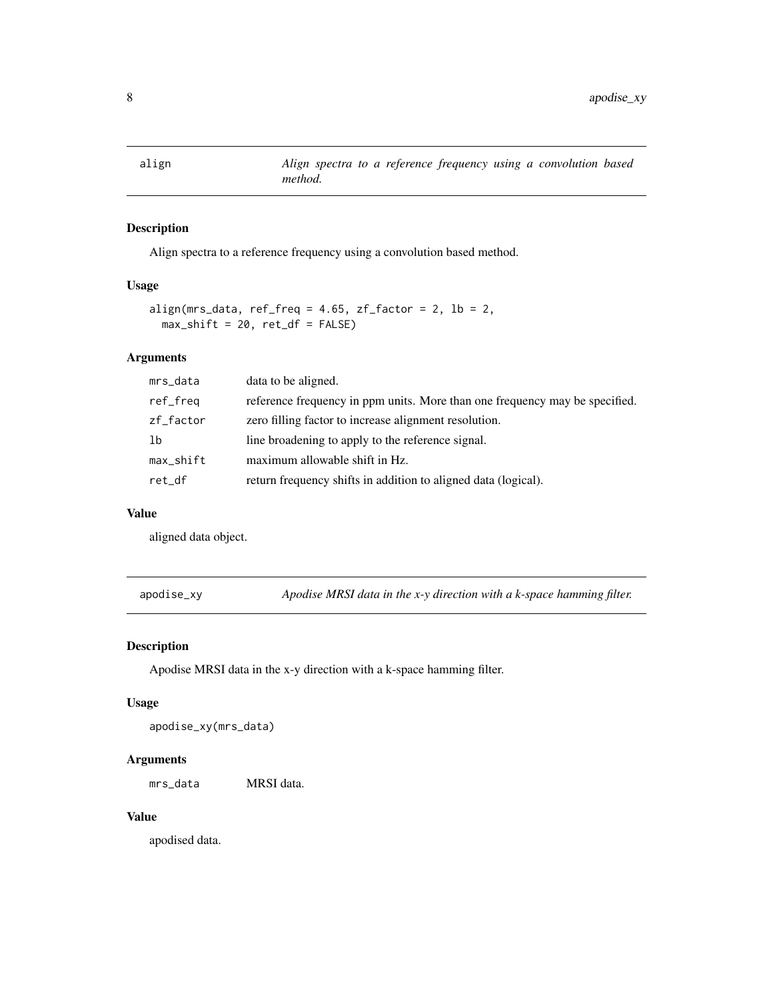<span id="page-7-0"></span>

Align spectra to a reference frequency using a convolution based method.

#### Usage

```
align(mrs_data, ref_freq = 4.65, zf<sup>f</sup>actor = 2, lb = 2,
 max\_shift = 20, ret\_df = FALSE
```
## Arguments

| data to be aligned.<br>mrs_data                                                         |  |
|-----------------------------------------------------------------------------------------|--|
| reference frequency in ppm units. More than one frequency may be specified.<br>ref_freq |  |
| zero filling factor to increase alignment resolution.<br>zf_factor                      |  |
| line broadening to apply to the reference signal.<br>1b                                 |  |
| maximum allowable shift in Hz.<br>$max$ _shift                                          |  |
| return frequency shifts in addition to aligned data (logical).<br>ret df                |  |

#### Value

aligned data object.

apodise\_xy *Apodise MRSI data in the x-y direction with a k-space hamming filter.*

#### Description

Apodise MRSI data in the x-y direction with a k-space hamming filter.

#### Usage

apodise\_xy(mrs\_data)

#### Arguments

mrs\_data MRSI data.

#### Value

apodised data.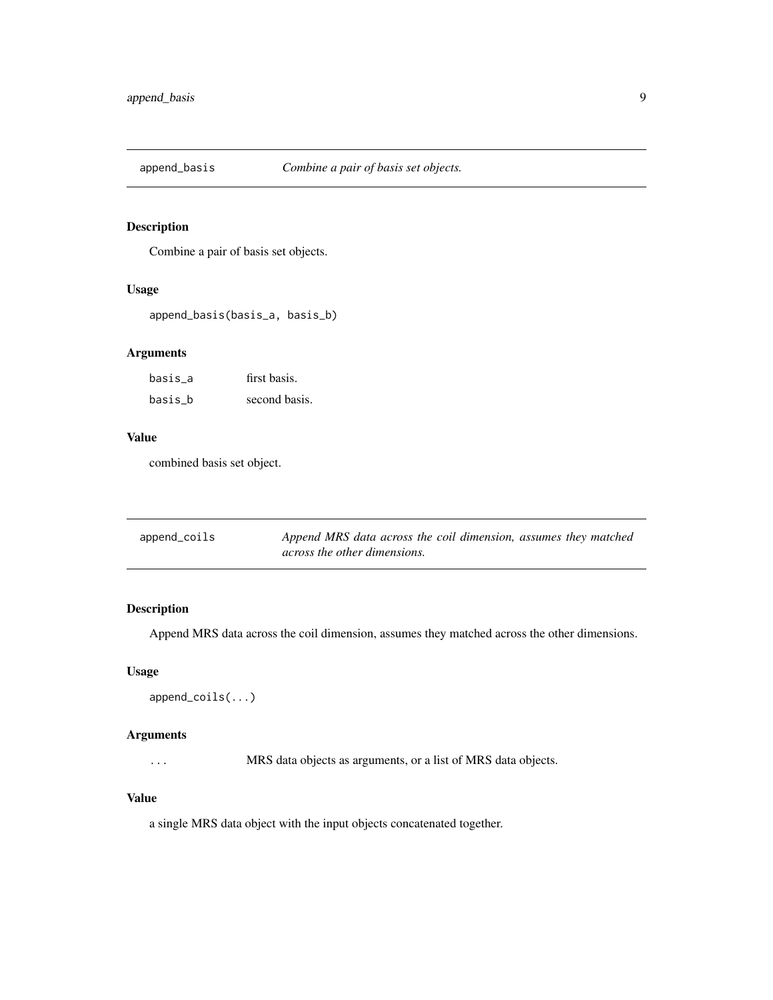<span id="page-8-0"></span>

Combine a pair of basis set objects.

#### Usage

append\_basis(basis\_a, basis\_b)

#### Arguments

| basis a | first basis.  |  |
|---------|---------------|--|
| basis b | second basis. |  |

# Value

combined basis set object.

| append_coils | Append MRS data across the coil dimension, assumes they matched |
|--------------|-----------------------------------------------------------------|
|              | across the other dimensions.                                    |

# Description

Append MRS data across the coil dimension, assumes they matched across the other dimensions.

#### Usage

```
append_coils(...)
```
#### Arguments

... MRS data objects as arguments, or a list of MRS data objects.

#### Value

a single MRS data object with the input objects concatenated together.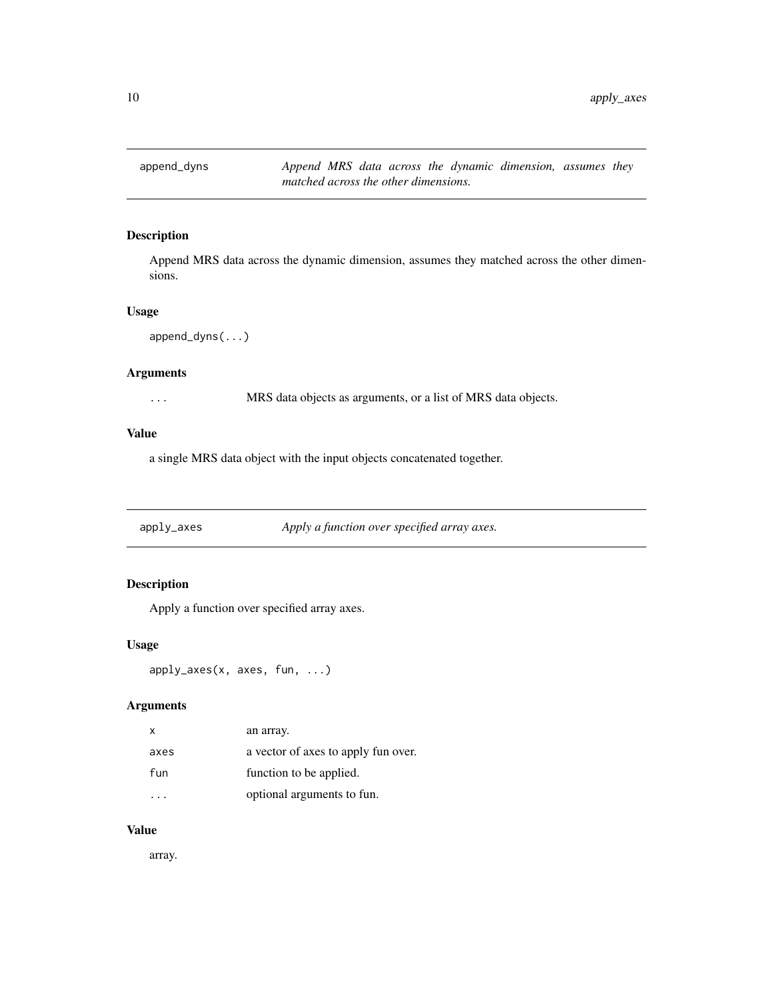<span id="page-9-0"></span>

Append MRS data across the dynamic dimension, assumes they matched across the other dimensions.

#### Usage

```
append_dyns(...)
```
#### Arguments

... MRS data objects as arguments, or a list of MRS data objects.

#### Value

a single MRS data object with the input objects concatenated together.

apply\_axes *Apply a function over specified array axes.*

# Description

Apply a function over specified array axes.

#### Usage

```
apply_axes(x, axes, fun, ...)
```
# Arguments

| x    | an array.                           |
|------|-------------------------------------|
| axes | a vector of axes to apply fun over. |
| fun  | function to be applied.             |
|      | optional arguments to fun.          |

#### Value

array.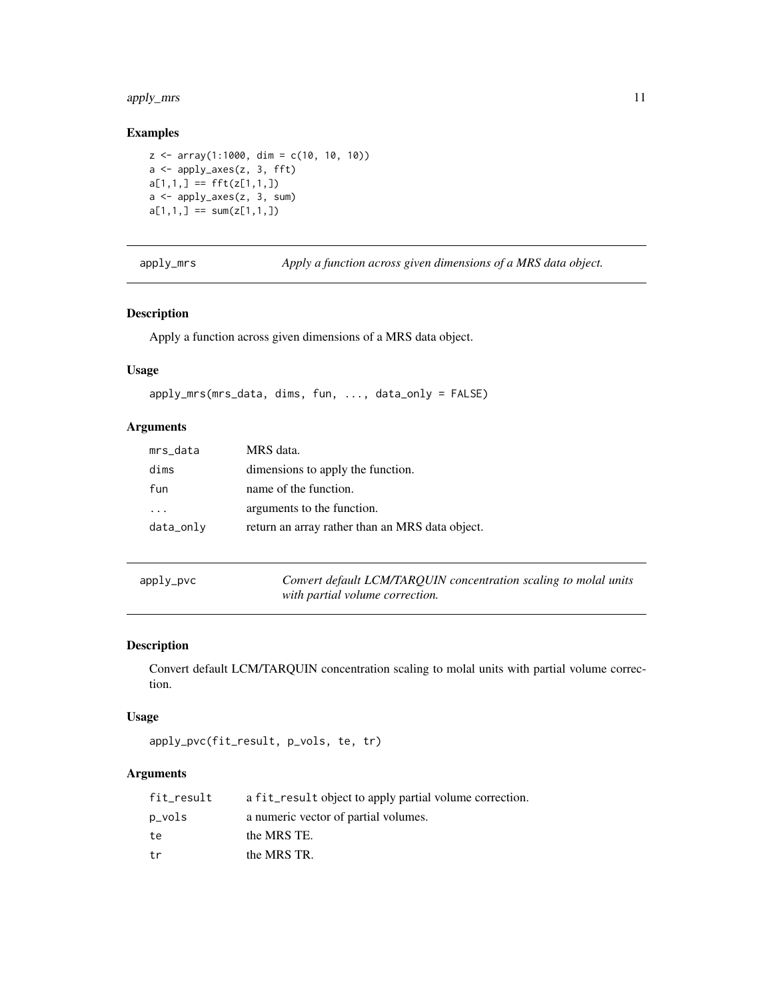#### <span id="page-10-0"></span>apply\_mrs 11

#### Examples

```
z \le -\arctan(1:1000, \, \text{dim} = \text{c}(10, 10, 10))a <- apply_axes(z, 3, fft)
a[1,1,] == fft(z[1,1,])a <- apply_axes(z, 3, sum)
a[1,1,] == sum(z[1,1,])
```
apply\_mrs *Apply a function across given dimensions of a MRS data object.*

#### Description

Apply a function across given dimensions of a MRS data object.

#### Usage

```
apply_mrs(mrs_data, dims, fun, ..., data_only = FALSE)
```
#### Arguments

| mrs_data  | MRS data.                                       |
|-----------|-------------------------------------------------|
| dims      | dimensions to apply the function.               |
| fun       | name of the function.                           |
| .         | arguments to the function.                      |
| data_only | return an array rather than an MRS data object. |

|  | apply_pvc |  |  |
|--|-----------|--|--|
|--|-----------|--|--|

ly\_pvc *Convert default LCM/TARQUIN concentration scaling to molal units with partial volume correction.*

# Description

Convert default LCM/TARQUIN concentration scaling to molal units with partial volume correction.

#### Usage

```
apply_pvc(fit_result, p_vols, te, tr)
```
#### Arguments

| fit_result | a fit_result object to apply partial volume correction. |
|------------|---------------------------------------------------------|
| p_vols     | a numeric vector of partial volumes.                    |
| te         | the MRS TE.                                             |
| tr         | the MRS TR.                                             |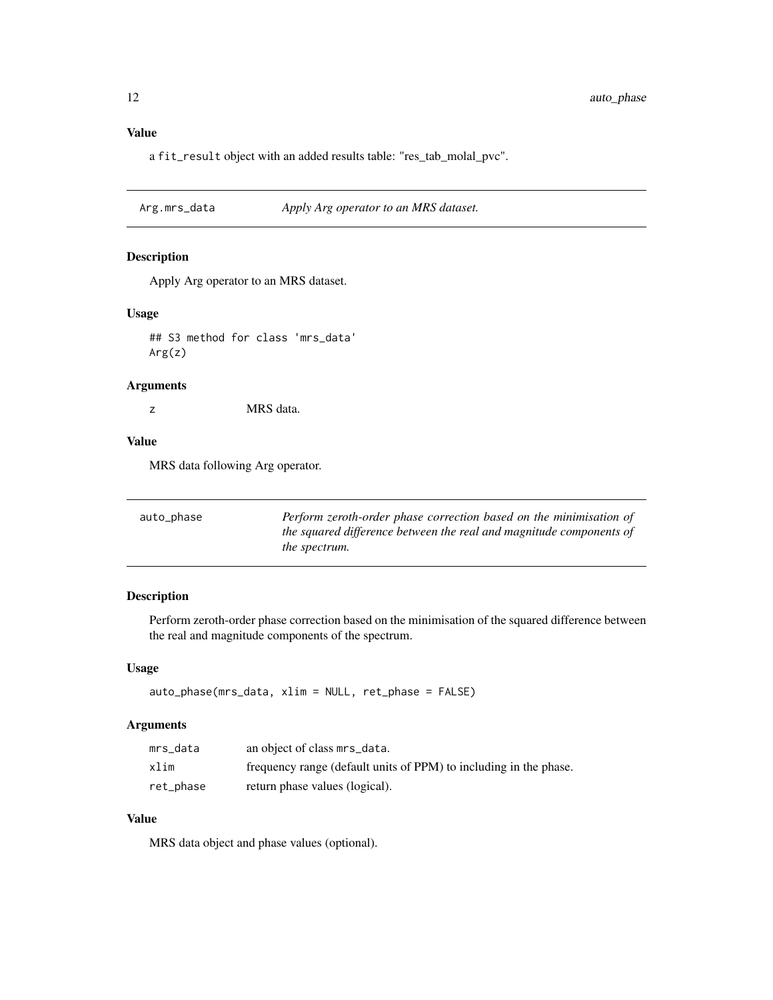# <span id="page-11-0"></span>Value

a fit\_result object with an added results table: "res\_tab\_molal\_pvc".

Arg.mrs\_data *Apply Arg operator to an MRS dataset.*

#### Description

Apply Arg operator to an MRS dataset.

#### Usage

## S3 method for class 'mrs\_data' Arg(z)

#### Arguments

z MRS data.

#### Value

MRS data following Arg operator.

| auto_phase | Perform zeroth-order phase correction based on the minimisation of  |
|------------|---------------------------------------------------------------------|
|            | the squared difference between the real and magnitude components of |
|            | <i>the spectrum.</i>                                                |

# Description

Perform zeroth-order phase correction based on the minimisation of the squared difference between the real and magnitude components of the spectrum.

#### Usage

```
auto_phase(mrs_data, xlim = NULL, ret_phase = FALSE)
```
#### Arguments

| mrs_data  | an object of class mrs_data.                                      |
|-----------|-------------------------------------------------------------------|
| xlim      | frequency range (default units of PPM) to including in the phase. |
| ret_phase | return phase values (logical).                                    |

#### Value

MRS data object and phase values (optional).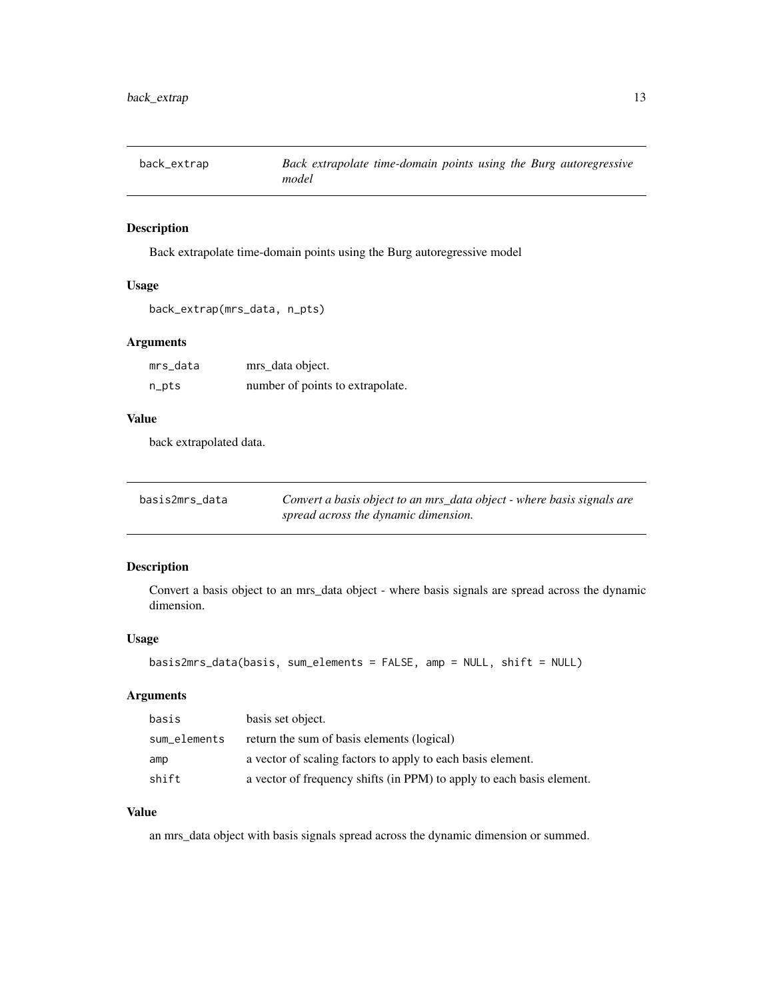<span id="page-12-0"></span>

Back extrapolate time-domain points using the Burg autoregressive model

#### Usage

```
back_extrap(mrs_data, n_pts)
```
# Arguments

| mrs_data | mrs_data object.                 |
|----------|----------------------------------|
| n_pts    | number of points to extrapolate. |

#### Value

back extrapolated data.

| basis2mrs data | Convert a basis object to an mrs_data object - where basis signals are |
|----------------|------------------------------------------------------------------------|
|                | spread across the dynamic dimension.                                   |

#### Description

Convert a basis object to an mrs\_data object - where basis signals are spread across the dynamic dimension.

#### Usage

```
basis2mrs_data(basis, sum_elements = FALSE, amp = NULL, shift = NULL)
```
#### Arguments

| basis        | basis set object.                                                     |
|--------------|-----------------------------------------------------------------------|
| sum_elements | return the sum of basis elements (logical)                            |
| amp          | a vector of scaling factors to apply to each basis element.           |
| shift        | a vector of frequency shifts (in PPM) to apply to each basis element. |

# Value

an mrs\_data object with basis signals spread across the dynamic dimension or summed.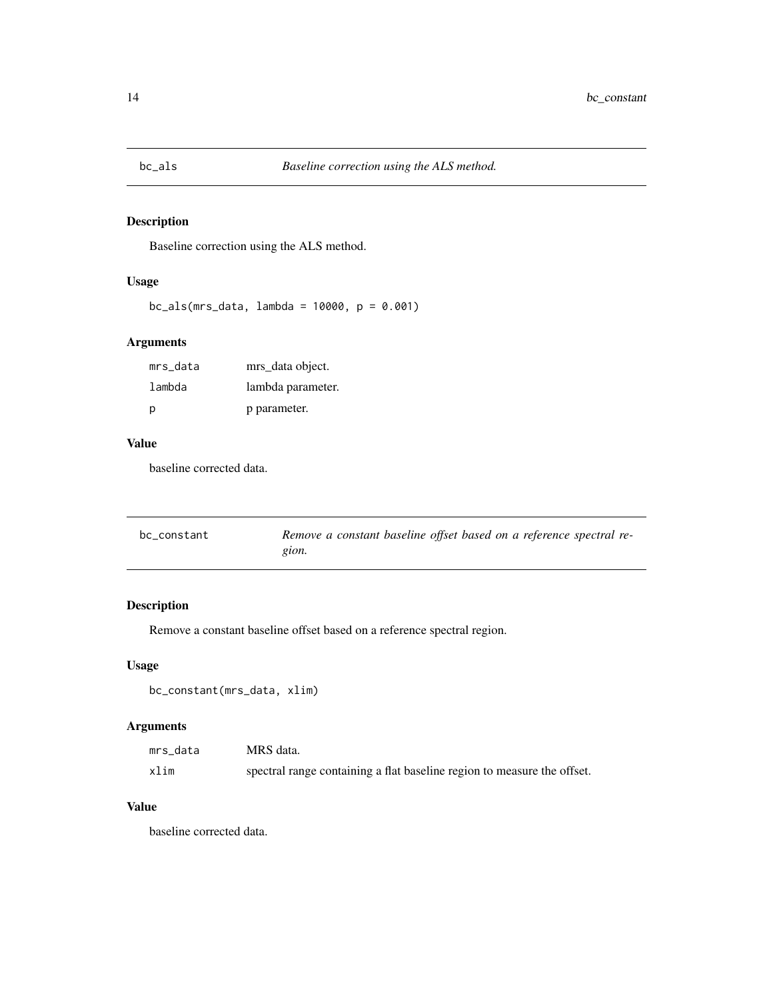<span id="page-13-0"></span>

Baseline correction using the ALS method.

#### Usage

bc\_als(mrs\_data, lambda = 10000, p = 0.001)

# Arguments

| mrs_data | mrs data object.  |
|----------|-------------------|
| lambda   | lambda parameter. |
| p        | p parameter.      |

#### Value

baseline corrected data.

| bc constant | Remove a constant baseline offset based on a reference spectral re- |
|-------------|---------------------------------------------------------------------|
|             | gion.                                                               |

# Description

Remove a constant baseline offset based on a reference spectral region.

#### Usage

```
bc_constant(mrs_data, xlim)
```
#### Arguments

| mrs data | MRS data.                                                               |
|----------|-------------------------------------------------------------------------|
| xlim     | spectral range containing a flat baseline region to measure the offset. |

# Value

baseline corrected data.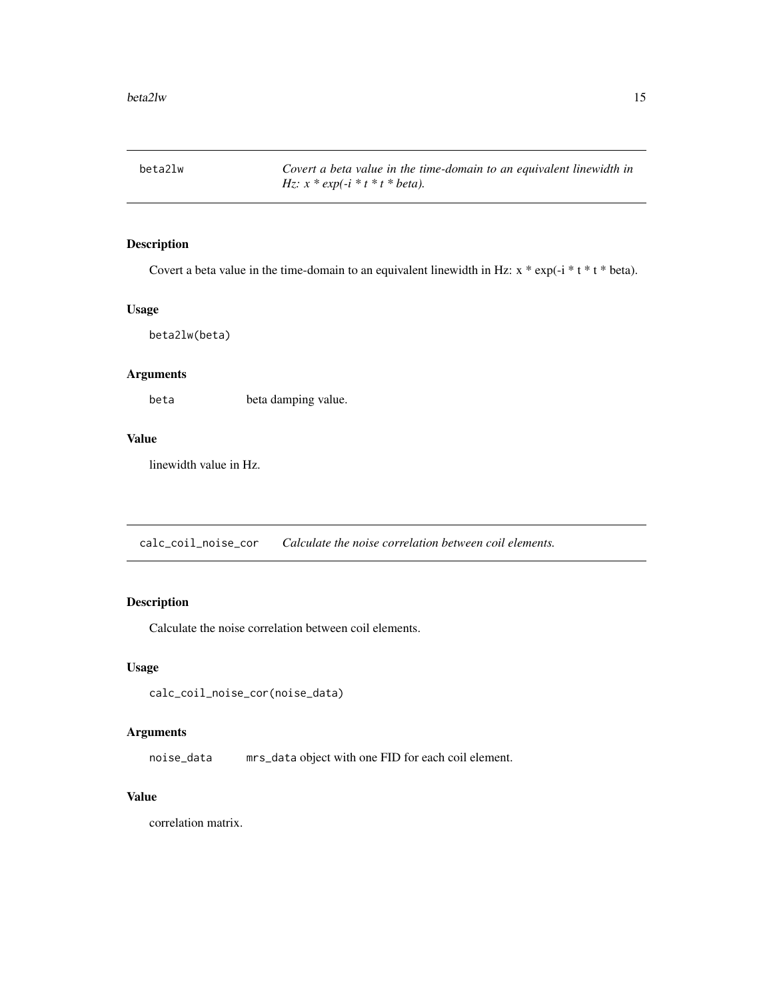<span id="page-14-0"></span>beta2lw *Covert a beta value in the time-domain to an equivalent linewidth in Hz: x \* exp(-i \* t \* t \* beta).*

#### Description

Covert a beta value in the time-domain to an equivalent linewidth in Hz:  $x * exp(-i * t * t * beta)$ .

#### Usage

beta2lw(beta)

#### Arguments

beta beta damping value.

#### Value

linewidth value in Hz.

calc\_coil\_noise\_cor *Calculate the noise correlation between coil elements.*

#### Description

Calculate the noise correlation between coil elements.

#### Usage

```
calc_coil_noise_cor(noise_data)
```
#### Arguments

noise\_data mrs\_data object with one FID for each coil element.

#### Value

correlation matrix.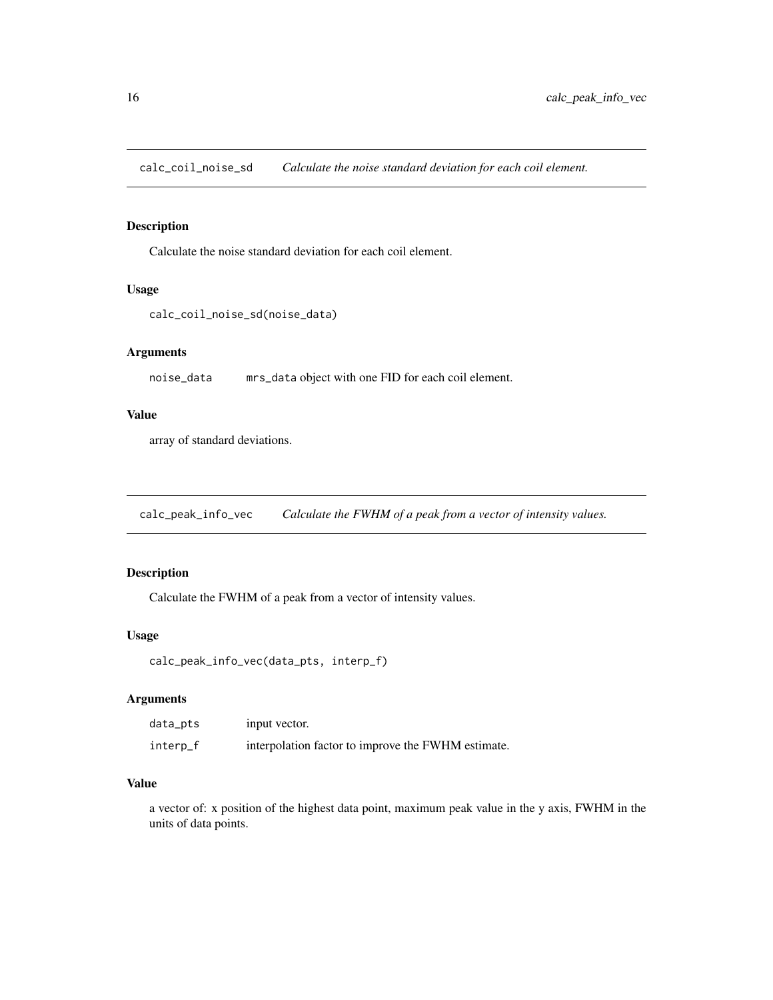<span id="page-15-0"></span>calc\_coil\_noise\_sd *Calculate the noise standard deviation for each coil element.*

#### Description

Calculate the noise standard deviation for each coil element.

#### Usage

```
calc_coil_noise_sd(noise_data)
```
#### Arguments

noise\_data mrs\_data object with one FID for each coil element.

#### Value

array of standard deviations.

calc\_peak\_info\_vec *Calculate the FWHM of a peak from a vector of intensity values.*

#### Description

Calculate the FWHM of a peak from a vector of intensity values.

#### Usage

```
calc_peak_info_vec(data_pts, interp_f)
```
#### Arguments

| data_pts | input vector.                                      |
|----------|----------------------------------------------------|
| interp_f | interpolation factor to improve the FWHM estimate. |

#### Value

a vector of: x position of the highest data point, maximum peak value in the y axis, FWHM in the units of data points.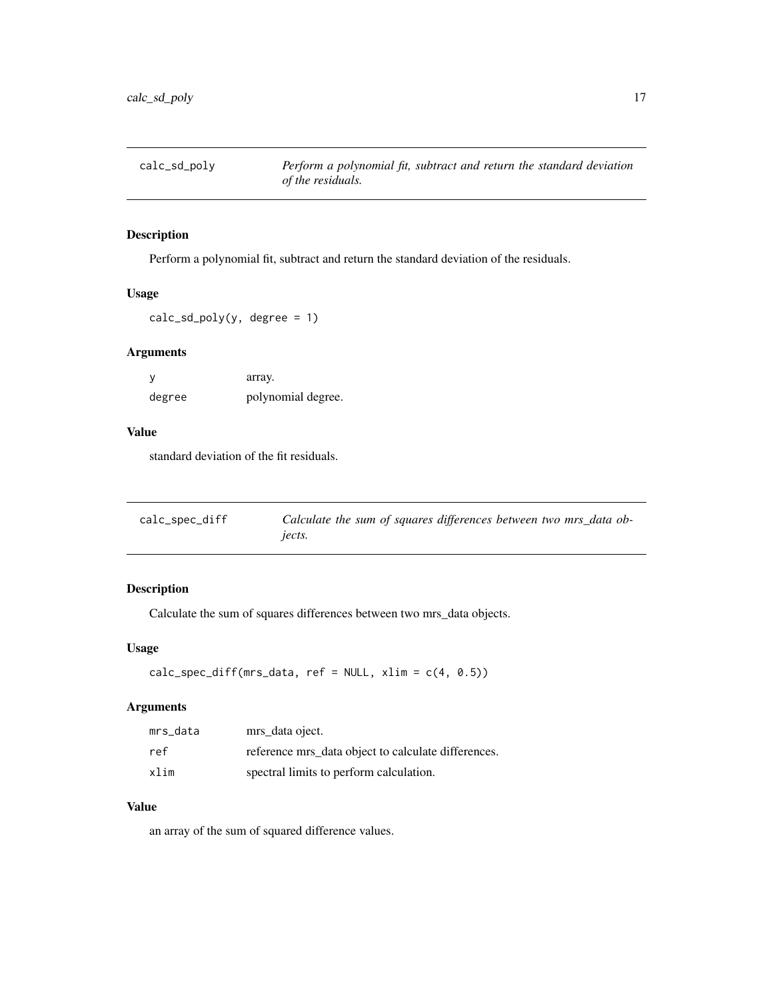<span id="page-16-0"></span>

Perform a polynomial fit, subtract and return the standard deviation of the residuals.

#### Usage

 $calc\_sd\_poly(y, degree = 1)$ 

#### Arguments

|        | array.             |
|--------|--------------------|
| degree | polynomial degree. |

# Value

standard deviation of the fit residuals.

| calc_spec_diff | Calculate the sum of squares differences between two mrs_data ob- |
|----------------|-------------------------------------------------------------------|
|                | jects.                                                            |

#### Description

Calculate the sum of squares differences between two mrs\_data objects.

#### Usage

```
calc_spec_diff(mrs_data, ref = NULL, xlim = c(4, 0.5))
```
#### Arguments

| mrs data | mrs data oject.                                     |
|----------|-----------------------------------------------------|
| ref      | reference mrs_data object to calculate differences. |
| xlim     | spectral limits to perform calculation.             |

# Value

an array of the sum of squared difference values.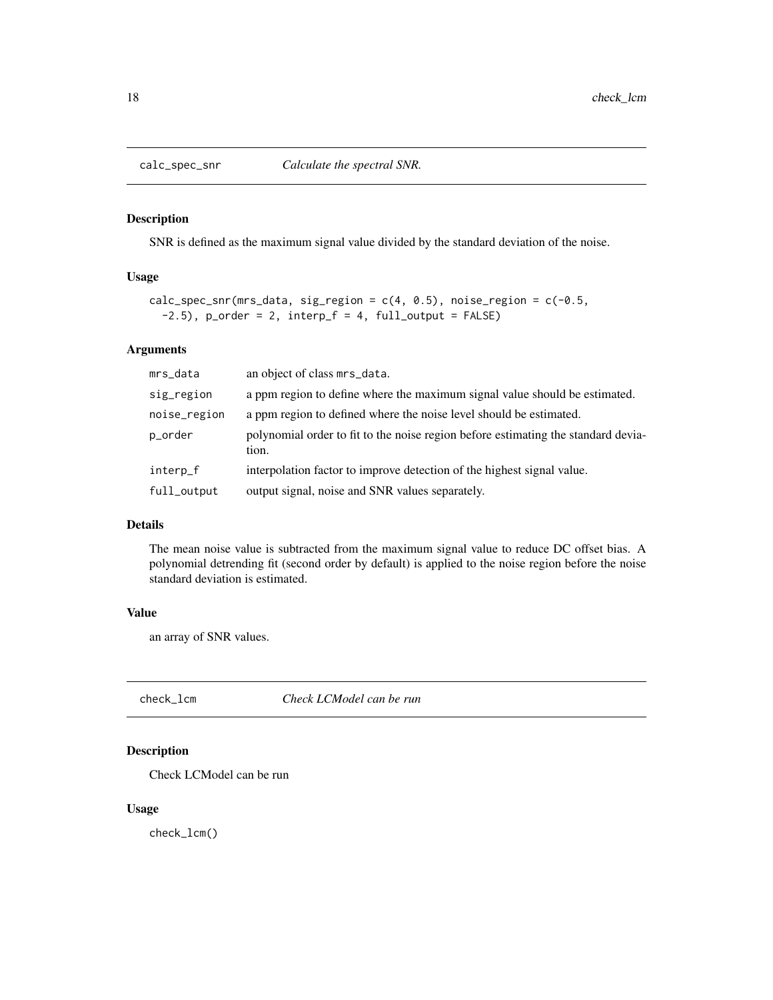<span id="page-17-0"></span>

SNR is defined as the maximum signal value divided by the standard deviation of the noise.

#### Usage

```
calc_spec_snr(mrs_data, sig_region = c(4, 0.5), noise_region = c(-0.5,-2.5), p_order = 2, interp_f = 4, full_output = FALSE)
```
#### Arguments

| mrs_data     | an object of class mrs_data.                                                               |
|--------------|--------------------------------------------------------------------------------------------|
| sig_region   | a ppm region to define where the maximum signal value should be estimated.                 |
| noise_region | a ppm region to defined where the noise level should be estimated.                         |
| p_order      | polynomial order to fit to the noise region before estimating the standard devia-<br>tion. |
| interp_f     | interpolation factor to improve detection of the highest signal value.                     |
| full_output  | output signal, noise and SNR values separately.                                            |

#### Details

The mean noise value is subtracted from the maximum signal value to reduce DC offset bias. A polynomial detrending fit (second order by default) is applied to the noise region before the noise standard deviation is estimated.

#### Value

an array of SNR values.

check\_lcm *Check LCModel can be run*

# Description

Check LCModel can be run

#### Usage

check\_lcm()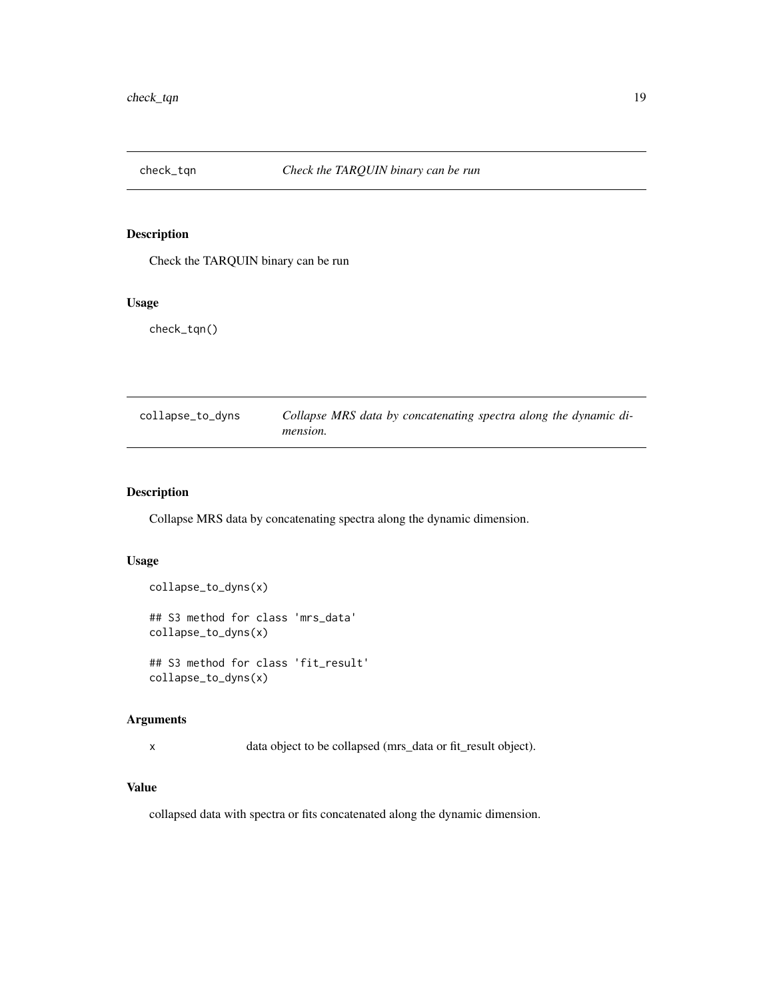<span id="page-18-0"></span>

Check the TARQUIN binary can be run

#### Usage

check\_tqn()

| collapse_to_dyns | Collapse MRS data by concatenating spectra along the dynamic di- |
|------------------|------------------------------------------------------------------|
|                  | mension.                                                         |

#### Description

Collapse MRS data by concatenating spectra along the dynamic dimension.

#### Usage

```
collapse_to_dyns(x)
## S3 method for class 'mrs_data'
collapse_to_dyns(x)
## S3 method for class 'fit_result'
collapse_to_dyns(x)
```
# Arguments

x data object to be collapsed (mrs\_data or fit\_result object).

#### Value

collapsed data with spectra or fits concatenated along the dynamic dimension.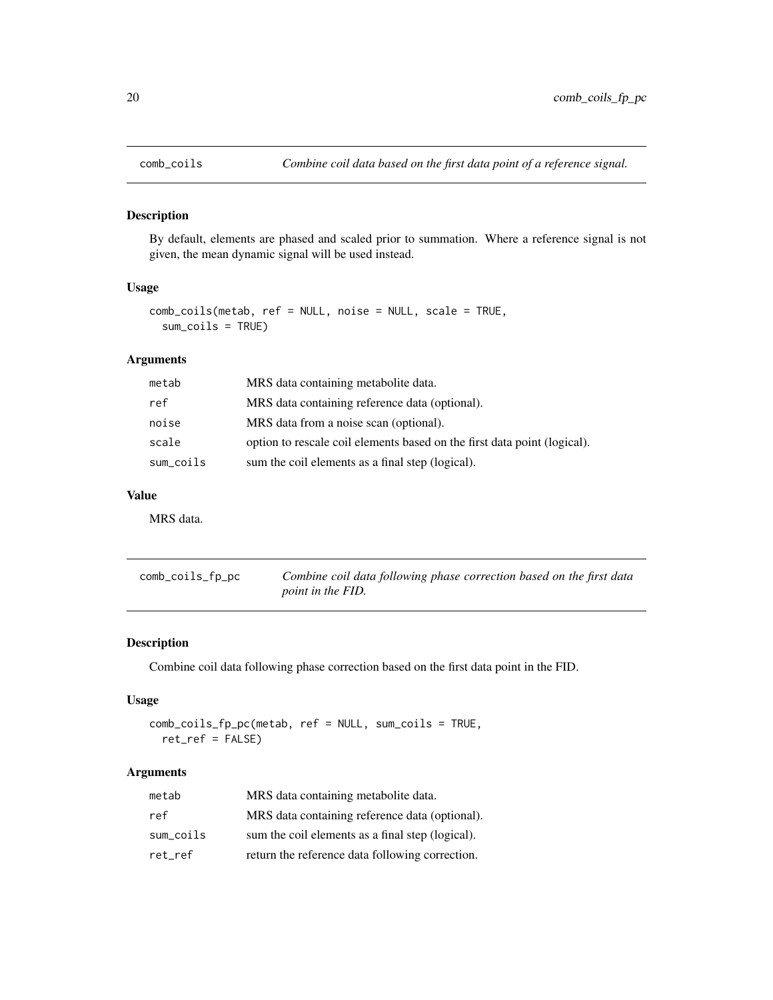<span id="page-19-0"></span>

By default, elements are phased and scaled prior to summation. Where a reference signal is not given, the mean dynamic signal will be used instead.

#### Usage

```
comb_coils(metab, ref = NULL, noise = NULL, scale = TRUE,
 sum_coils = TRUE)
```
#### Arguments

| metab     | MRS data containing metabolite data.                                     |
|-----------|--------------------------------------------------------------------------|
| ref       | MRS data containing reference data (optional).                           |
| noise     | MRS data from a noise scan (optional).                                   |
| scale     | option to rescale coil elements based on the first data point (logical). |
| sum_coils | sum the coil elements as a final step (logical).                         |

#### Value

MRS data.

| comb_coils_fp_pc | Combine coil data following phase correction based on the first data |
|------------------|----------------------------------------------------------------------|
|                  | <i>point in the FID.</i>                                             |

#### Description

Combine coil data following phase correction based on the first data point in the FID.

#### Usage

comb\_coils\_fp\_pc(metab, ref = NULL, sum\_coils = TRUE, ret\_ref = FALSE)

#### Arguments

| metab     | MRS data containing metabolite data.             |
|-----------|--------------------------------------------------|
| ref       | MRS data containing reference data (optional).   |
| sum coils | sum the coil elements as a final step (logical). |
| ret ref   | return the reference data following correction.  |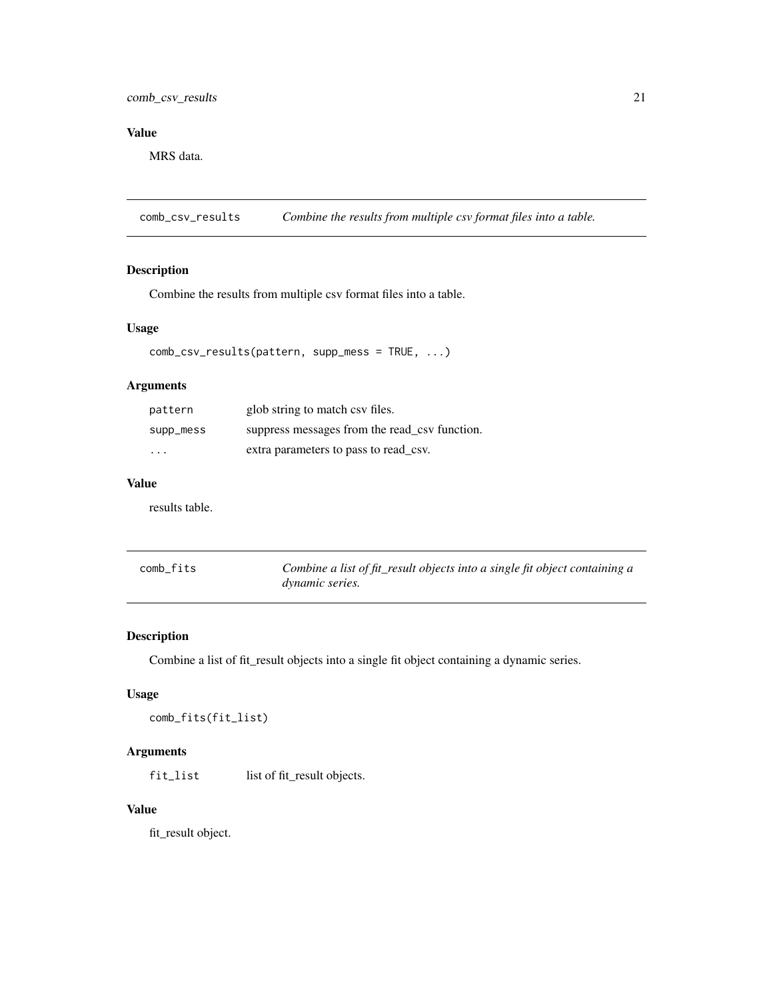#### <span id="page-20-0"></span>comb\_csv\_results 21

# Value

MRS data.

comb\_csv\_results *Combine the results from multiple csv format files into a table.*

#### Description

Combine the results from multiple csv format files into a table.

#### Usage

```
comb_csv_results(pattern, supp_mess = TRUE, ...)
```
# Arguments

| pattern   | glob string to match csv files.               |
|-----------|-----------------------------------------------|
| supp_mess | suppress messages from the read_csv function. |
| .         | extra parameters to pass to read_csv.         |

#### Value

results table.

| comb_fits | Combine a list of fit_result objects into a single fit object containing a |
|-----------|----------------------------------------------------------------------------|
|           | <i>dynamic series.</i>                                                     |

#### Description

Combine a list of fit\_result objects into a single fit object containing a dynamic series.

#### Usage

```
comb_fits(fit_list)
```
# Arguments

fit\_list list of fit\_result objects.

#### Value

fit\_result object.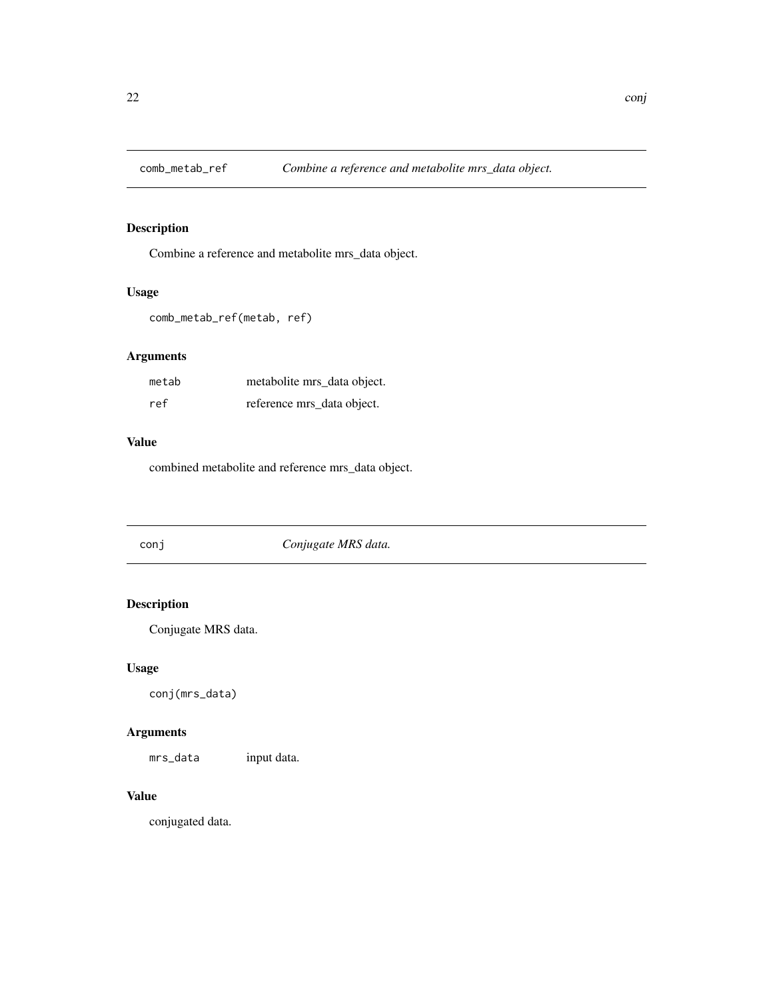<span id="page-21-0"></span>

Combine a reference and metabolite mrs\_data object.

# Usage

```
comb_metab_ref(metab, ref)
```
# Arguments

| metab | metabolite mrs_data object. |
|-------|-----------------------------|
| ref   | reference mrs_data object.  |

# Value

combined metabolite and reference mrs\_data object.

| conj | Conjugate MRS data. |  |
|------|---------------------|--|
|------|---------------------|--|

# Description

Conjugate MRS data.

# Usage

conj(mrs\_data)

# Arguments

mrs\_data input data.

# Value

conjugated data.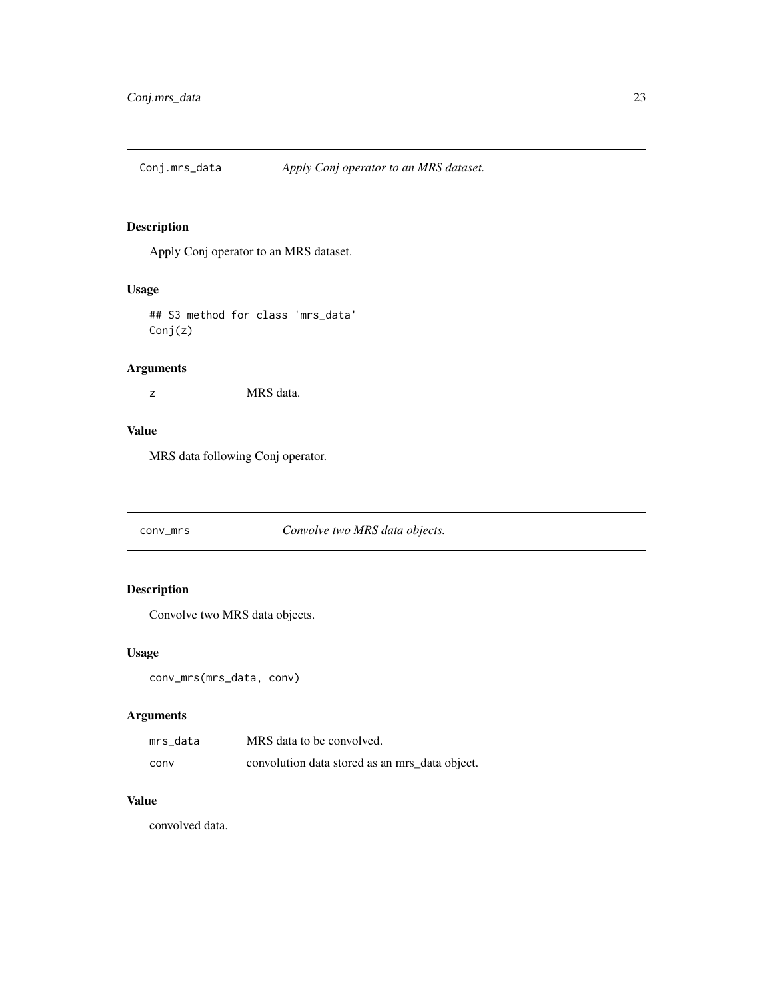<span id="page-22-0"></span>

Apply Conj operator to an MRS dataset.

#### Usage

## S3 method for class 'mrs\_data' Conj(z)

# Arguments

z MRS data.

# Value

MRS data following Conj operator.

conv\_mrs *Convolve two MRS data objects.*

#### Description

Convolve two MRS data objects.

#### Usage

```
conv_mrs(mrs_data, conv)
```
#### Arguments

| mrs data | MRS data to be convolved.                      |
|----------|------------------------------------------------|
| conv     | convolution data stored as an mrs_data object. |

# Value

convolved data.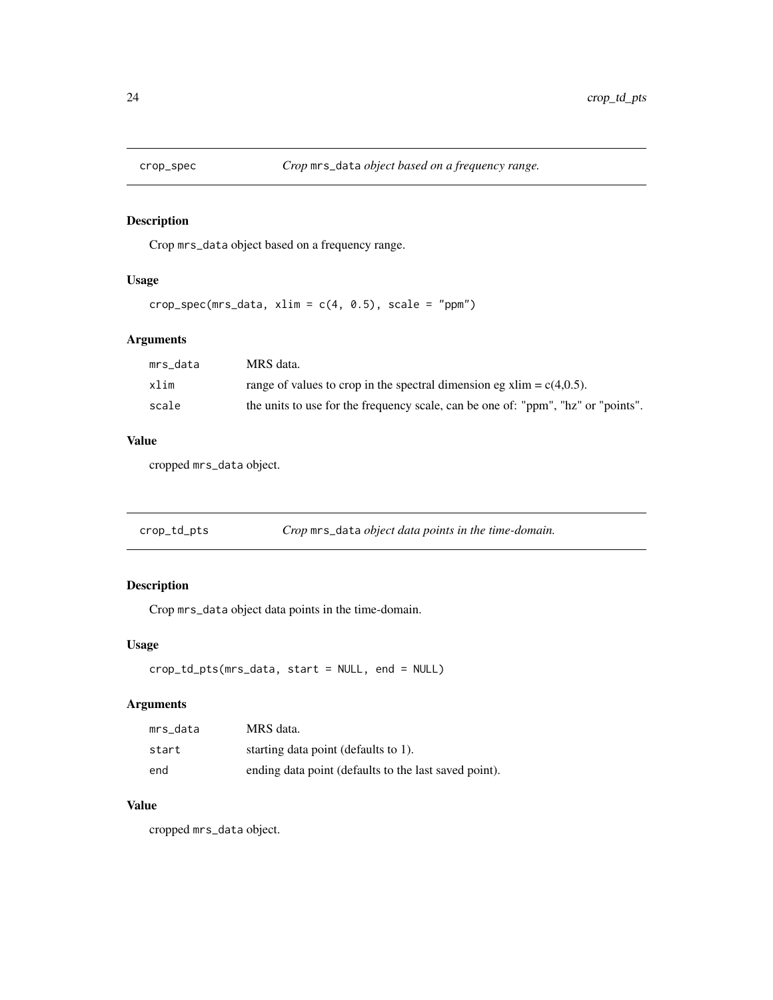<span id="page-23-0"></span>

Crop mrs\_data object based on a frequency range.

#### Usage

```
crop\_spec(mrs\_data, xlim = c(4, 0.5), scale = "ppm")
```
#### Arguments

| mrs data | MRS data.                                                                         |
|----------|-----------------------------------------------------------------------------------|
| xlim     | range of values to crop in the spectral dimension eg $xlim = c(4,0.5)$ .          |
| scale    | the units to use for the frequency scale, can be one of: "ppm", "hz" or "points". |

# Value

cropped mrs\_data object.

| crop_td_pts | Crop mrs_data object data points in the time-domain. |  |
|-------------|------------------------------------------------------|--|
|             |                                                      |  |

# Description

Crop mrs\_data object data points in the time-domain.

#### Usage

```
crop_td_pts(mrs_data, start = NULL, end = NULL)
```
#### Arguments

| mrs data | MRS data.                                             |
|----------|-------------------------------------------------------|
| start    | starting data point (defaults to 1).                  |
| end      | ending data point (defaults to the last saved point). |

# Value

cropped mrs\_data object.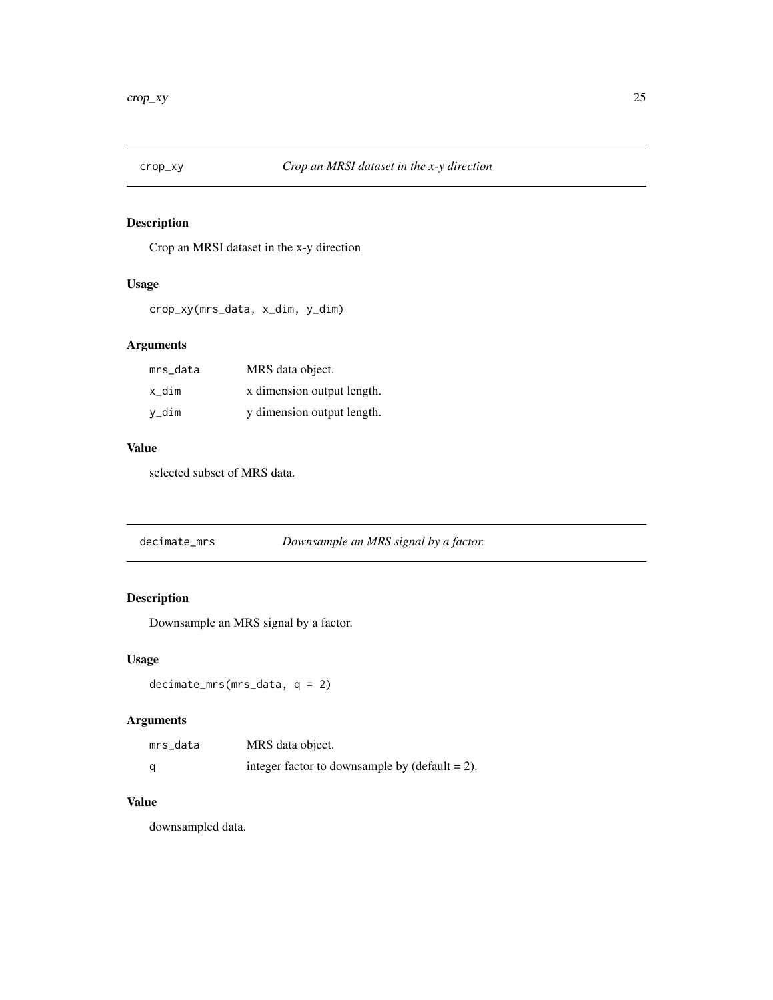<span id="page-24-0"></span>

Crop an MRSI dataset in the x-y direction

#### Usage

```
crop_xy(mrs_data, x_dim, y_dim)
```
#### Arguments

| mrs_data | MRS data object.           |
|----------|----------------------------|
| x dim    | x dimension output length. |
| v_dim    | y dimension output length. |

#### Value

selected subset of MRS data.

| decimate_mrs | Downsample an MRS signal by a factor. |  |
|--------------|---------------------------------------|--|
|--------------|---------------------------------------|--|

# Description

Downsample an MRS signal by a factor.

#### Usage

decimate\_mrs(mrs\_data, q = 2)

#### Arguments

| mrs_data | MRS data object.                                  |
|----------|---------------------------------------------------|
| - a      | integer factor to downsample by $(detault = 2)$ . |

#### Value

downsampled data.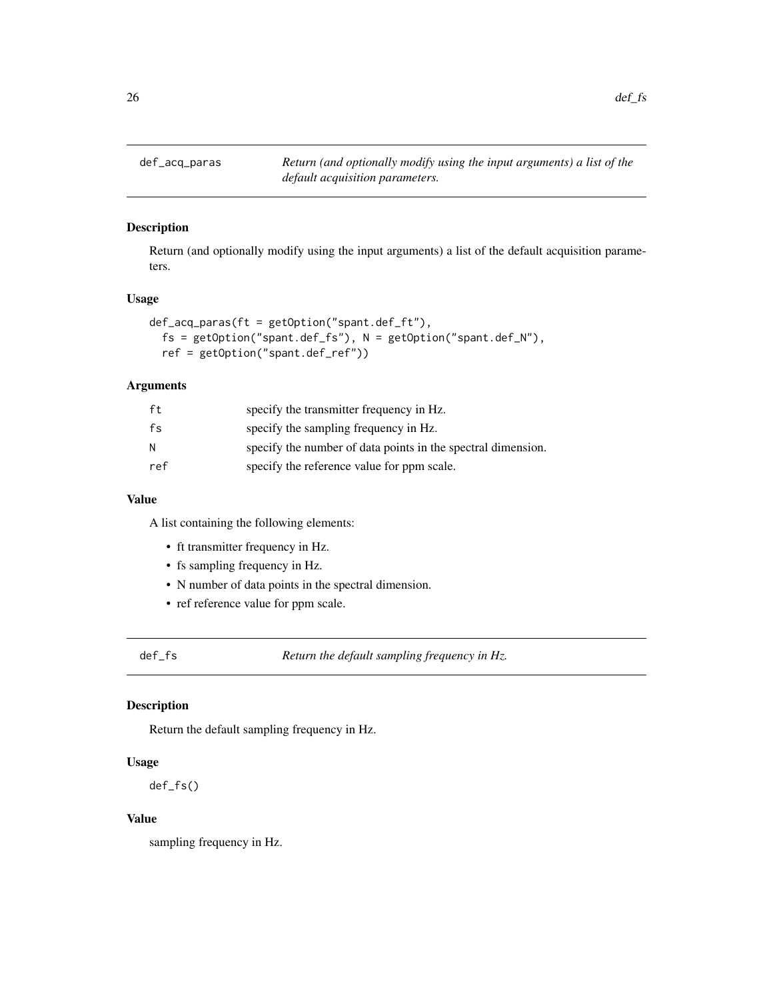<span id="page-25-0"></span>def\_acq\_paras *Return (and optionally modify using the input arguments) a list of the default acquisition parameters.*

# Description

Return (and optionally modify using the input arguments) a list of the default acquisition parameters.

#### Usage

```
def_acq_paras(ft = getOption("spant.def_ft"),
 fs = getOption("spant.def_fs"), N = getOption("spant.def_N"),
  ref = getOption("spant.def_ref"))
```
#### Arguments

| ft  | specify the transmitter frequency in Hz.                     |
|-----|--------------------------------------------------------------|
| fs  | specify the sampling frequency in Hz.                        |
| N   | specify the number of data points in the spectral dimension. |
| ref | specify the reference value for ppm scale.                   |

# Value

A list containing the following elements:

- ft transmitter frequency in Hz.
- fs sampling frequency in Hz.
- N number of data points in the spectral dimension.
- ref reference value for ppm scale.

def\_fs *Return the default sampling frequency in Hz.*

#### Description

Return the default sampling frequency in Hz.

#### Usage

def\_fs()

#### Value

sampling frequency in Hz.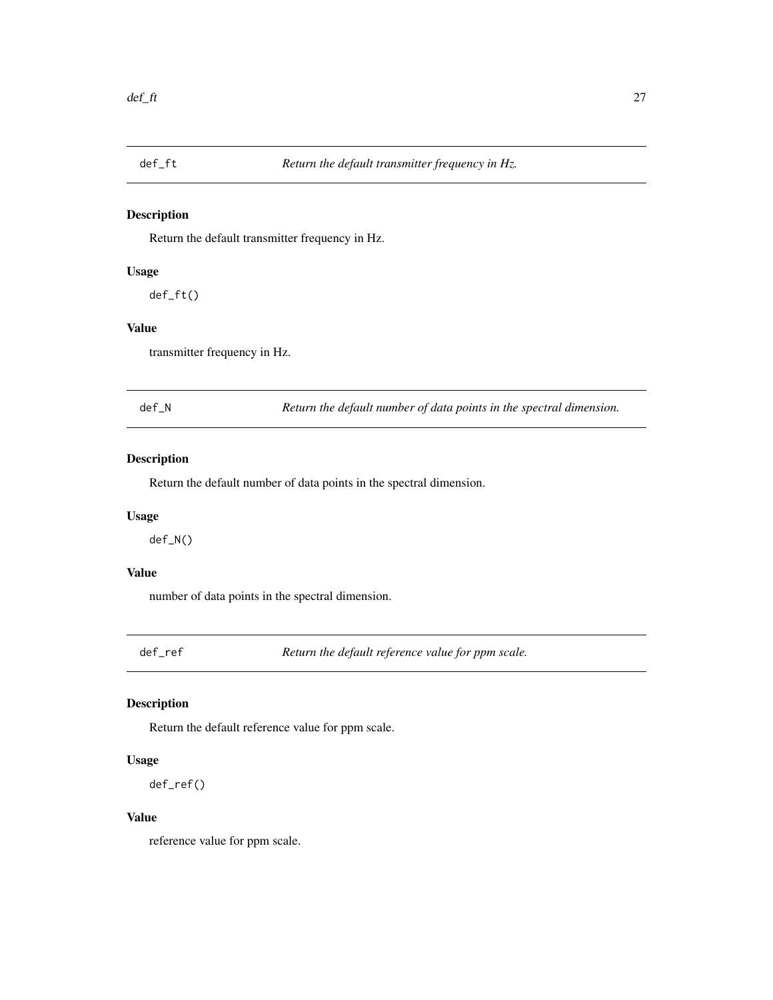<span id="page-26-0"></span>

Return the default transmitter frequency in Hz.

#### Usage

def\_ft()

# Value

transmitter frequency in Hz.

def\_N *Return the default number of data points in the spectral dimension.*

#### Description

Return the default number of data points in the spectral dimension.

#### Usage

def\_N()

# Value

number of data points in the spectral dimension.

def\_ref *Return the default reference value for ppm scale.*

#### Description

Return the default reference value for ppm scale.

#### Usage

def\_ref()

#### Value

reference value for ppm scale.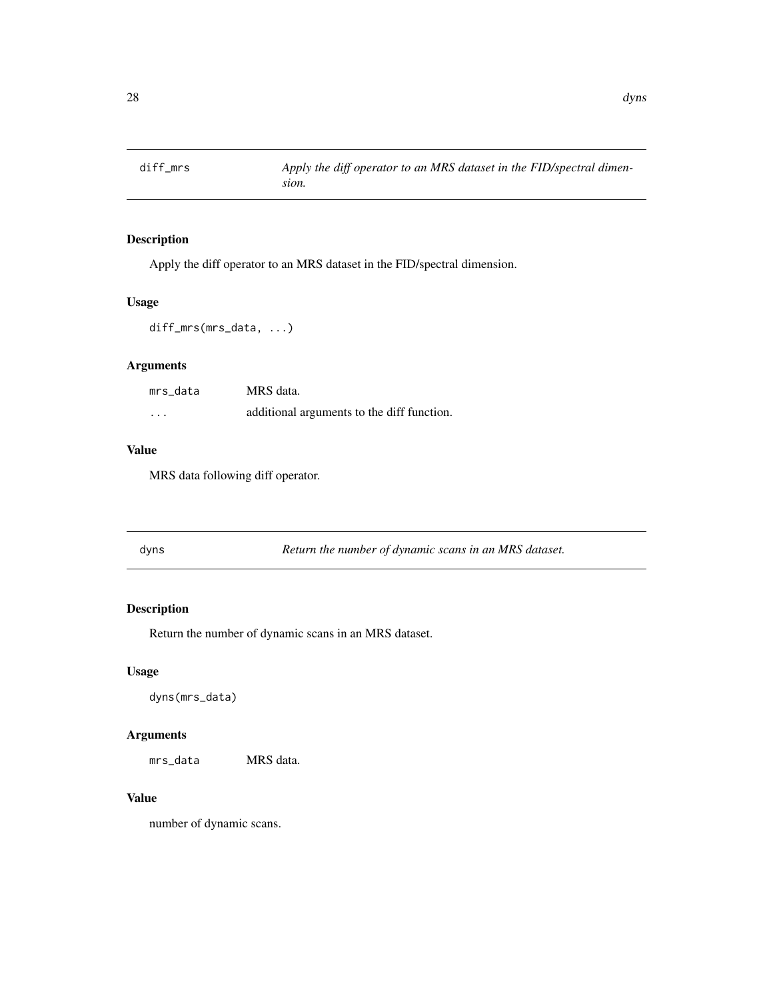<span id="page-27-0"></span>

Apply the diff operator to an MRS dataset in the FID/spectral dimension.

#### Usage

diff\_mrs(mrs\_data, ...)

#### Arguments

| mrs data | MRS data.                                  |
|----------|--------------------------------------------|
| $\cdots$ | additional arguments to the diff function. |

#### Value

MRS data following diff operator.

| dyns | Return the number of dynamic scans in an MRS dataset. |
|------|-------------------------------------------------------|
|------|-------------------------------------------------------|

#### Description

Return the number of dynamic scans in an MRS dataset.

#### Usage

dyns(mrs\_data)

#### Arguments

mrs\_data MRS data.

#### Value

number of dynamic scans.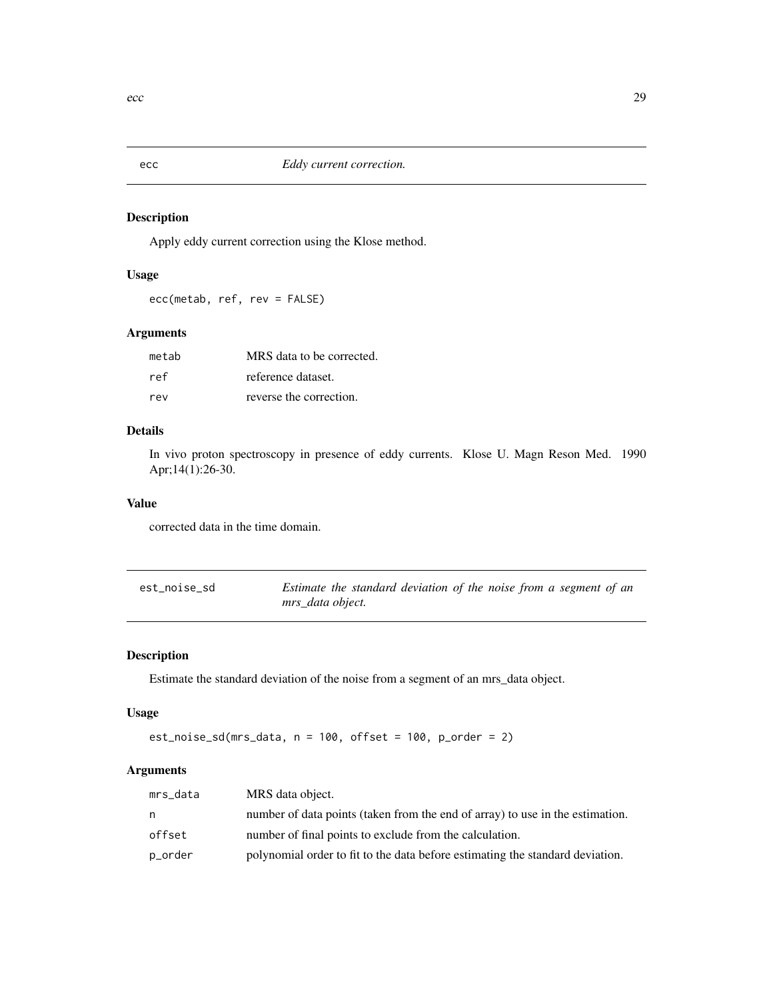<span id="page-28-0"></span>

Apply eddy current correction using the Klose method.

# Usage

ecc(metab, ref, rev = FALSE)

#### Arguments

| metab | MRS data to be corrected. |
|-------|---------------------------|
| ref   | reference dataset.        |
| rev   | reverse the correction.   |

#### Details

In vivo proton spectroscopy in presence of eddy currents. Klose U. Magn Reson Med. 1990 Apr;14(1):26-30.

#### Value

corrected data in the time domain.

| est_noise_sd | Estimate the standard deviation of the noise from a segment of an |
|--------------|-------------------------------------------------------------------|
|              | mrs data object.                                                  |

# Description

Estimate the standard deviation of the noise from a segment of an mrs\_data object.

#### Usage

```
est_noise_sd(mrs_data, n = 100, offset = 100, p_order = 2)
```
# Arguments

| mrs_data | MRS data object.                                                              |
|----------|-------------------------------------------------------------------------------|
| n.       | number of data points (taken from the end of array) to use in the estimation. |
| offset   | number of final points to exclude from the calculation.                       |
| p_order  | polynomial order to fit to the data before estimating the standard deviation. |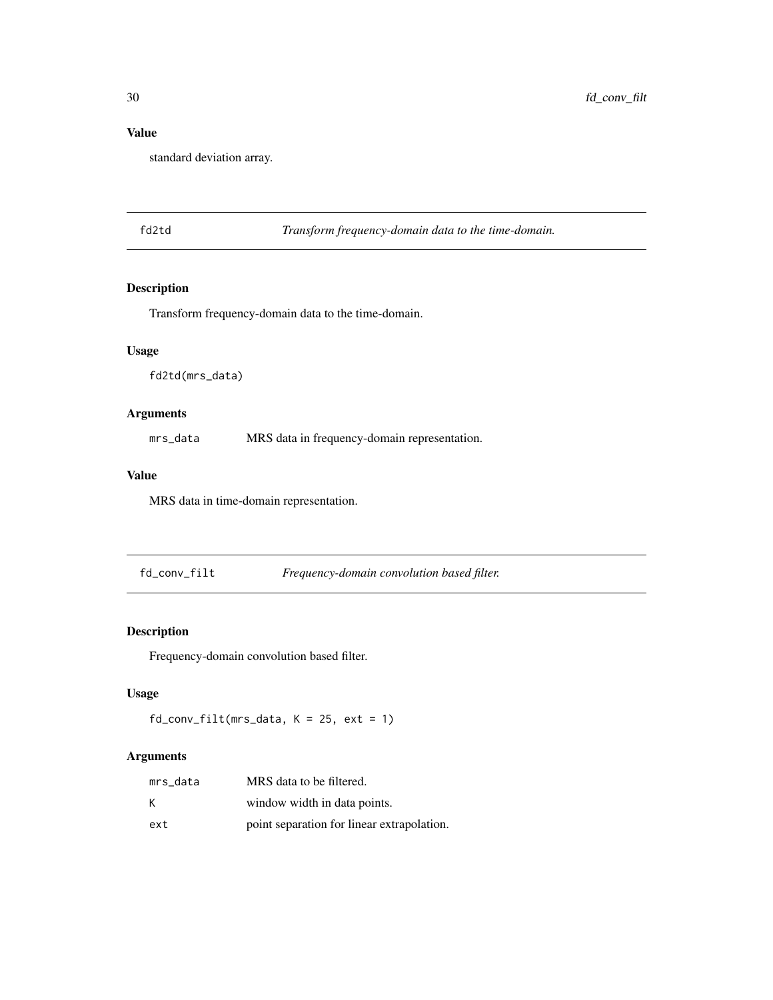# Value

standard deviation array.

fd2td *Transform frequency-domain data to the time-domain.*

#### Description

Transform frequency-domain data to the time-domain.

# Usage

fd2td(mrs\_data)

# Arguments

mrs\_data MRS data in frequency-domain representation.

#### Value

MRS data in time-domain representation.

fd\_conv\_filt *Frequency-domain convolution based filter.*

# Description

Frequency-domain convolution based filter.

# Usage

```
fd_{conv_filt(mrs_data, K = 25, ext = 1)
```
#### Arguments

| mrs data | MRS data to be filtered.                   |
|----------|--------------------------------------------|
| к        | window width in data points.               |
| ext      | point separation for linear extrapolation. |

<span id="page-29-0"></span>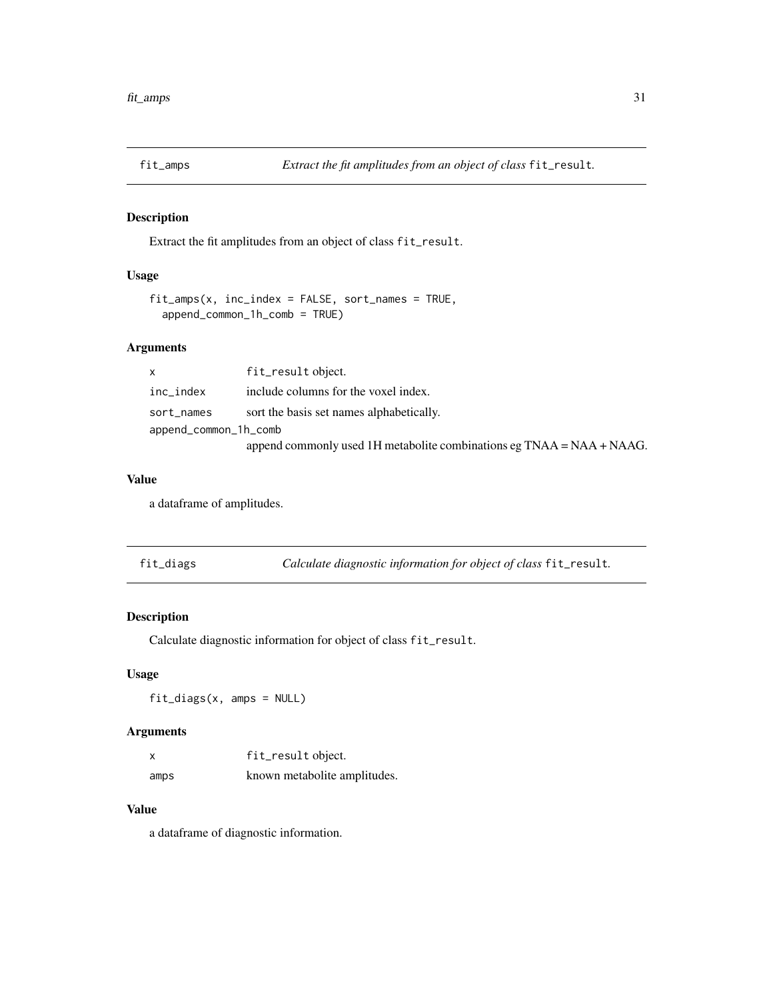<span id="page-30-0"></span>

Extract the fit amplitudes from an object of class fit\_result.

# Usage

```
fit\_amps(x, inc\_index = FALSE, sort\_names = TRUE,append_common_1h_comb = TRUE)
```
#### Arguments

| $\mathsf{x}$          | fit_result object.                                                       |
|-----------------------|--------------------------------------------------------------------------|
| inc_index             | include columns for the voxel index.                                     |
| sort_names            | sort the basis set names alphabetically.                                 |
| append_common_1h_comb |                                                                          |
|                       | append commonly used 1H metabolite combinations eg $TNAA = NAA + NAAG$ . |

#### Value

a dataframe of amplitudes.

| fit_diags |  |  | Calculate diagnostic information for object of class fit_result. |
|-----------|--|--|------------------------------------------------------------------|
|-----------|--|--|------------------------------------------------------------------|

#### Description

Calculate diagnostic information for object of class fit\_result.

#### Usage

fit\_diags(x, amps = NULL)

#### Arguments

| X    | fit_result object.           |
|------|------------------------------|
| amps | known metabolite amplitudes. |

#### Value

a dataframe of diagnostic information.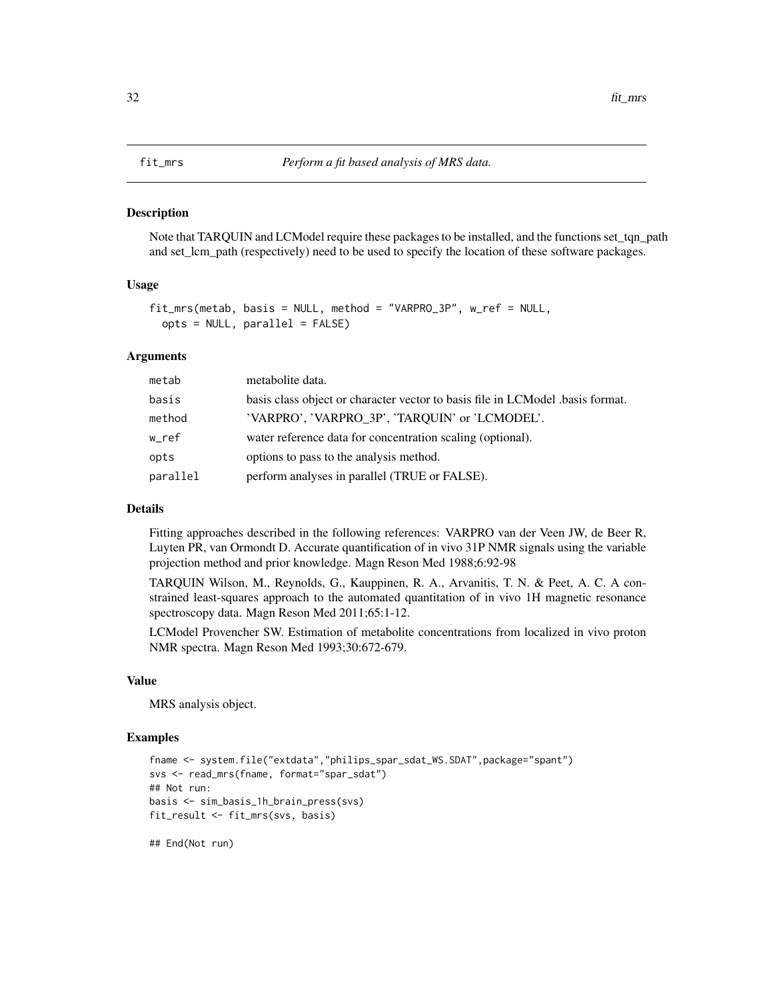<span id="page-31-0"></span>Note that TARQUIN and LCModel require these packages to be installed, and the functions set\_tqn\_path and set\_lcm\_path (respectively) need to be used to specify the location of these software packages.

#### Usage

```
fit_mrs(metab, basis = NULL, method = "VARPRO_3P", w_ref = NULL,
 opts = NULL, parallel = FALSE)
```
#### Arguments

| metab    | metabolite data.                                                              |
|----------|-------------------------------------------------------------------------------|
| basis    | basis class object or character vector to basis file in LCModel basis format. |
| method   | 'VARPRO', 'VARPRO 3P', 'TARQUIN' or 'LCMODEL'.                                |
| w_ref    | water reference data for concentration scaling (optional).                    |
| opts     | options to pass to the analysis method.                                       |
| parallel | perform analyses in parallel (TRUE or FALSE).                                 |

#### Details

Fitting approaches described in the following references: VARPRO van der Veen JW, de Beer R, Luyten PR, van Ormondt D. Accurate quantification of in vivo 31P NMR signals using the variable projection method and prior knowledge. Magn Reson Med 1988;6:92-98

TARQUIN Wilson, M., Reynolds, G., Kauppinen, R. A., Arvanitis, T. N. & Peet, A. C. A constrained least-squares approach to the automated quantitation of in vivo 1H magnetic resonance spectroscopy data. Magn Reson Med 2011;65:1-12.

LCModel Provencher SW. Estimation of metabolite concentrations from localized in vivo proton NMR spectra. Magn Reson Med 1993;30:672-679.

#### Value

MRS analysis object.

#### Examples

```
fname <- system.file("extdata","philips_spar_sdat_WS.SDAT",package="spant")
svs <- read_mrs(fname, format="spar_sdat")
## Not run:
basis <- sim_basis_1h_brain_press(svs)
fit_result <- fit_mrs(svs, basis)
## End(Not run)
```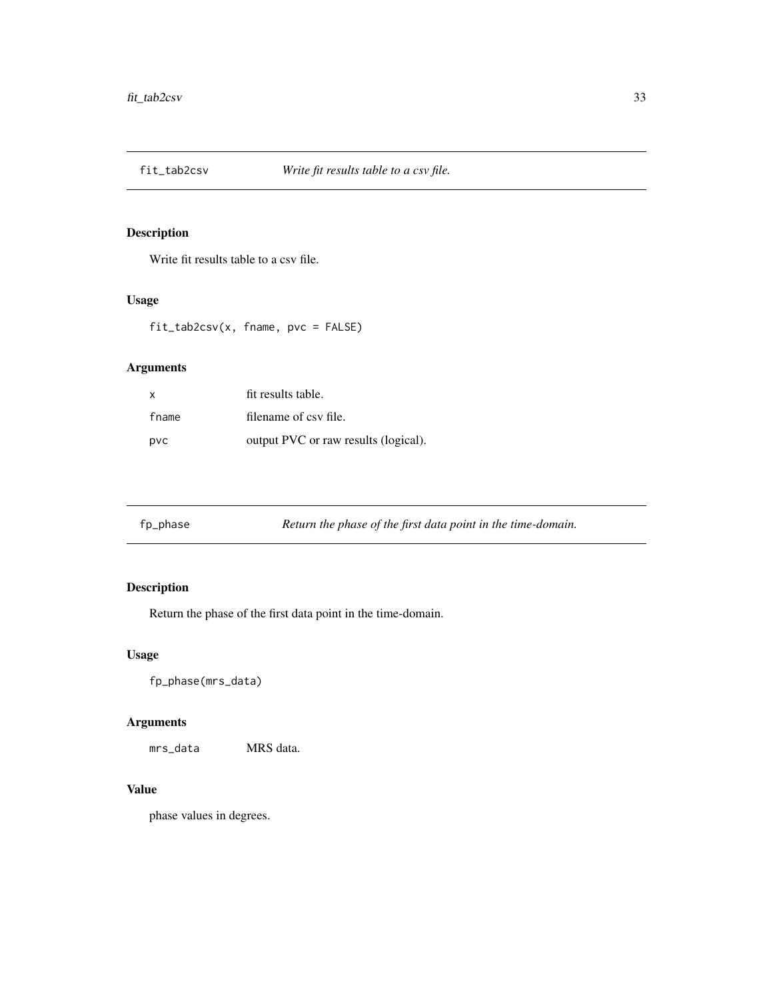<span id="page-32-0"></span>

Write fit results table to a csv file.

#### Usage

fit\_tab2csv(x, fname, pvc = FALSE)

# Arguments

| X     | fit results table.                   |
|-------|--------------------------------------|
| fname | filename of csy file.                |
| pvc   | output PVC or raw results (logical). |

| fp_phase | Return the phase of the first data point in the time-domain. |  |  |  |
|----------|--------------------------------------------------------------|--|--|--|
|          |                                                              |  |  |  |

# Description

Return the phase of the first data point in the time-domain.

## Usage

fp\_phase(mrs\_data)

# Arguments

mrs\_data MRS data.

#### Value

phase values in degrees.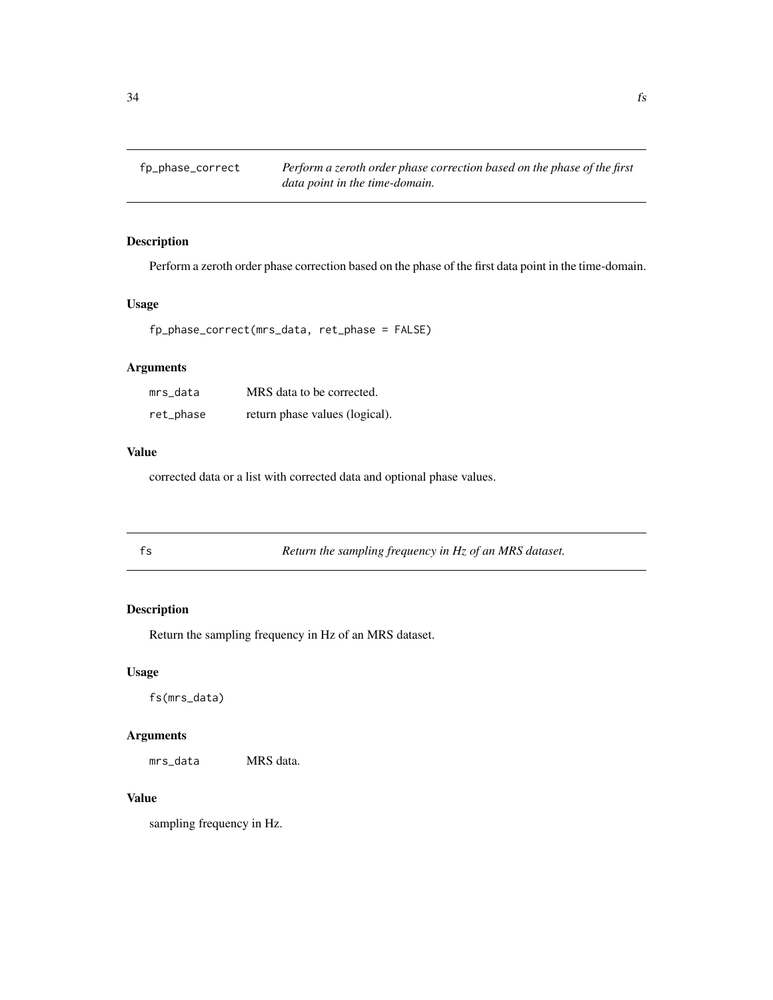<span id="page-33-0"></span>

Perform a zeroth order phase correction based on the phase of the first data point in the time-domain.

#### Usage

fp\_phase\_correct(mrs\_data, ret\_phase = FALSE)

# Arguments

| mrs data  | MRS data to be corrected.      |
|-----------|--------------------------------|
| ret_phase | return phase values (logical). |

# Value

corrected data or a list with corrected data and optional phase values.

|  | fs | Return the sampling frequency in Hz of an MRS dataset. |  |
|--|----|--------------------------------------------------------|--|
|--|----|--------------------------------------------------------|--|

#### Description

Return the sampling frequency in Hz of an MRS dataset.

#### Usage

fs(mrs\_data)

#### Arguments

mrs\_data MRS data.

# Value

sampling frequency in Hz.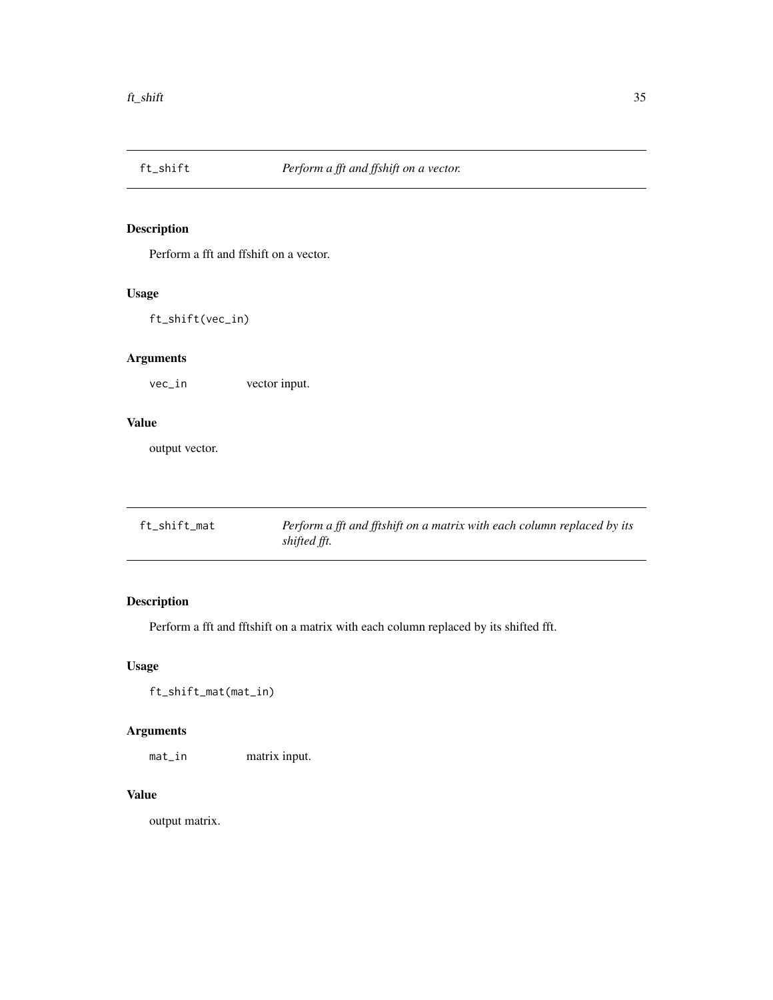<span id="page-34-0"></span>

Perform a fft and ffshift on a vector.

#### Usage

ft\_shift(vec\_in)

# Arguments

vec\_in vector input.

#### Value

output vector.

| ft_shift_mat | Perform a fft and fftshift on a matrix with each column replaced by its |
|--------------|-------------------------------------------------------------------------|
|              | shifted fft.                                                            |

# Description

Perform a fft and fftshift on a matrix with each column replaced by its shifted fft.

# Usage

ft\_shift\_mat(mat\_in)

# Arguments

mat\_in matrix input.

# Value

output matrix.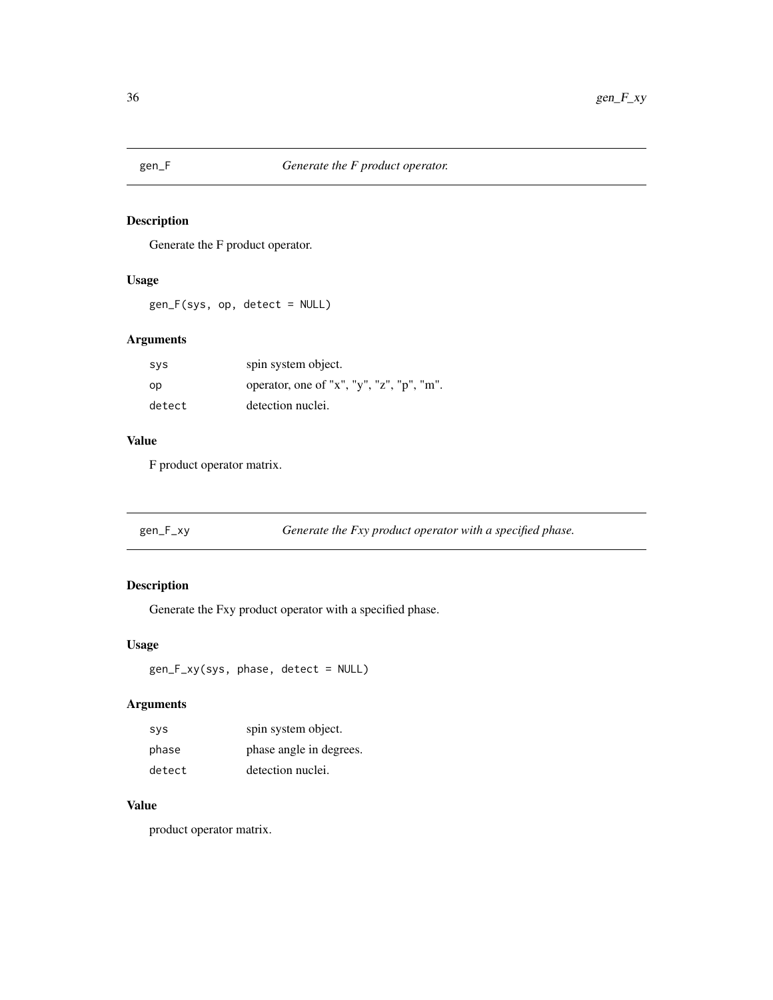<span id="page-35-0"></span>

Generate the F product operator.

#### Usage

gen\_F(sys, op, detect = NULL)

#### Arguments

| svs    | spin system object.                       |
|--------|-------------------------------------------|
| op     | operator, one of "x", "y", "z", "p", "m". |
| detect | detection nuclei.                         |

# Value

F product operator matrix.

| Generate the Fxy product operator with a specified phase.<br>gen_F_xy |  |
|-----------------------------------------------------------------------|--|
|-----------------------------------------------------------------------|--|

# Description

Generate the Fxy product operator with a specified phase.

# Usage

```
gen_F_xy(sys, phase, detect = NULL)
```
# Arguments

| <b>SVS</b> | spin system object.     |
|------------|-------------------------|
| phase      | phase angle in degrees. |
| detect     | detection nuclei.       |

# Value

product operator matrix.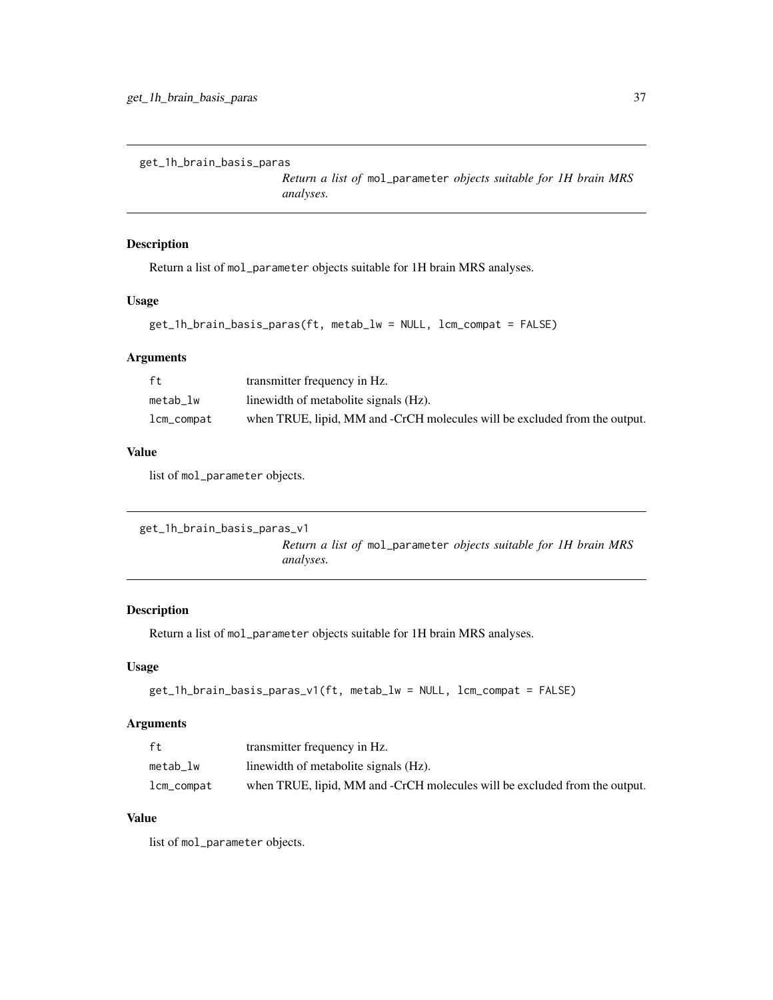get\_1h\_brain\_basis\_paras

*Return a list of* mol\_parameter *objects suitable for 1H brain MRS analyses.*

### Description

Return a list of mol\_parameter objects suitable for 1H brain MRS analyses.

### Usage

```
get_1h_brain_basis_paras(ft, metab_lw = NULL, lcm_compat = FALSE)
```
### Arguments

| ft             | transmitter frequency in Hz.                                               |
|----------------|----------------------------------------------------------------------------|
| metab lw       | linewidth of metabolite signals (Hz).                                      |
| $lcm\_compact$ | when TRUE, lipid, MM and -CrCH molecules will be excluded from the output. |

### Value

list of mol\_parameter objects.

```
get_1h_brain_basis_paras_v1
```
*Return a list of* mol\_parameter *objects suitable for 1H brain MRS analyses.*

# Description

Return a list of mol\_parameter objects suitable for 1H brain MRS analyses.

# Usage

```
get_1h_brain_basis_paras_v1(ft, metab_lw = NULL, lcm_compat = FALSE)
```
### Arguments

| ft             | transmitter frequency in Hz.                                               |
|----------------|----------------------------------------------------------------------------|
| metab lw       | linewidth of metabolite signals (Hz).                                      |
| $lcm\_compact$ | when TRUE, lipid, MM and -CrCH molecules will be excluded from the output. |

### Value

list of mol\_parameter objects.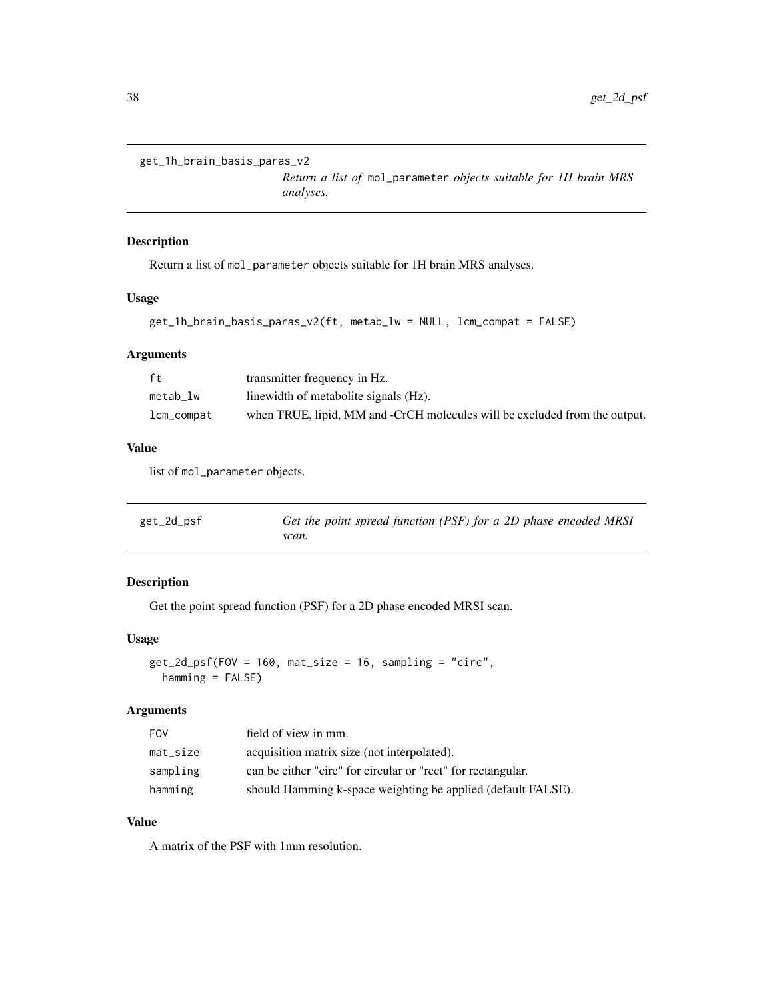```
get_1h_brain_basis_paras_v2
```
*Return a list of* mol\_parameter *objects suitable for 1H brain MRS analyses.*

# Description

Return a list of mol\_parameter objects suitable for 1H brain MRS analyses.

### Usage

```
get_1h_brain_basis_paras_v2(ft, metab_lw = NULL, lcm_compat = FALSE)
```
### Arguments

| ft         | transmitter frequency in Hz.                                               |
|------------|----------------------------------------------------------------------------|
| metab lw   | linewidth of metabolite signals (Hz).                                      |
| lcm_compat | when TRUE, lipid, MM and -CrCH molecules will be excluded from the output. |

### Value

list of mol\_parameter objects.

| get_2d_psf | Get the point spread function (PSF) for a 2D phase encoded MRSI |
|------------|-----------------------------------------------------------------|
|            | scan.                                                           |

# Description

Get the point spread function (PSF) for a 2D phase encoded MRSI scan.

### Usage

```
get_2d_psf(FOV = 160, mat_size = 16, sampling = "circ",
 hamming = FALSE)
```
### Arguments

| <b>FOV</b>  | field of view in mm.                                         |
|-------------|--------------------------------------------------------------|
| $mat\_size$ | acquisition matrix size (not interpolated).                  |
| sampling    | can be either "circ" for circular or "rect" for rectangular. |
| hamming     | should Hamming k-space weighting be applied (default FALSE). |

# Value

A matrix of the PSF with 1mm resolution.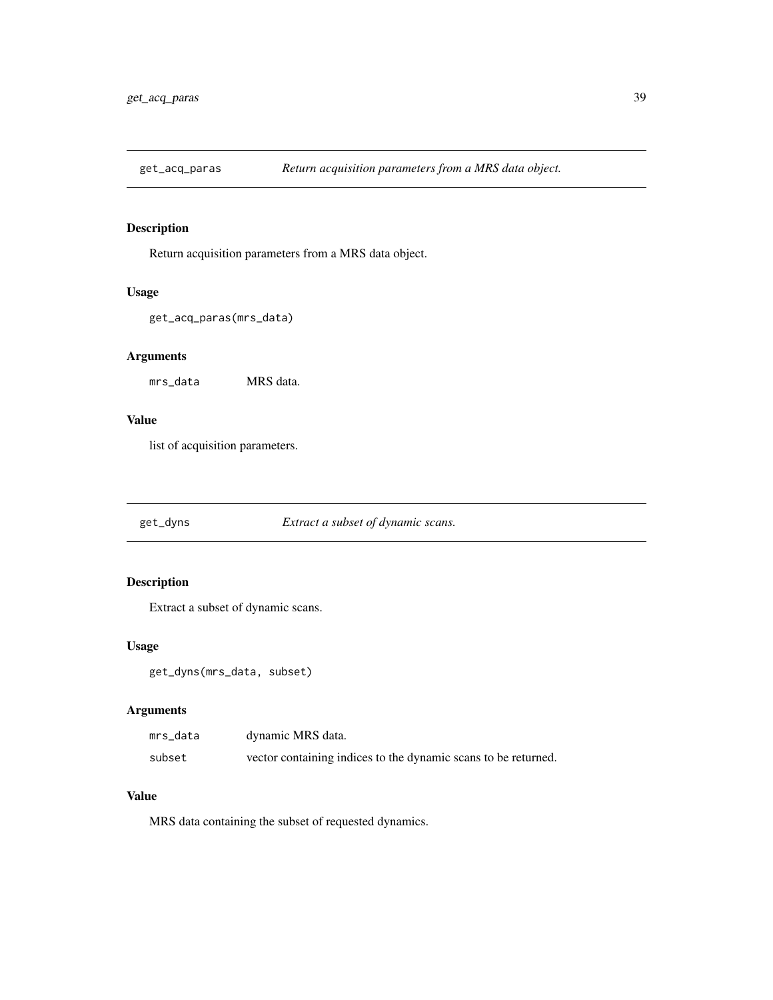Return acquisition parameters from a MRS data object.

#### Usage

```
get_acq_paras(mrs_data)
```
# Arguments

mrs\_data MRS data.

### Value

list of acquisition parameters.

get\_dyns *Extract a subset of dynamic scans.*

### Description

Extract a subset of dynamic scans.

### Usage

get\_dyns(mrs\_data, subset)

### Arguments

| mrs_data | dynamic MRS data.                                              |
|----------|----------------------------------------------------------------|
| subset   | vector containing indices to the dynamic scans to be returned. |

### Value

MRS data containing the subset of requested dynamics.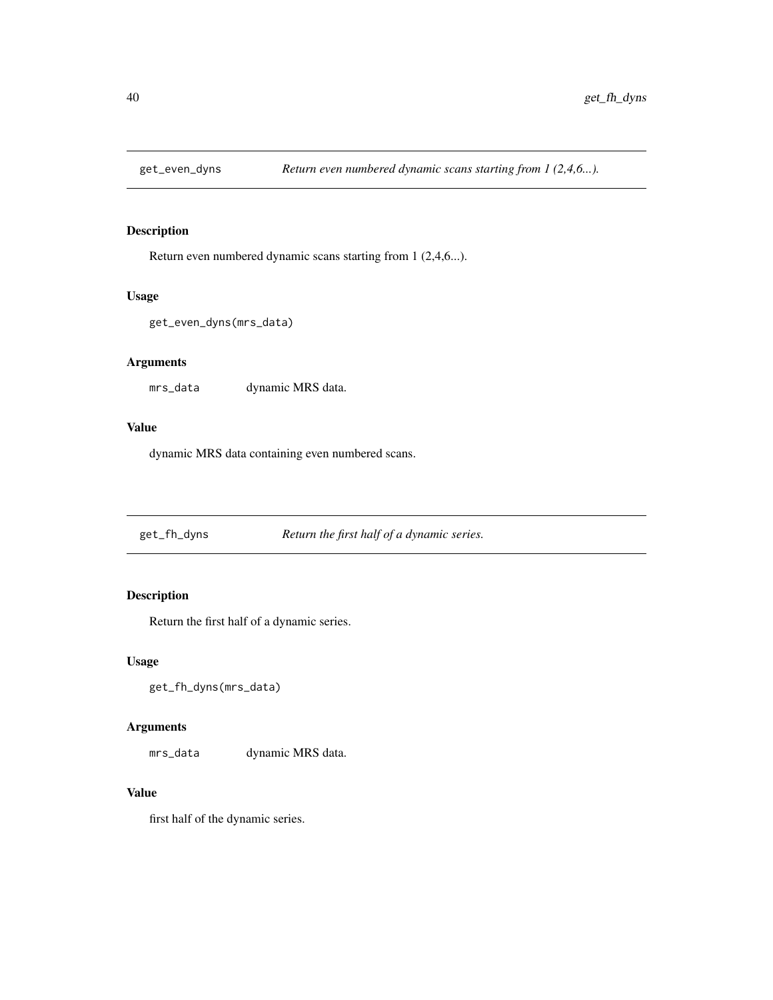Return even numbered dynamic scans starting from 1 (2,4,6...).

#### Usage

```
get_even_dyns(mrs_data)
```
### Arguments

mrs\_data dynamic MRS data.

### Value

dynamic MRS data containing even numbered scans.

get\_fh\_dyns *Return the first half of a dynamic series.*

# Description

Return the first half of a dynamic series.

### Usage

```
get_fh_dyns(mrs_data)
```
### Arguments

mrs\_data dynamic MRS data.

#### Value

first half of the dynamic series.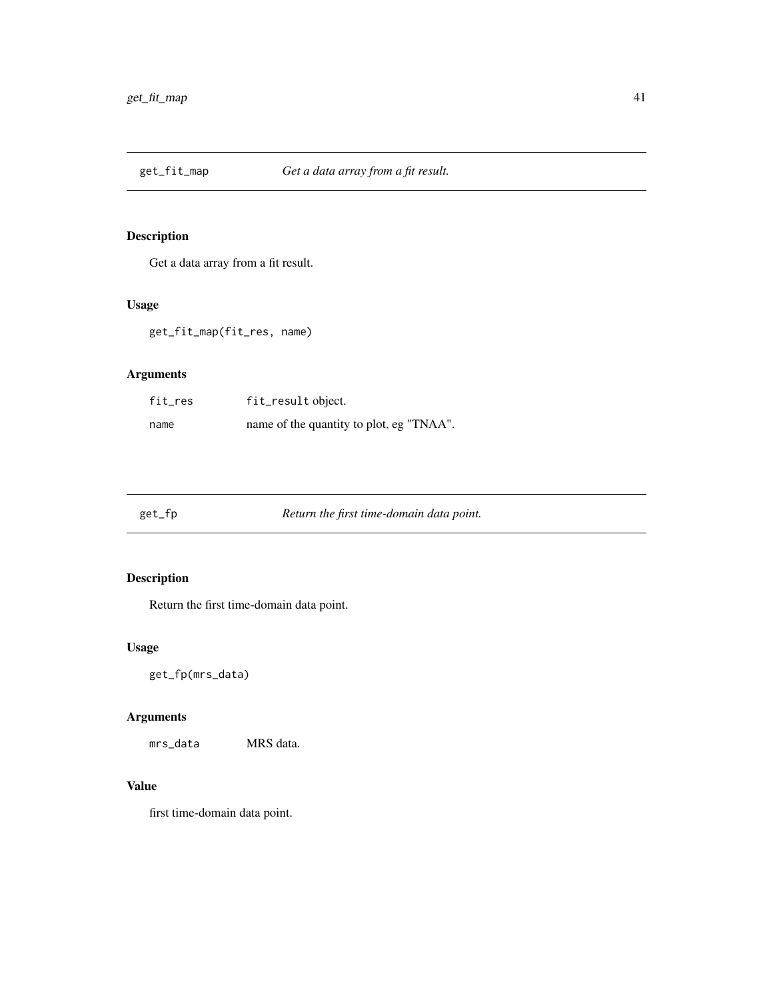Get a data array from a fit result.

# Usage

get\_fit\_map(fit\_res, name)

# Arguments

| fit_res | fit_result object.                       |
|---------|------------------------------------------|
| name    | name of the quantity to plot, eg "TNAA". |

get\_fp *Return the first time-domain data point.*

# Description

Return the first time-domain data point.

# Usage

get\_fp(mrs\_data)

# Arguments

mrs\_data MRS data.

# Value

first time-domain data point.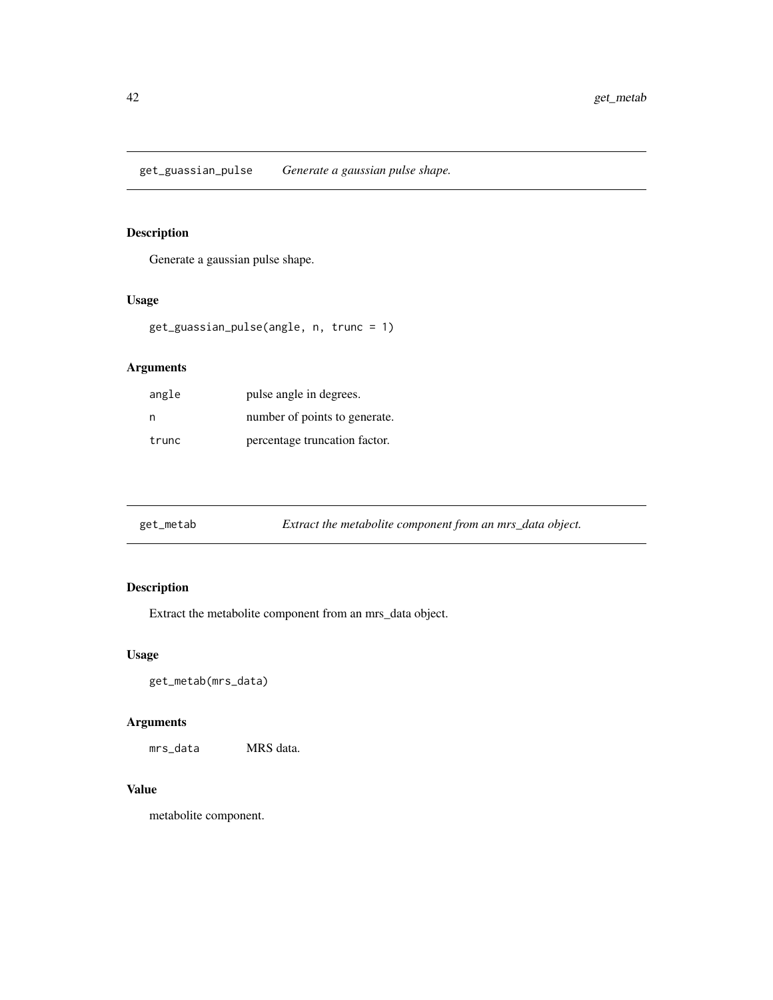get\_guassian\_pulse *Generate a gaussian pulse shape.*

# Description

Generate a gaussian pulse shape.

### Usage

```
get_guassian_pulse(angle, n, trunc = 1)
```
# Arguments

| angle | pulse angle in degrees.       |
|-------|-------------------------------|
| n     | number of points to generate. |
| trunc | percentage truncation factor. |

| get_metab | Extract the metabolite component from an mrs_data object. |  |
|-----------|-----------------------------------------------------------|--|
|           |                                                           |  |

# Description

Extract the metabolite component from an mrs\_data object.

# Usage

get\_metab(mrs\_data)

# Arguments

mrs\_data MRS data.

### Value

metabolite component.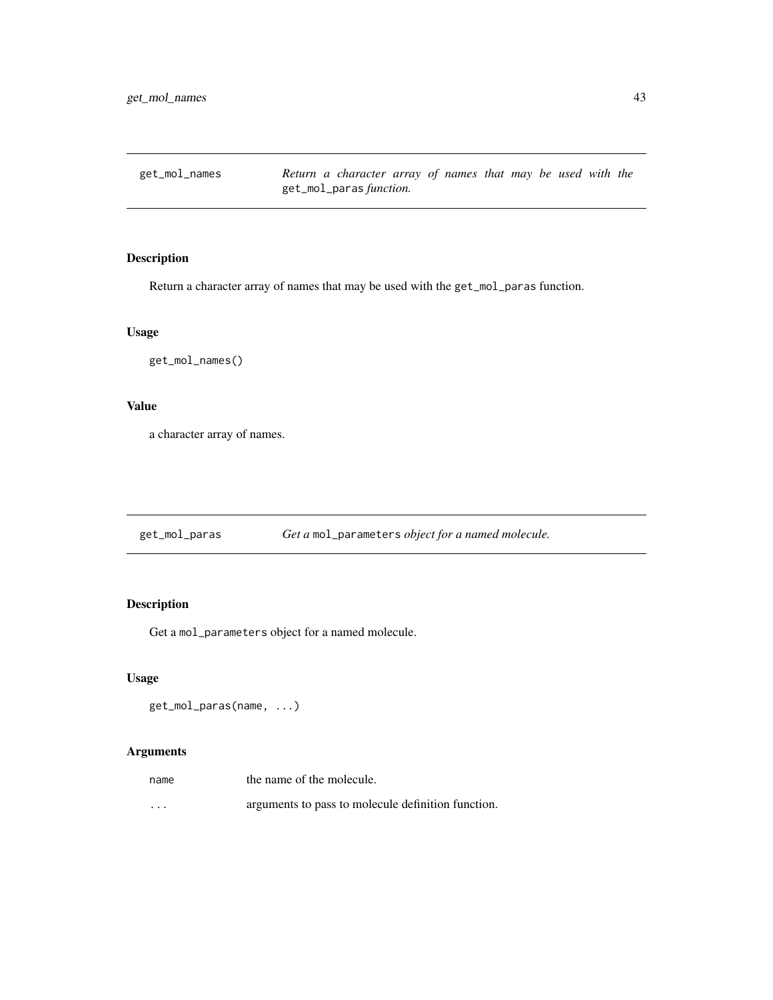get\_mol\_names *Return a character array of names that may be used with the* get\_mol\_paras *function.*

# Description

Return a character array of names that may be used with the get\_mol\_paras function.

### Usage

get\_mol\_names()

# Value

a character array of names.

get\_mol\_paras *Get a* mol\_parameters *object for a named molecule.*

# Description

Get a mol\_parameters object for a named molecule.

### Usage

get\_mol\_paras(name, ...)

# Arguments

| name | the name of the molecule.                          |
|------|----------------------------------------------------|
| .    | arguments to pass to molecule definition function. |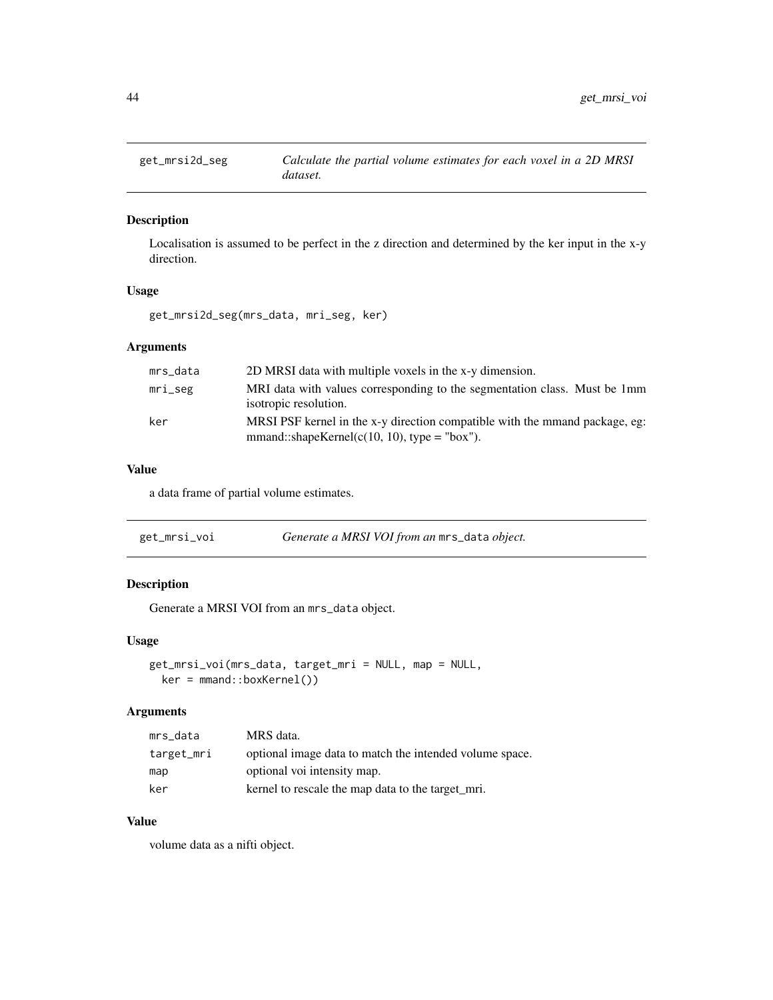Localisation is assumed to be perfect in the z direction and determined by the ker input in the x-y direction.

# Usage

get\_mrsi2d\_seg(mrs\_data, mri\_seg, ker)

### Arguments

| mrs_data | 2D MRSI data with multiple voxels in the x-y dimension.                                                                       |
|----------|-------------------------------------------------------------------------------------------------------------------------------|
| mri_seg  | MRI data with values corresponding to the segmentation class. Must be 1mm<br>isotropic resolution.                            |
| ker      | MRSI PSF kernel in the x-y direction compatible with the mmand package, eg:<br>$mmand::shapeKernel(c(10, 10), type = "box").$ |

#### Value

a data frame of partial volume estimates.

| get_mrsi_voi | Generate a MRSI VOI from an mrs_data object. |
|--------------|----------------------------------------------|
|--------------|----------------------------------------------|

# Description

Generate a MRSI VOI from an mrs\_data object.

### Usage

```
get_mrsi_voi(mrs_data, target_mri = NULL, map = NULL,
 ker = mmand::boxKernel())
```
### Arguments

| mrs_data   | MRS data.                                               |
|------------|---------------------------------------------------------|
| target_mri | optional image data to match the intended volume space. |
| map        | optional voi intensity map.                             |
| ker        | kernel to rescale the map data to the target mri.       |

# Value

volume data as a nifti object.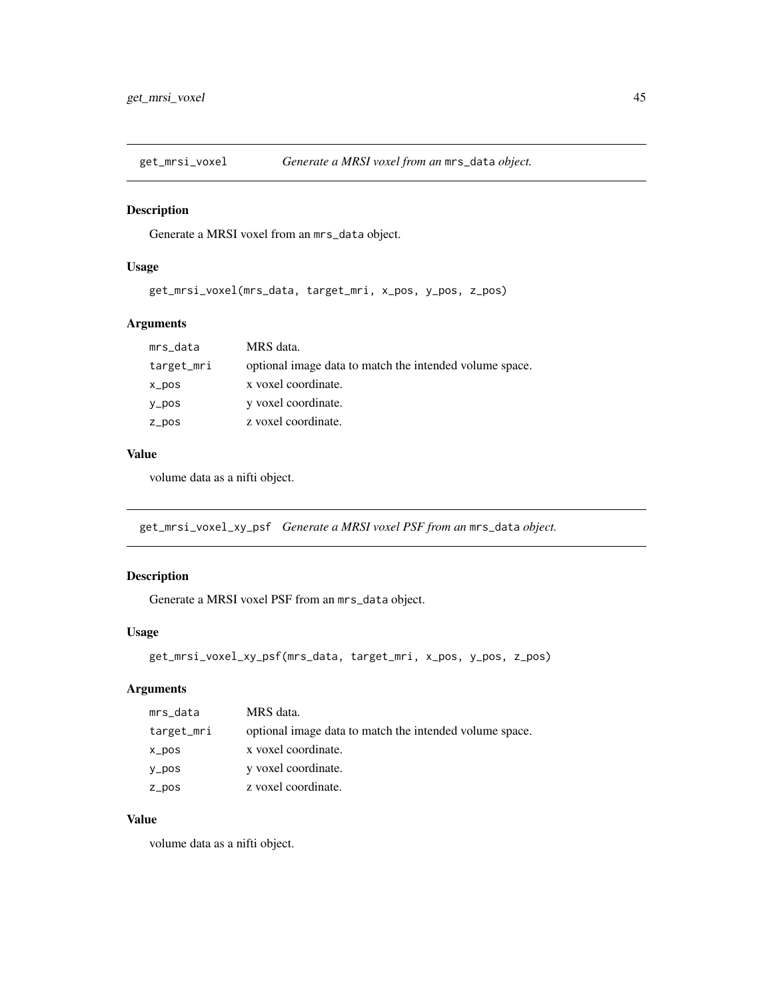Generate a MRSI voxel from an mrs\_data object.

### Usage

get\_mrsi\_voxel(mrs\_data, target\_mri, x\_pos, y\_pos, z\_pos)

### Arguments

| mrs_data   | MRS data.                                               |
|------------|---------------------------------------------------------|
| target_mri | optional image data to match the intended volume space. |
| x_pos      | x voxel coordinate.                                     |
| $y_p$ os   | y voxel coordinate.                                     |
| $Z_ppos$   | z voxel coordinate.                                     |

### Value

volume data as a nifti object.

get\_mrsi\_voxel\_xy\_psf *Generate a MRSI voxel PSF from an* mrs\_data *object.*

### Description

Generate a MRSI voxel PSF from an mrs\_data object.

### Usage

```
get_mrsi_voxel_xy_psf(mrs_data, target_mri, x_pos, y_pos, z_pos)
```
# Arguments

| mrs_data   | MRS data.                                               |
|------------|---------------------------------------------------------|
| target_mri | optional image data to match the intended volume space. |
| x_pos      | x voxel coordinate.                                     |
| y_pos      | y voxel coordinate.                                     |
| z_pos      | z voxel coordinate.                                     |

# Value

volume data as a nifti object.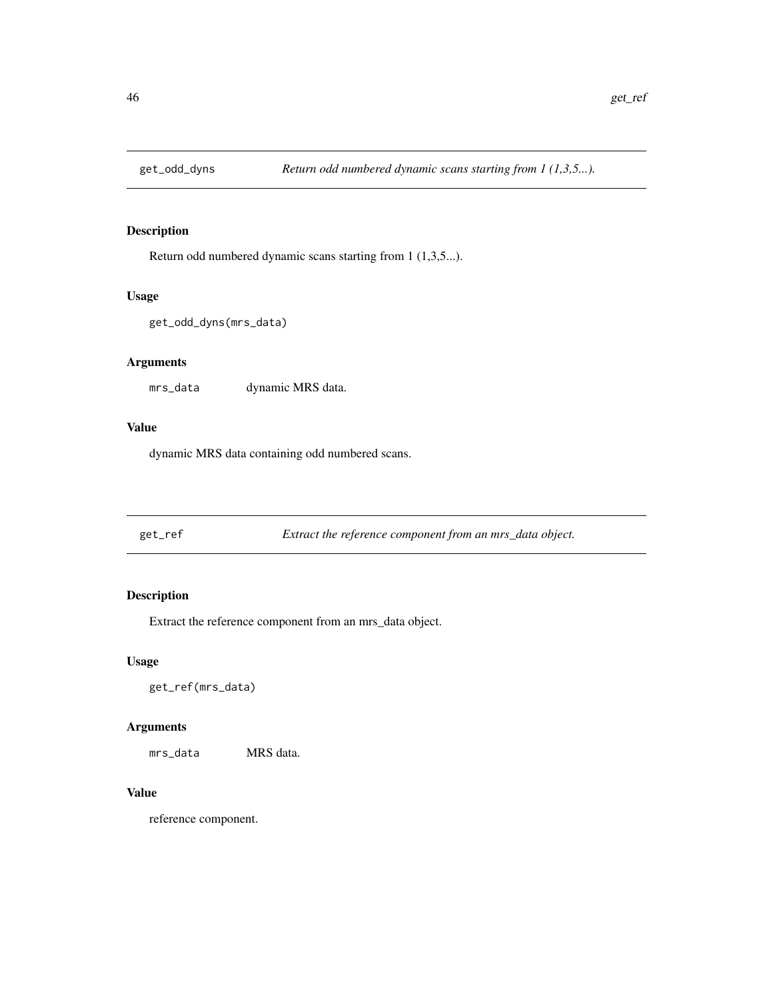Return odd numbered dynamic scans starting from 1 (1,3,5...).

#### Usage

```
get_odd_dyns(mrs_data)
```
### Arguments

mrs\_data dynamic MRS data.

#### Value

dynamic MRS data containing odd numbered scans.

get\_ref *Extract the reference component from an mrs\_data object.*

### Description

Extract the reference component from an mrs\_data object.

### Usage

get\_ref(mrs\_data)

### Arguments

mrs\_data MRS data.

#### Value

reference component.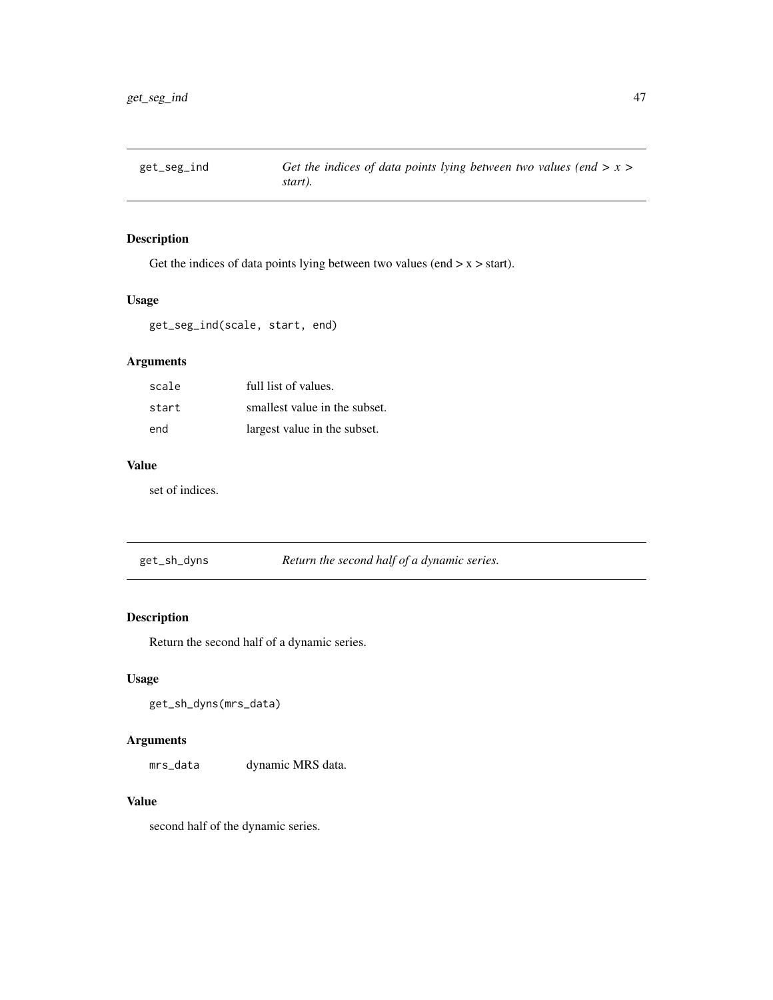Get the indices of data points lying between two values (end  $> x > start$ ).

### Usage

get\_seg\_ind(scale, start, end)

# Arguments

| scale | full list of values.          |
|-------|-------------------------------|
| start | smallest value in the subset. |
| end   | largest value in the subset.  |

# Value

set of indices.

get\_sh\_dyns *Return the second half of a dynamic series.*

### Description

Return the second half of a dynamic series.

### Usage

get\_sh\_dyns(mrs\_data)

# Arguments

mrs\_data dynamic MRS data.

# Value

second half of the dynamic series.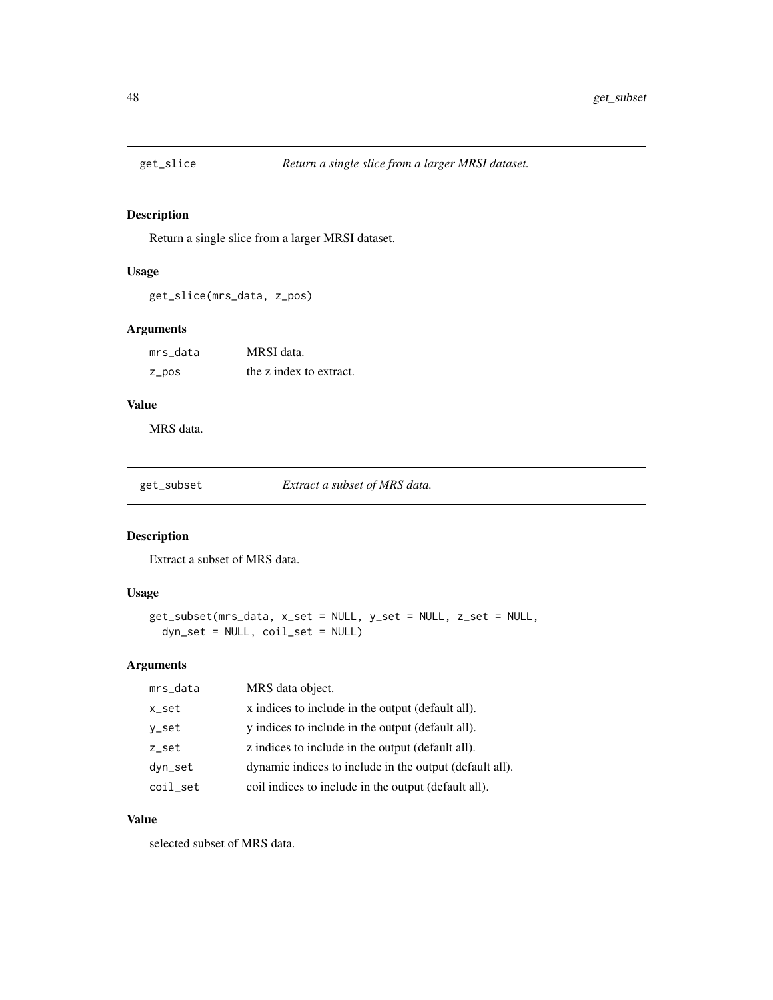Return a single slice from a larger MRSI dataset.

### Usage

```
get_slice(mrs_data, z_pos)
```
### Arguments

| mrs data | MRSI data.              |
|----------|-------------------------|
| z_pos    | the z index to extract. |

# Value

MRS data.

get\_subset *Extract a subset of MRS data.*

# Description

Extract a subset of MRS data.

# Usage

```
get_subset(mrs_data, x_set = NULL, y_set = NULL, z_set = NULL,
  dyn_set = NULL, coil_set = NULL)
```
### Arguments

| mrs_data | MRS data object.                                        |
|----------|---------------------------------------------------------|
| x_set    | x indices to include in the output (default all).       |
| y_set    | y indices to include in the output (default all).       |
| z_set    | z indices to include in the output (default all).       |
| dyn_set  | dynamic indices to include in the output (default all). |
| coil_set | coil indices to include in the output (default all).    |

### Value

selected subset of MRS data.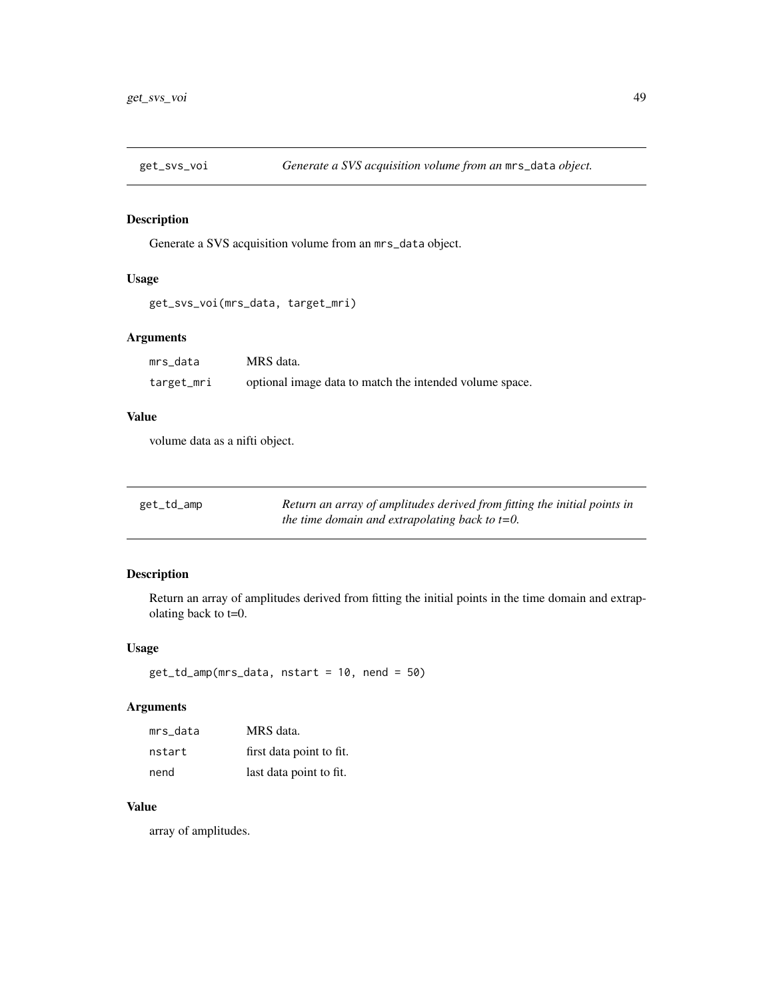Generate a SVS acquisition volume from an mrs\_data object.

# Usage

```
get_svs_voi(mrs_data, target_mri)
```
# Arguments

| mrs data   | MRS data.                                               |
|------------|---------------------------------------------------------|
| target_mri | optional image data to match the intended volume space. |

### Value

volume data as a nifti object.

| get_td_amp | Return an array of amplitudes derived from fitting the initial points in |
|------------|--------------------------------------------------------------------------|
|            | the time domain and extrapolating back to $t=0$ .                        |

### Description

Return an array of amplitudes derived from fitting the initial points in the time domain and extrapolating back to t=0.

### Usage

get\_td\_amp(mrs\_data, nstart = 10, nend = 50)

### Arguments

| mrs data | MRS data.                |
|----------|--------------------------|
| nstart   | first data point to fit. |
| nend     | last data point to fit.  |

# Value

array of amplitudes.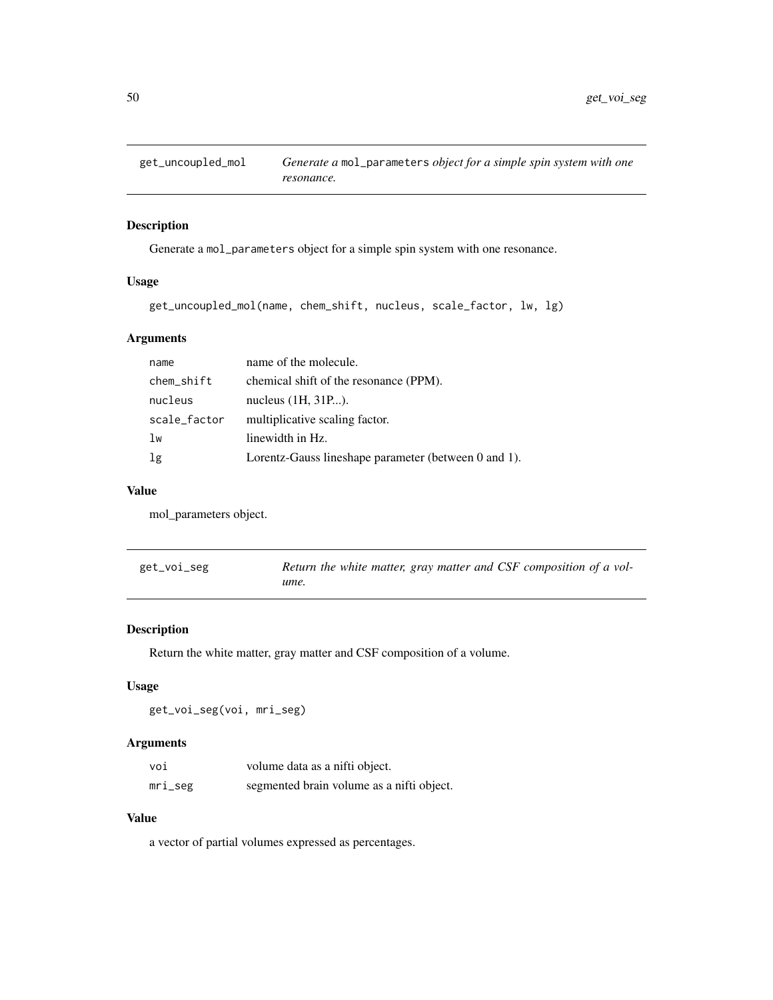Generate a mol\_parameters object for a simple spin system with one resonance.

### Usage

```
get_uncoupled_mol(name, chem_shift, nucleus, scale_factor, lw, lg)
```
# Arguments

| name         | name of the molecule.                                |
|--------------|------------------------------------------------------|
| chem_shift   | chemical shift of the resonance (PPM).               |
| nucleus      | nucleus $(1H, 31P).$                                 |
| scale_factor | multiplicative scaling factor.                       |
| 1w           | linewidth in Hz.                                     |
| 1g           | Lorentz-Gauss lineshape parameter (between 0 and 1). |

### Value

mol\_parameters object.

| get_voi_seg | Return the white matter, gray matter and CSF composition of a vol- |
|-------------|--------------------------------------------------------------------|
|             | ume.                                                               |

### Description

Return the white matter, gray matter and CSF composition of a volume.

### Usage

get\_voi\_seg(voi, mri\_seg)

# Arguments

| voi     | volume data as a nifti object.            |
|---------|-------------------------------------------|
| mri_seg | segmented brain volume as a nifti object. |

### Value

a vector of partial volumes expressed as percentages.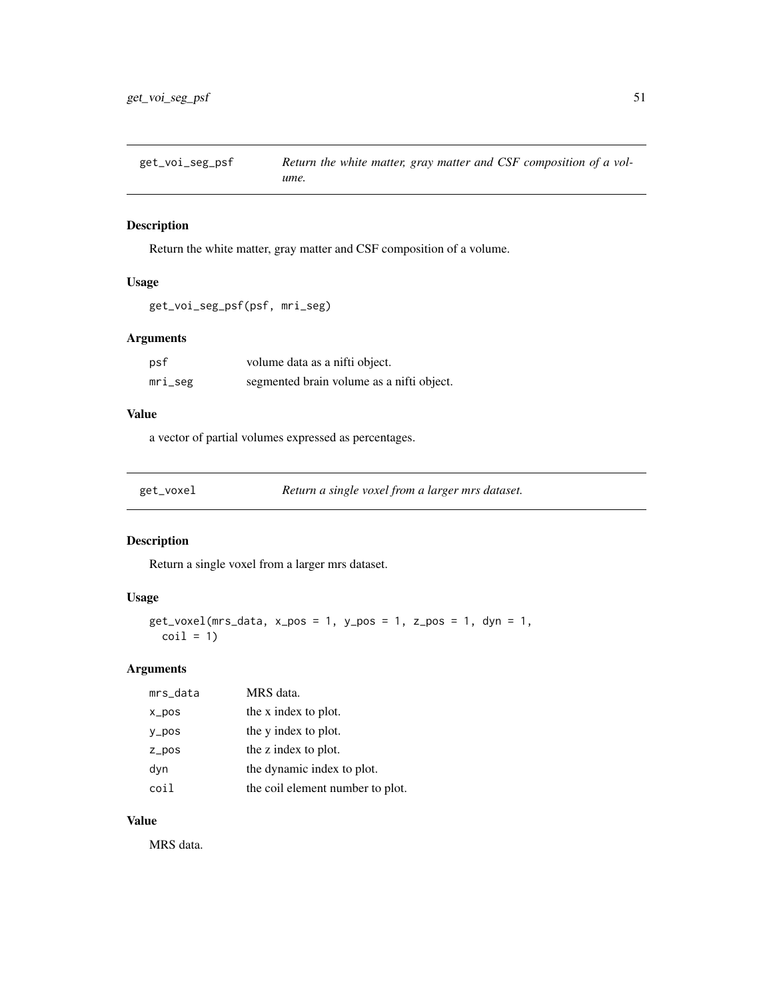get\_voi\_seg\_psf *Return the white matter, gray matter and CSF composition of a volume.*

#### Description

Return the white matter, gray matter and CSF composition of a volume.

### Usage

```
get_voi_seg_psf(psf, mri_seg)
```
# Arguments

| psf        | volume data as a nifti object.            |
|------------|-------------------------------------------|
| $mri\_seg$ | segmented brain volume as a nifti object. |

### Value

a vector of partial volumes expressed as percentages.

| get voxel |  |
|-----------|--|
|           |  |

get\_voxel *Return a single voxel from a larger mrs dataset.*

### Description

Return a single voxel from a larger mrs dataset.

### Usage

```
get_voxel(mrs_data, x_pos = 1, y_pos = 1, z_pos = 1, dyn = 1,\text{coil} = 1
```
#### Arguments

| mrs_data         | MRS data.                        |
|------------------|----------------------------------|
| $x_{\text{pos}}$ | the x index to plot.             |
| $y_p$ os         | the y index to plot.             |
| $Z_p$ pos        | the z index to plot.             |
| dyn              | the dynamic index to plot.       |
| coil             | the coil element number to plot. |

### Value

MRS data.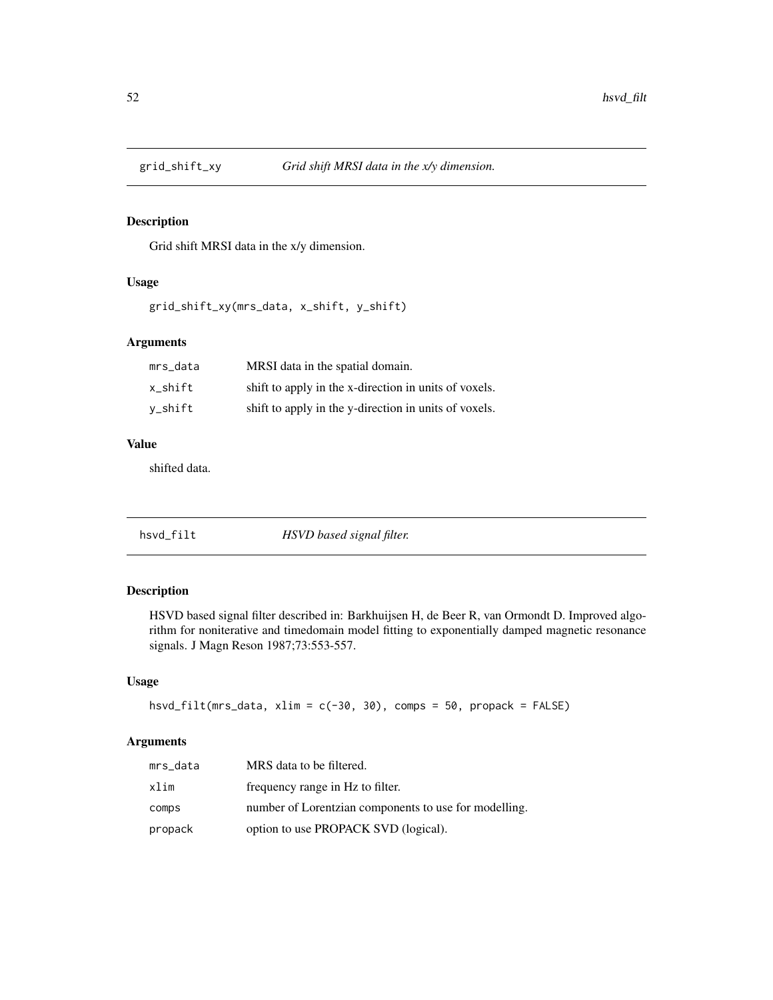Grid shift MRSI data in the x/y dimension.

### Usage

grid\_shift\_xy(mrs\_data, x\_shift, y\_shift)

### Arguments

| mrs_data | MRSI data in the spatial domain.                      |
|----------|-------------------------------------------------------|
| x shift  | shift to apply in the x-direction in units of voxels. |
| v_shift  | shift to apply in the y-direction in units of voxels. |

# Value

shifted data.

| hsvd_filt | HSVD based signal filter. |
|-----------|---------------------------|
|-----------|---------------------------|

# Description

HSVD based signal filter described in: Barkhuijsen H, de Beer R, van Ormondt D. Improved algorithm for noniterative and timedomain model fitting to exponentially damped magnetic resonance signals. J Magn Reson 1987;73:553-557.

# Usage

```
hsvd_filt(mrs_data, xlim = c(-30, 30), comps = 50, propack = FALSE)
```
### Arguments

| mrs_data | MRS data to be filtered.                              |
|----------|-------------------------------------------------------|
| xlim     | frequency range in Hz to filter.                      |
| comps    | number of Lorentzian components to use for modelling. |
| propack  | option to use PROPACK SVD (logical).                  |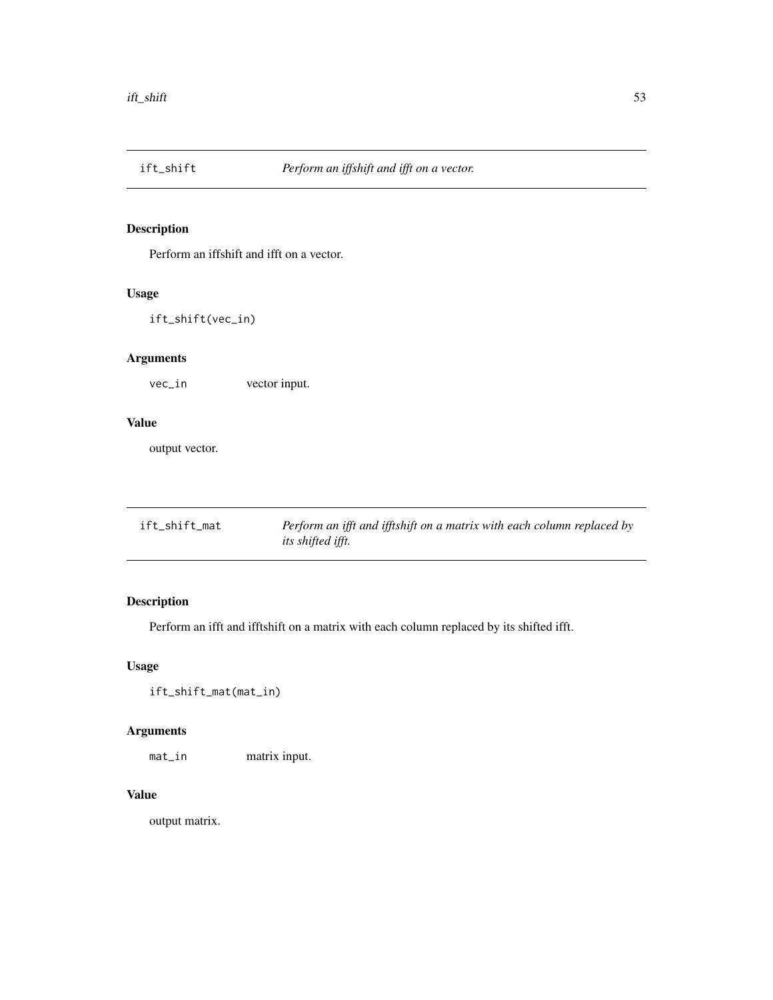Perform an iffshift and ifft on a vector.

### Usage

ift\_shift(vec\_in)

# Arguments

vec\_in vector input.

### Value

output vector.

| ift_shift_mat | Perform an ifft and ifftshift on a matrix with each column replaced by |
|---------------|------------------------------------------------------------------------|
|               | <i>its shifted ifft.</i>                                               |

# Description

Perform an ifft and ifftshift on a matrix with each column replaced by its shifted ifft.

# Usage

ift\_shift\_mat(mat\_in)

# Arguments

mat\_in matrix input.

# Value

output matrix.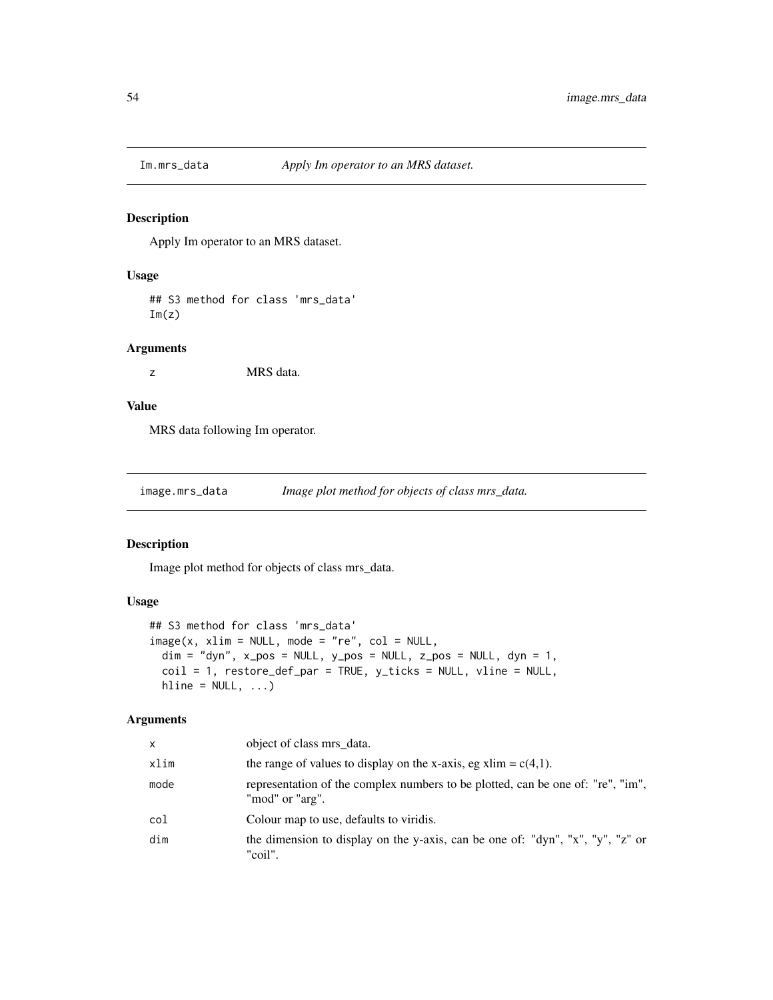Apply Im operator to an MRS dataset.

### Usage

## S3 method for class 'mrs\_data'  $Im(z)$ 

### Arguments

z MRS data.

### Value

MRS data following Im operator.

image.mrs\_data *Image plot method for objects of class mrs\_data.*

#### Description

Image plot method for objects of class mrs\_data.

#### Usage

```
## S3 method for class 'mrs_data'
image(x, xlim = NULL, mode = "re", col = NULL,\dim = "dyn", x\_pos = NULL, y\_pos = NULL, z\_pos = NULL, dyn = 1,coil = 1, restore_def_par = TRUE, y_ticks = NULL, vline = NULL,
 hline = NULL, ...
```
### Arguments

| x    | object of class mrs data.                                                                                 |
|------|-----------------------------------------------------------------------------------------------------------|
| xlim | the range of values to display on the x-axis, eg xlim = $c(4,1)$ .                                        |
| mode | representation of the complex numbers to be plotted, can be one of: "re", "im",<br>"mod" or "arg".        |
| col  | Colour map to use, defaults to viridis.                                                                   |
| dim  | the dimension to display on the y-axis, can be one of: " $dyn$ ", " $x$ ", " $y$ ", " $z$ " or<br>"coil". |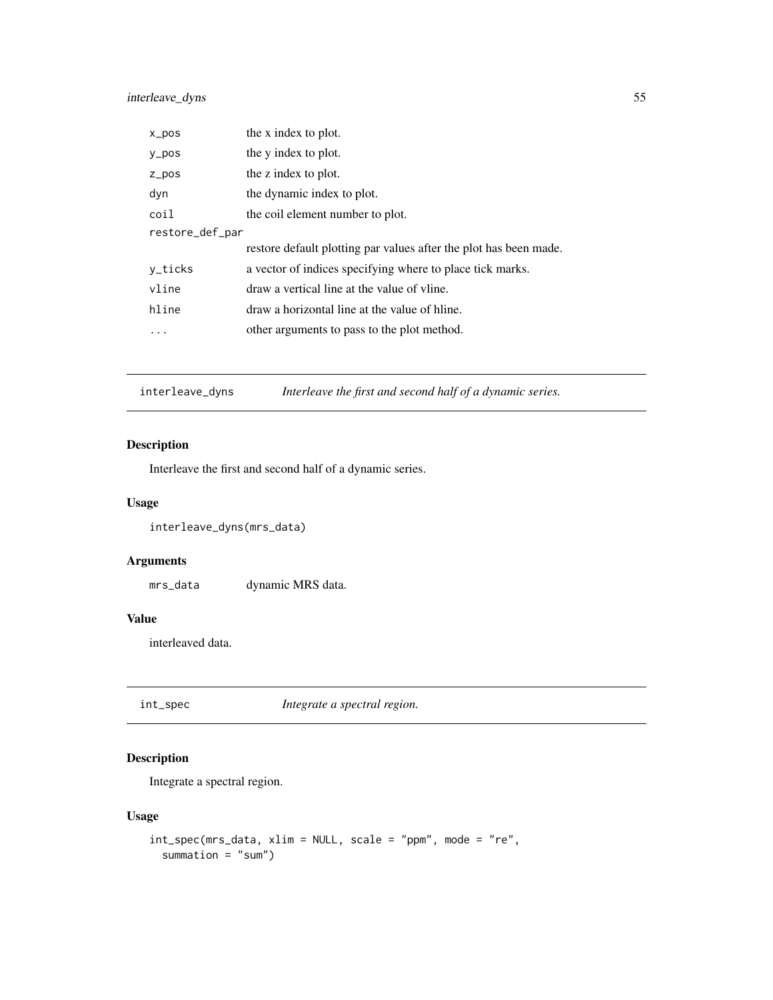### interleave\_dyns 55

| $x_p$ pos       | the x index to plot.                                              |
|-----------------|-------------------------------------------------------------------|
| $y_p$ os        | the y index to plot.                                              |
| $Z_p$ pos       | the z index to plot.                                              |
| dyn             | the dynamic index to plot.                                        |
| coil            | the coil element number to plot.                                  |
| restore_def_par |                                                                   |
|                 | restore default plotting par values after the plot has been made. |
| y_ticks         | a vector of indices specifying where to place tick marks.         |
| vline           | draw a vertical line at the value of vline.                       |
| hline           | draw a horizontal line at the value of hline.                     |
|                 | other arguments to pass to the plot method.                       |

interleave\_dyns *Interleave the first and second half of a dynamic series.*

# Description

Interleave the first and second half of a dynamic series.

### Usage

interleave\_dyns(mrs\_data)

### Arguments

mrs\_data dynamic MRS data.

# Value

interleaved data.

int\_spec *Integrate a spectral region.*

# Description

Integrate a spectral region.

### Usage

```
int_spec(mrs_data, xlim = NULL, scale = "ppm", mode = "re",
 summation = "sum")
```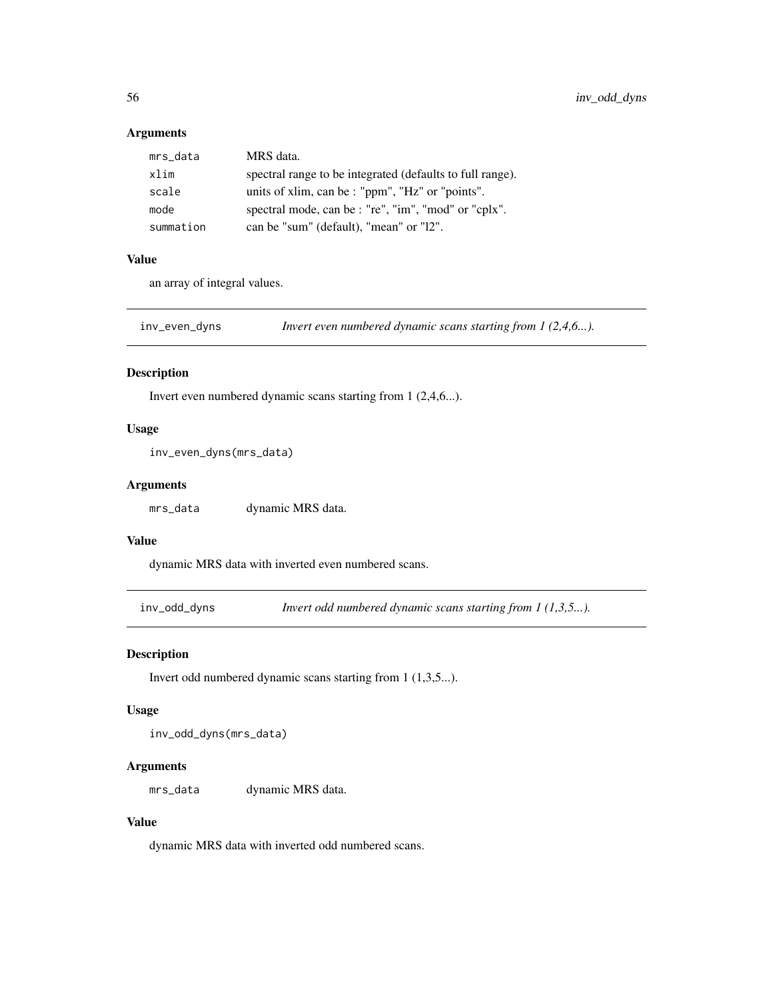### Arguments

| mrs_data  | MRS data.                                                 |
|-----------|-----------------------------------------------------------|
| xlim      | spectral range to be integrated (defaults to full range). |
| scale     | units of xlim, can be : "ppm", "Hz" or "points".          |
| mode      | spectral mode, can be : "re", "im", "mod" or "cplx".      |
| summation | can be "sum" (default), "mean" or "12".                   |

### Value

an array of integral values.

inv\_even\_dyns *Invert even numbered dynamic scans starting from 1 (2,4,6...).*

#### Description

Invert even numbered dynamic scans starting from 1 (2,4,6...).

### Usage

inv\_even\_dyns(mrs\_data)

### Arguments

mrs\_data dynamic MRS data.

#### Value

dynamic MRS data with inverted even numbered scans.

inv\_odd\_dyns *Invert odd numbered dynamic scans starting from 1 (1,3,5...).*

### Description

Invert odd numbered dynamic scans starting from 1 (1,3,5...).

#### Usage

inv\_odd\_dyns(mrs\_data)

#### Arguments

mrs\_data dynamic MRS data.

# Value

dynamic MRS data with inverted odd numbered scans.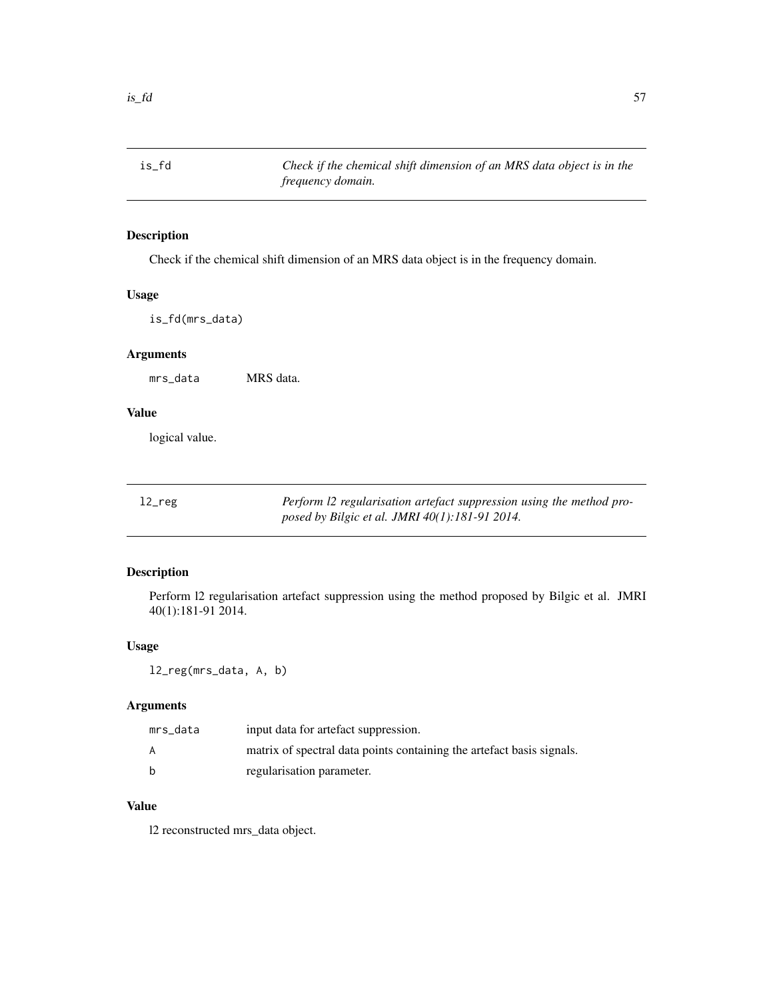is\_fd *Check if the chemical shift dimension of an MRS data object is in the frequency domain.*

# Description

Check if the chemical shift dimension of an MRS data object is in the frequency domain.

### Usage

is\_fd(mrs\_data)

# Arguments

mrs\_data MRS data.

### Value

logical value.

| $12$ reg | Perform 12 regularisation artefact suppression using the method pro- |
|----------|----------------------------------------------------------------------|
|          | posed by Bilgic et al. JMRI 40(1):181-91 2014.                       |

# Description

Perform l2 regularisation artefact suppression using the method proposed by Bilgic et al. JMRI 40(1):181-91 2014.

### Usage

l2\_reg(mrs\_data, A, b)

### Arguments

| mrs data | input data for artefact suppression.                                  |
|----------|-----------------------------------------------------------------------|
| A        | matrix of spectral data points containing the artefact basis signals. |
| b        | regularisation parameter.                                             |

# Value

l2 reconstructed mrs\_data object.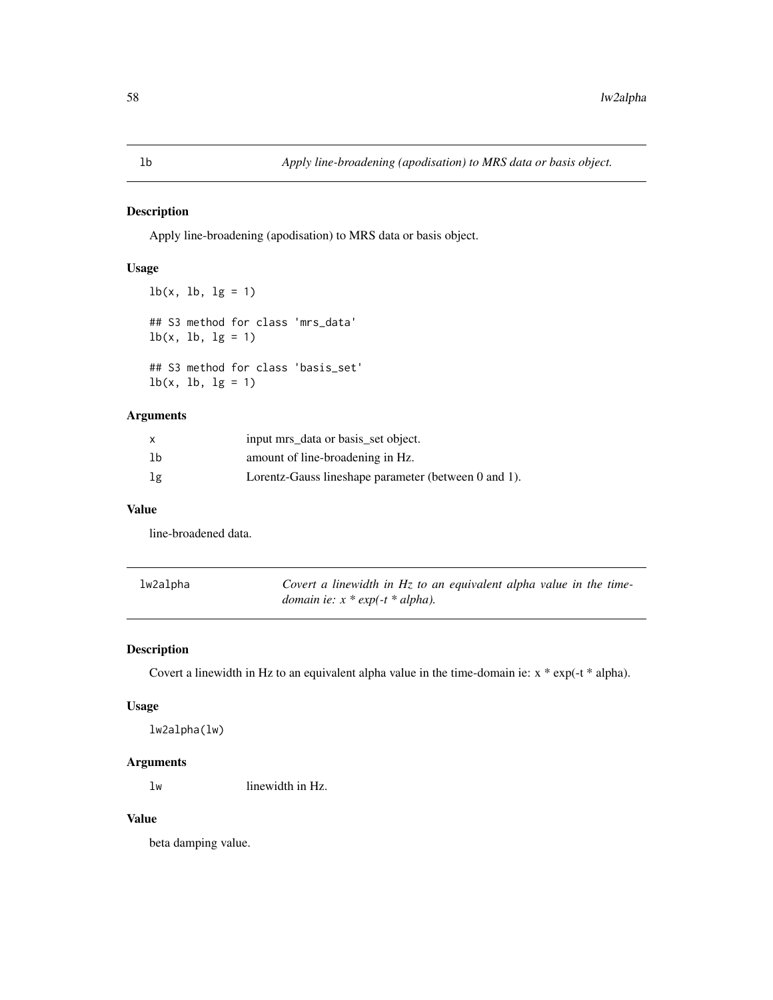Apply line-broadening (apodisation) to MRS data or basis object.

#### Usage

```
lb(x, lb, lg = 1)## S3 method for class 'mrs_data'
lb(x, lb, lg = 1)## S3 method for class 'basis_set'
lb(x, lb, lg = 1)
```
### Arguments

|    | input mrs_data or basis_set object.                  |
|----|------------------------------------------------------|
| 1b | amount of line-broadening in Hz.                     |
| lg | Lorentz-Gauss lineshape parameter (between 0 and 1). |

#### Value

line-broadened data.

| lw2alpha | Covert a linewidth in $Hz$ to an equivalent alpha value in the time- |
|----------|----------------------------------------------------------------------|
|          | <i>domain ie:</i> $x * exp(-t * alpha)$ .                            |

# Description

Covert a linewidth in Hz to an equivalent alpha value in the time-domain ie: x \* exp(-t \* alpha).

### Usage

lw2alpha(lw)

### Arguments

lw linewidth in Hz.

# Value

beta damping value.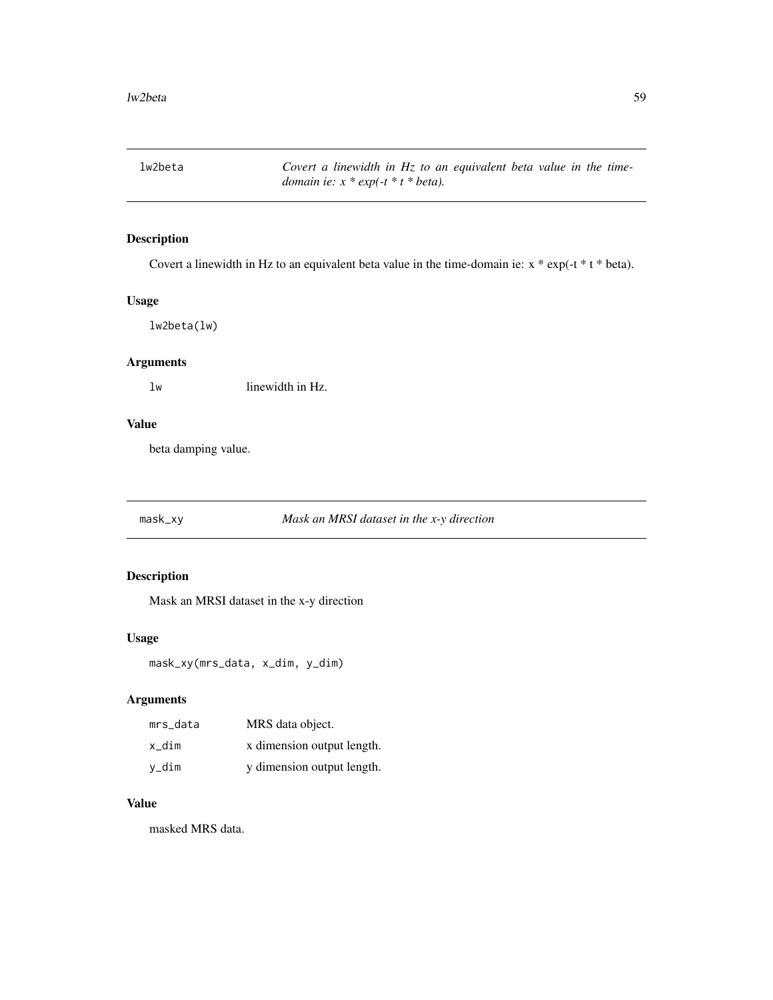lw2beta *Covert a linewidth in Hz to an equivalent beta value in the timedomain ie: x \* exp(-t \* t \* beta).*

# Description

Covert a linewidth in Hz to an equivalent beta value in the time-domain ie: x \* exp(-t \* t \* beta).

### Usage

lw2beta(lw)

# Arguments

lw linewidth in Hz.

# Value

beta damping value.

mask\_xy *Mask an MRSI dataset in the x-y direction*

#### Description

Mask an MRSI dataset in the x-y direction

### Usage

mask\_xy(mrs\_data, x\_dim, y\_dim)

#### Arguments

| mrs data | MRS data object.           |
|----------|----------------------------|
| x dim    | x dimension output length. |
| y_dim    | y dimension output length. |

#### Value

masked MRS data.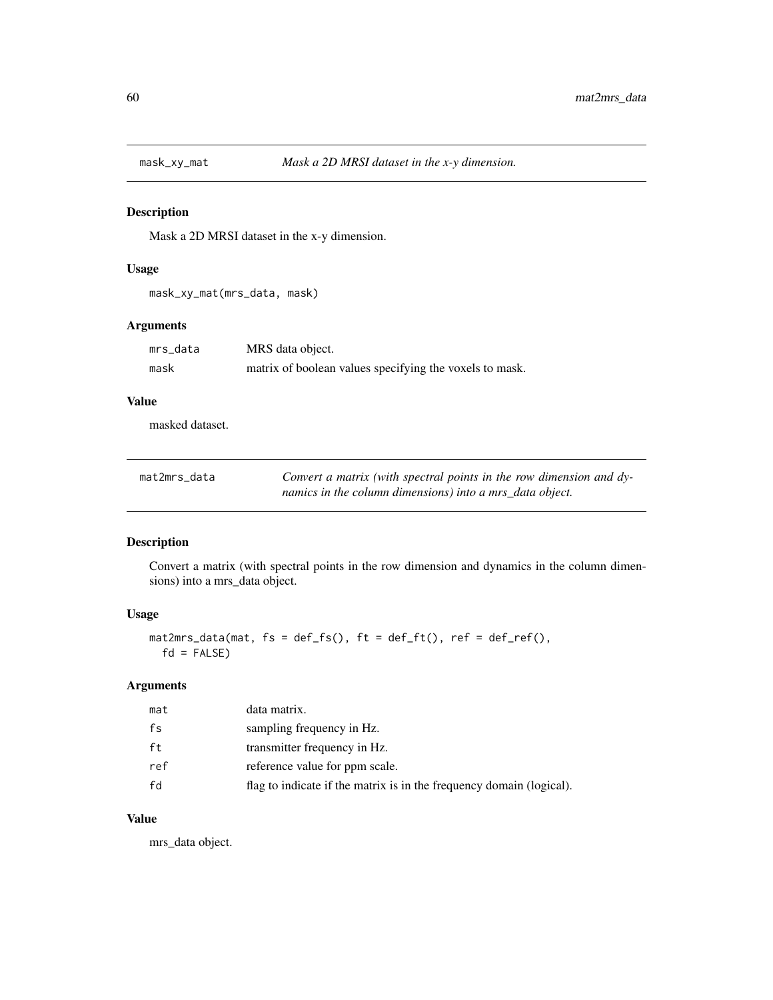Mask a 2D MRSI dataset in the x-y dimension.

#### Usage

mask\_xy\_mat(mrs\_data, mask)

### Arguments

| mrs data | MRS data object.                                        |
|----------|---------------------------------------------------------|
| mask     | matrix of boolean values specifying the voxels to mask. |

### Value

masked dataset.

| mat2mrs_data | Convert a matrix (with spectral points in the row dimension and dy- |
|--------------|---------------------------------------------------------------------|
|              | namics in the column dimensions) into a mrs data object.            |

# Description

Convert a matrix (with spectral points in the row dimension and dynamics in the column dimensions) into a mrs\_data object.

### Usage

mat2mrs\_data(mat, fs = def\_fs(), ft = def\_ft(), ref = def\_ref(),  $fd = FALSE)$ 

# Arguments

| mat | data matrix.                                                         |
|-----|----------------------------------------------------------------------|
| fs  | sampling frequency in Hz.                                            |
| ft  | transmitter frequency in Hz.                                         |
| ref | reference value for ppm scale.                                       |
| fd  | flag to indicate if the matrix is in the frequency domain (logical). |

### Value

mrs\_data object.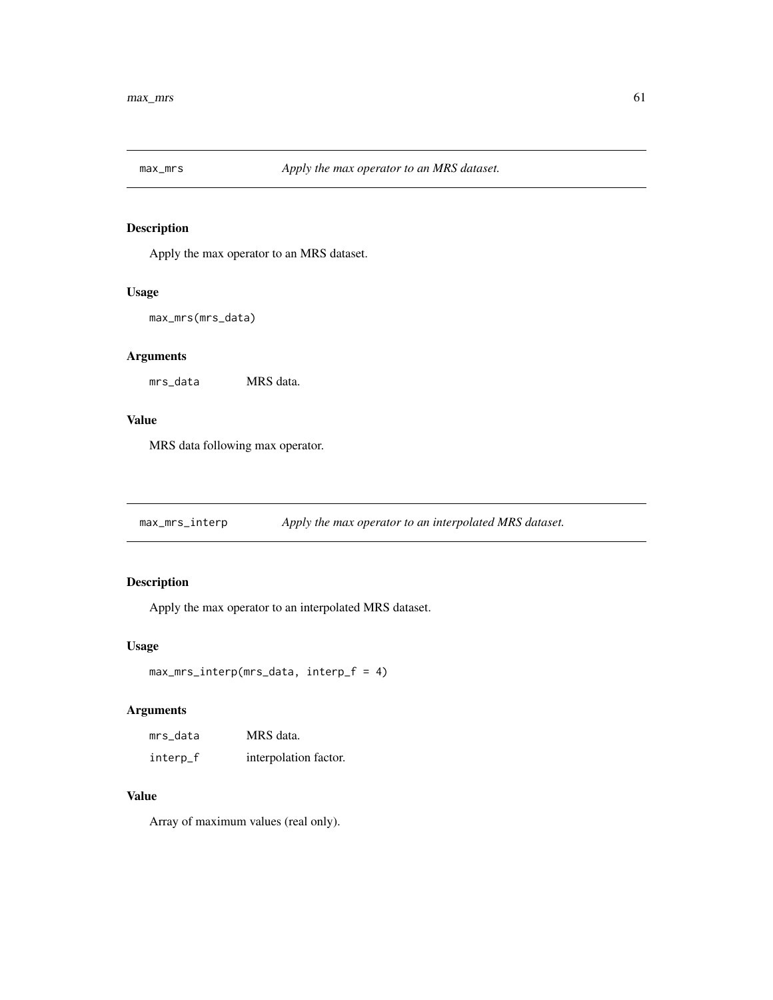Apply the max operator to an MRS dataset.

#### Usage

```
max_mrs(mrs_data)
```
# Arguments

mrs\_data MRS data.

### Value

MRS data following max operator.

max\_mrs\_interp *Apply the max operator to an interpolated MRS dataset.*

### Description

Apply the max operator to an interpolated MRS dataset.

### Usage

```
max_mrs_interp(mrs_data, interp_f = 4)
```
### Arguments

| mrs data | MRS data.             |  |  |
|----------|-----------------------|--|--|
| interp_f | interpolation factor. |  |  |

# Value

Array of maximum values (real only).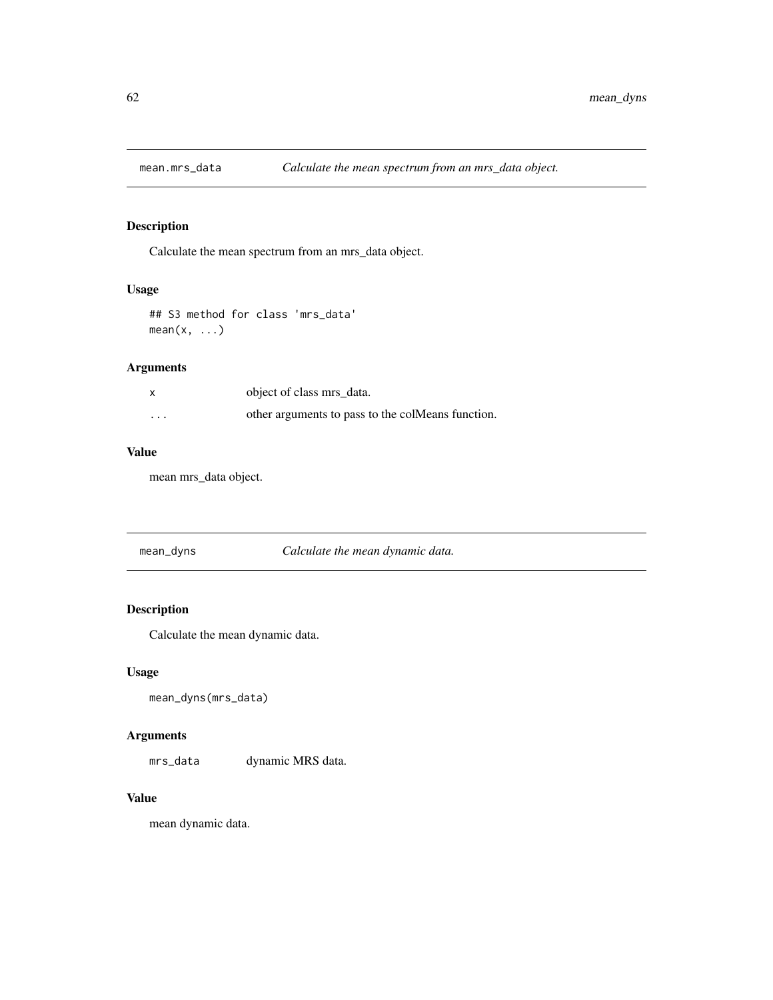Calculate the mean spectrum from an mrs\_data object.

# Usage

```
## S3 method for class 'mrs_data'
mean(x, \ldots)
```
# Arguments

| X        | object of class mrs data.                         |
|----------|---------------------------------------------------|
| $\cdots$ | other arguments to pass to the colMeans function. |

# Value

mean mrs\_data object.

| mean_dyns | Calculate the mean dynamic data. |
|-----------|----------------------------------|
|           |                                  |

# Description

Calculate the mean dynamic data.

### Usage

```
mean_dyns(mrs_data)
```
### Arguments

mrs\_data dynamic MRS data.

# Value

mean dynamic data.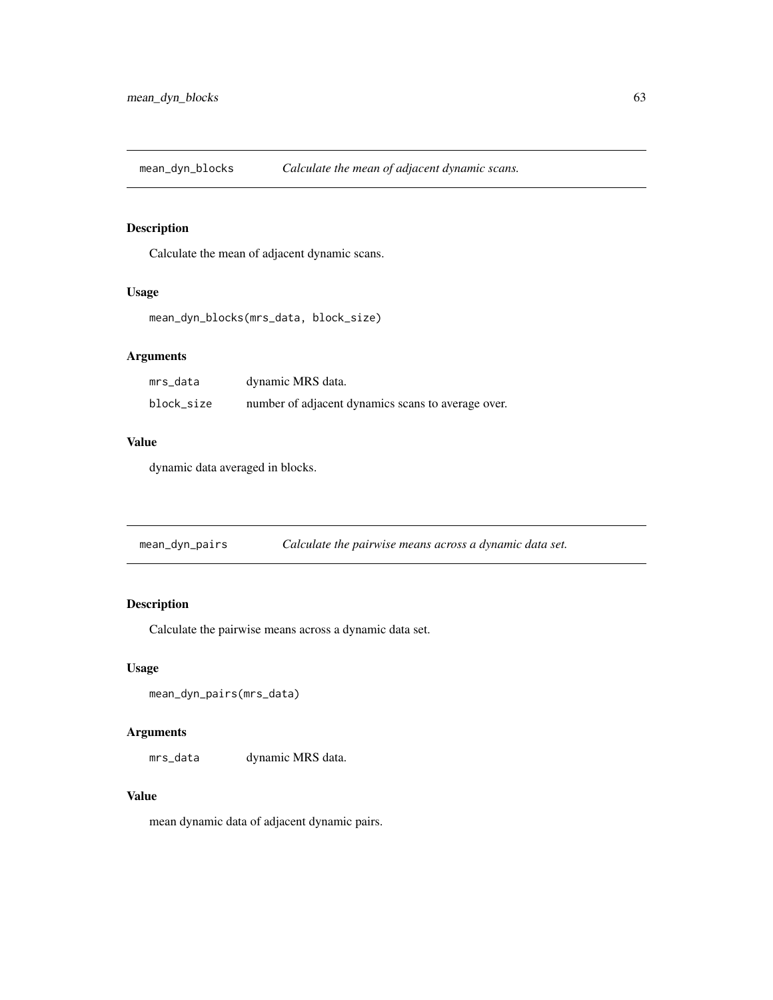mean\_dyn\_blocks *Calculate the mean of adjacent dynamic scans.*

### Description

Calculate the mean of adjacent dynamic scans.

#### Usage

```
mean_dyn_blocks(mrs_data, block_size)
```
# Arguments

| mrs_data   | dynamic MRS data.                                  |
|------------|----------------------------------------------------|
| block_size | number of adjacent dynamics scans to average over. |

# Value

dynamic data averaged in blocks.

| mean_dyn_pairs |  | Calculate the pairwise means across a dynamic data set. |  |
|----------------|--|---------------------------------------------------------|--|
|----------------|--|---------------------------------------------------------|--|

# Description

Calculate the pairwise means across a dynamic data set.

#### Usage

```
mean_dyn_pairs(mrs_data)
```
#### Arguments

mrs\_data dynamic MRS data.

### Value

mean dynamic data of adjacent dynamic pairs.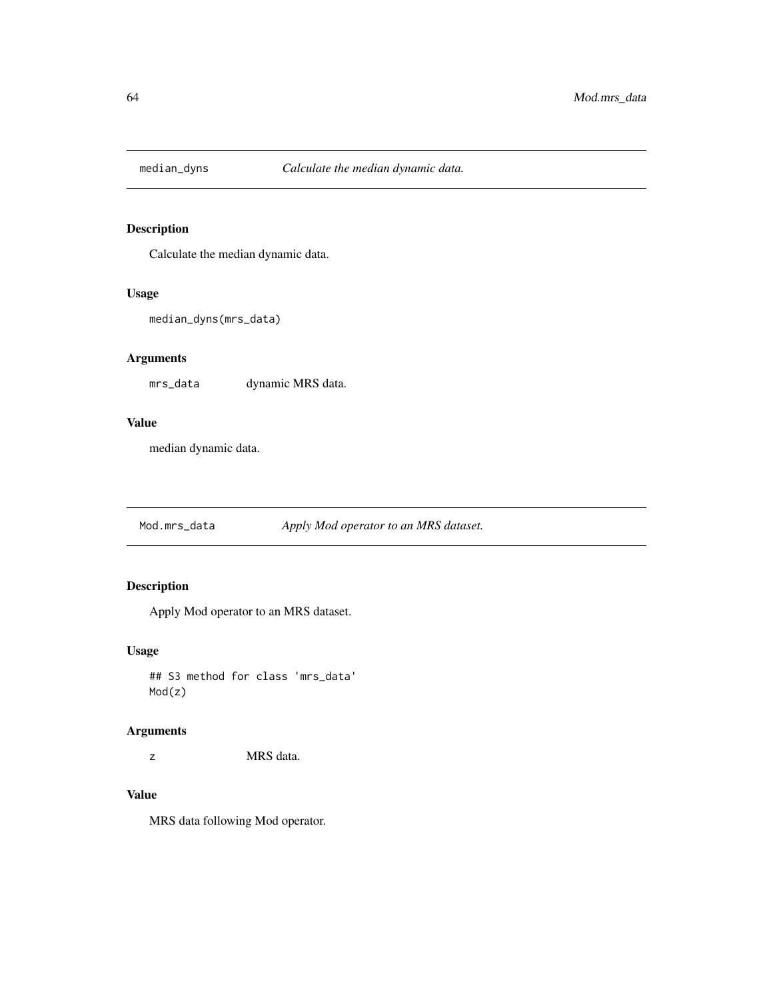Calculate the median dynamic data.

### Usage

```
median_dyns(mrs_data)
```
### Arguments

mrs\_data dynamic MRS data.

### Value

median dynamic data.

Mod.mrs\_data *Apply Mod operator to an MRS dataset.*

# Description

Apply Mod operator to an MRS dataset.

### Usage

## S3 method for class 'mrs\_data' Mod(z)

#### Arguments

z MRS data.

# Value

MRS data following Mod operator.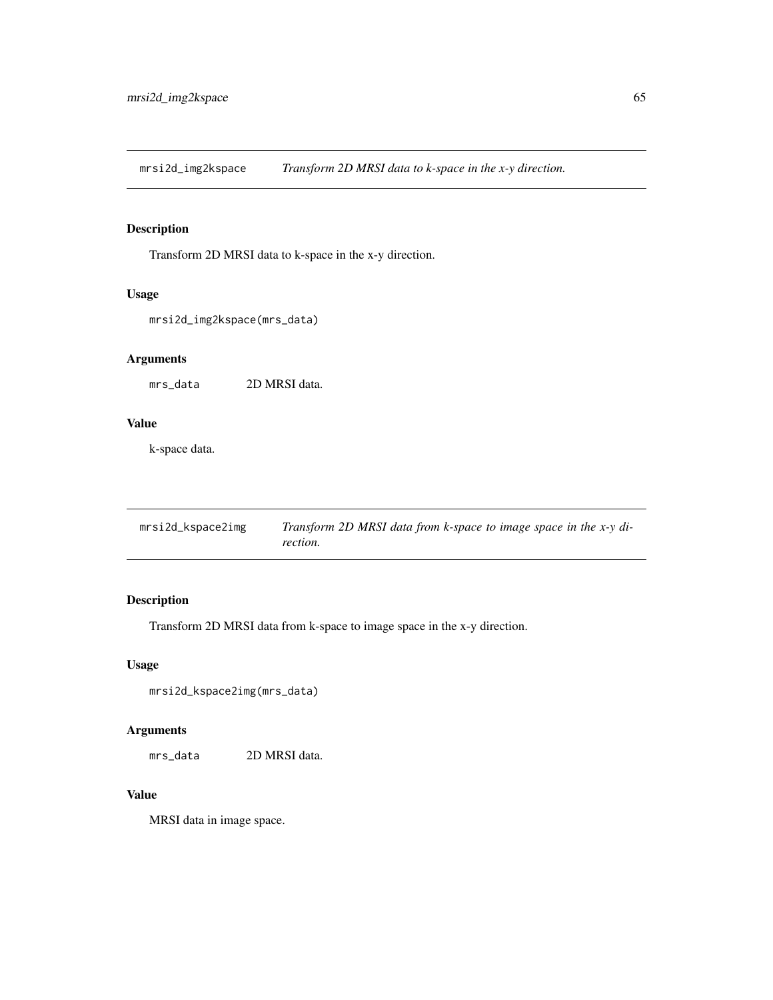mrsi2d\_img2kspace *Transform 2D MRSI data to k-space in the x-y direction.*

# Description

Transform 2D MRSI data to k-space in the x-y direction.

#### Usage

```
mrsi2d_img2kspace(mrs_data)
```
# Arguments

mrs\_data 2D MRSI data.

# Value

k-space data.

| mrsi2d_kspace2img | Transform 2D MRSI data from k-space to image space in the x-y di- |
|-------------------|-------------------------------------------------------------------|
|                   | rection.                                                          |

# Description

Transform 2D MRSI data from k-space to image space in the x-y direction.

### Usage

```
mrsi2d_kspace2img(mrs_data)
```
# Arguments

mrs\_data 2D MRSI data.

# Value

MRSI data in image space.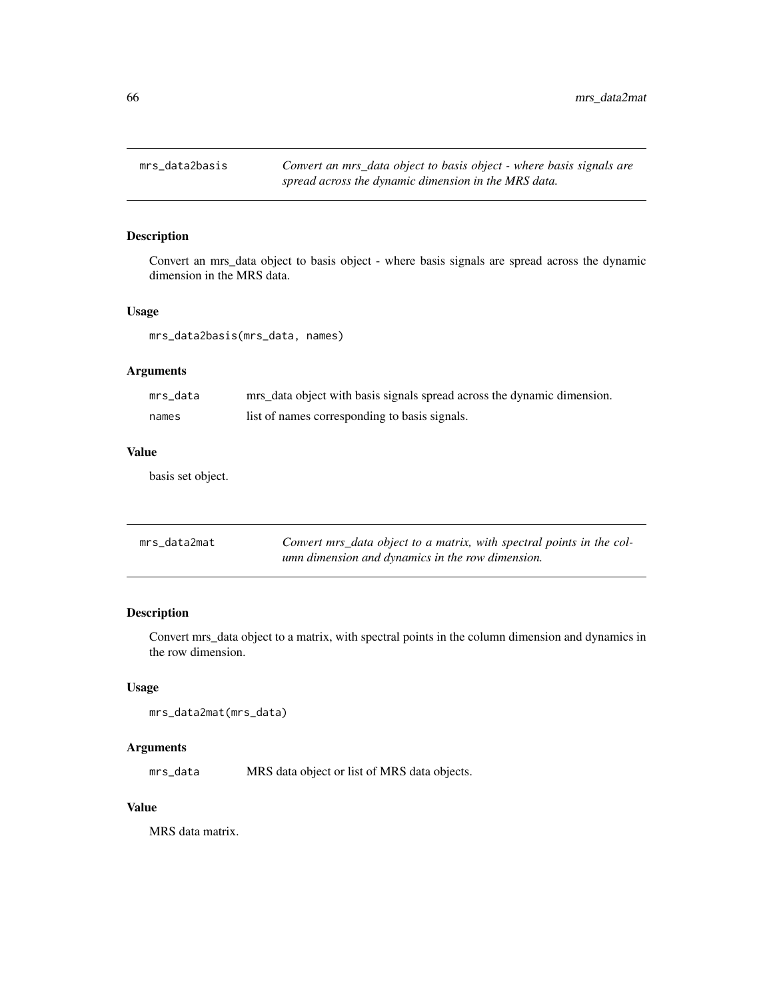Convert an mrs\_data object to basis object - where basis signals are spread across the dynamic dimension in the MRS data.

### Usage

mrs\_data2basis(mrs\_data, names)

### Arguments

| mrs data | mrs_data object with basis signals spread across the dynamic dimension. |
|----------|-------------------------------------------------------------------------|
| names    | list of names corresponding to basis signals.                           |

### Value

basis set object.

| mrs data2mat | Convert mrs_data object to a matrix, with spectral points in the col- |
|--------------|-----------------------------------------------------------------------|
|              | umn dimension and dynamics in the row dimension.                      |

### Description

Convert mrs\_data object to a matrix, with spectral points in the column dimension and dynamics in the row dimension.

### Usage

```
mrs_data2mat(mrs_data)
```
### Arguments

mrs\_data MRS data object or list of MRS data objects.

### Value

MRS data matrix.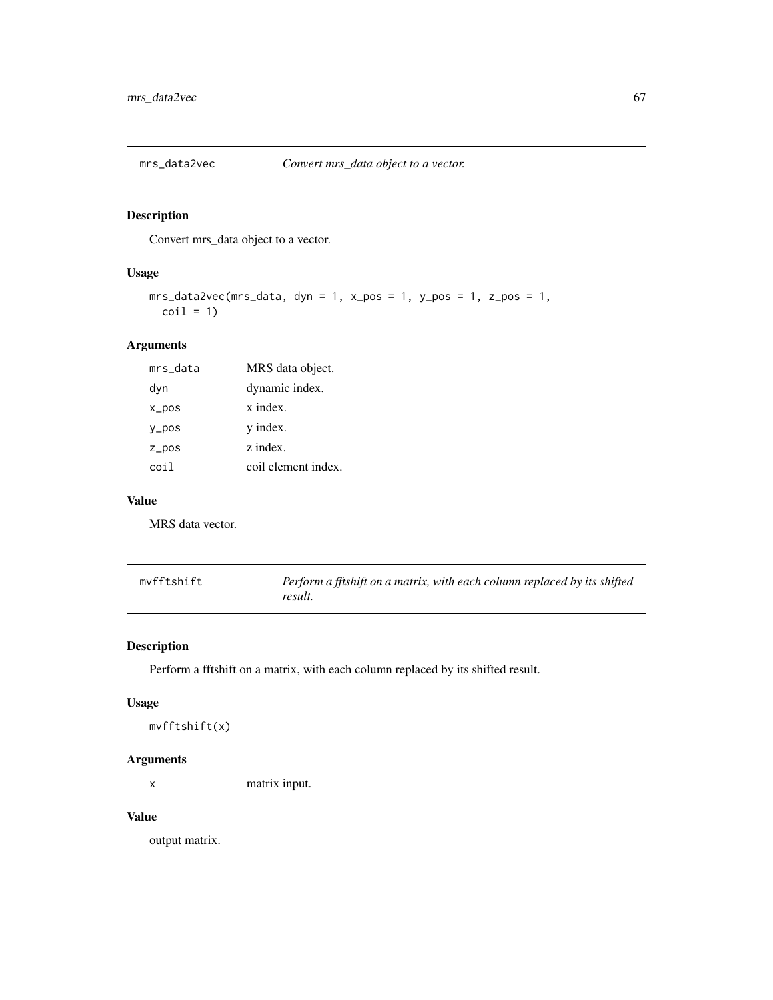Convert mrs\_data object to a vector.

### Usage

```
mrs\_data2vec(mrs\_data, dyn = 1, x\_pos = 1, y\_pos = 1, z\_pos = 1,\text{coil} = 1
```
# Arguments

| mrs_data          | MRS data object.    |
|-------------------|---------------------|
| dyn               | dynamic index.      |
| $x_{\text{pos}}$  | x index.            |
| $V_{\text{-}POS}$ | y index.            |
| $Z_p$ pos         | z index.            |
| coi l             | coil element index. |

### Value

MRS data vector.

| mvfftshift | Perform a fftshift on a matrix, with each column replaced by its shifted |
|------------|--------------------------------------------------------------------------|
|            | result.                                                                  |

# Description

Perform a fftshift on a matrix, with each column replaced by its shifted result.

### Usage

```
mvfftshift(x)
```
#### Arguments

x matrix input.

### Value

output matrix.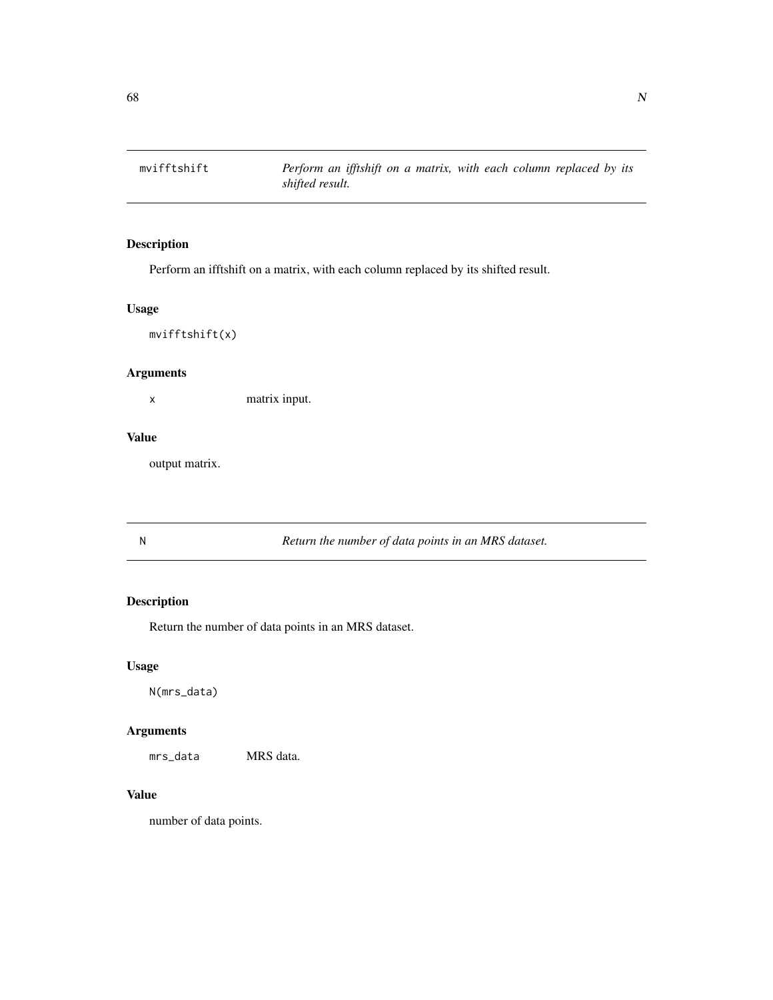Perform an ifftshift on a matrix, with each column replaced by its shifted result.

### Usage

mvifftshift(x)

### Arguments

x matrix input.

### Value

output matrix.

N *Return the number of data points in an MRS dataset.*

### Description

Return the number of data points in an MRS dataset.

### Usage

N(mrs\_data)

# Arguments

mrs\_data MRS data.

# Value

number of data points.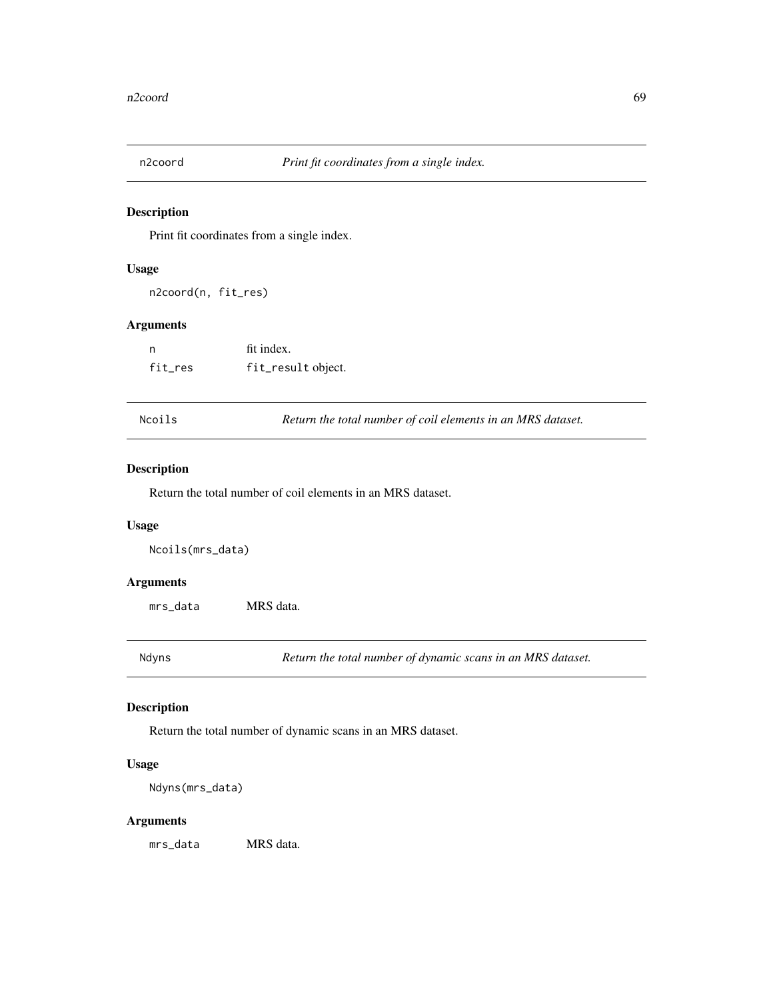Print fit coordinates from a single index.

#### Usage

n2coord(n, fit\_res)

### Arguments

| n       | fit index.         |
|---------|--------------------|
| fit_res | fit_result object. |

Ncoils *Return the total number of coil elements in an MRS dataset.*

### Description

Return the total number of coil elements in an MRS dataset.

#### Usage

Ncoils(mrs\_data)

#### Arguments

mrs\_data MRS data.

Ndyns *Return the total number of dynamic scans in an MRS dataset.*

### Description

Return the total number of dynamic scans in an MRS dataset.

### Usage

Ndyns(mrs\_data)

### Arguments

mrs\_data MRS data.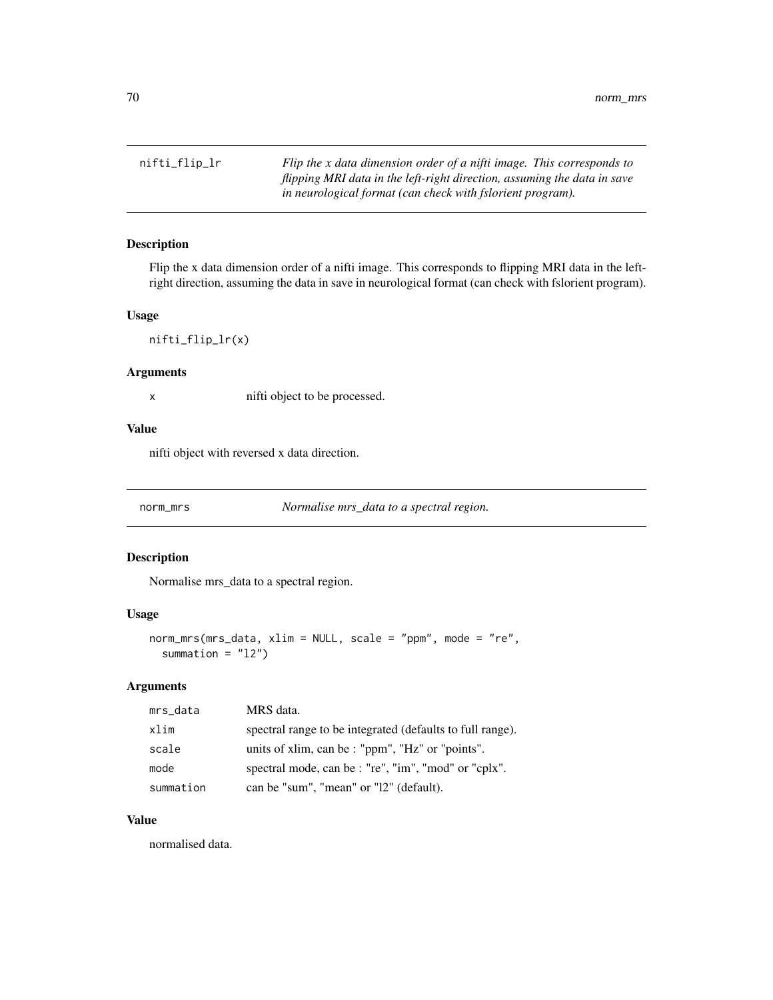nifti\_flip\_lr *Flip the x data dimension order of a nifti image. This corresponds to flipping MRI data in the left-right direction, assuming the data in save in neurological format (can check with fslorient program).*

### Description

Flip the x data dimension order of a nifti image. This corresponds to flipping MRI data in the leftright direction, assuming the data in save in neurological format (can check with fslorient program).

#### Usage

nifti\_flip\_lr(x)

#### Arguments

x nifti object to be processed.

#### Value

nifti object with reversed x data direction.

norm\_mrs *Normalise mrs\_data to a spectral region.*

#### Description

Normalise mrs\_data to a spectral region.

#### Usage

```
norm_mrs(mrs_data, xlim = NULL, scale = "ppm", mode = "re",
  summation = "12")
```
### Arguments

| mrs_data  | MRS data.                                                 |
|-----------|-----------------------------------------------------------|
| xlim      | spectral range to be integrated (defaults to full range). |
| scale     | units of xlim, can be : "ppm", "Hz" or "points".          |
| mode      | spectral mode, can be : "re", "im", "mod" or "cplx".      |
| summation | can be "sum", "mean" or "12" (default).                   |

### Value

normalised data.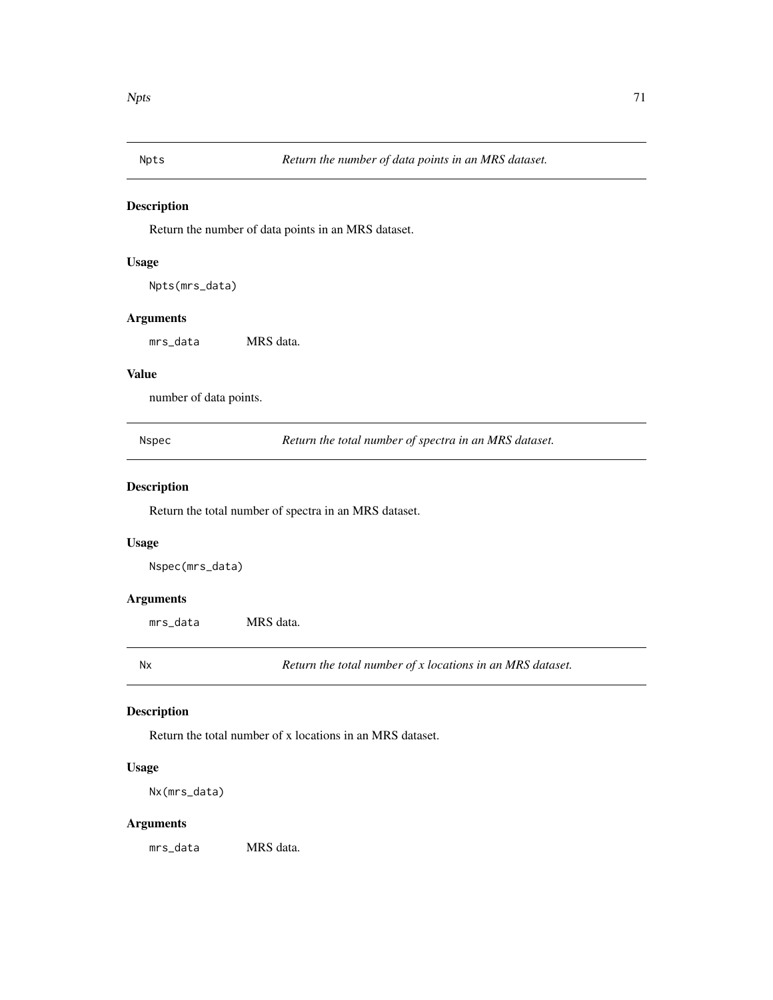Return the number of data points in an MRS dataset.

#### Usage

Npts(mrs\_data)

### Arguments

mrs\_data MRS data.

#### Value

number of data points.

Nspec *Return the total number of spectra in an MRS dataset.*

# Description

Return the total number of spectra in an MRS dataset.

#### Usage

Nspec(mrs\_data)

### Arguments

mrs\_data MRS data.

Nx *Return the total number of x locations in an MRS dataset.*

### Description

Return the total number of x locations in an MRS dataset.

### Usage

Nx(mrs\_data)

### Arguments

mrs\_data MRS data.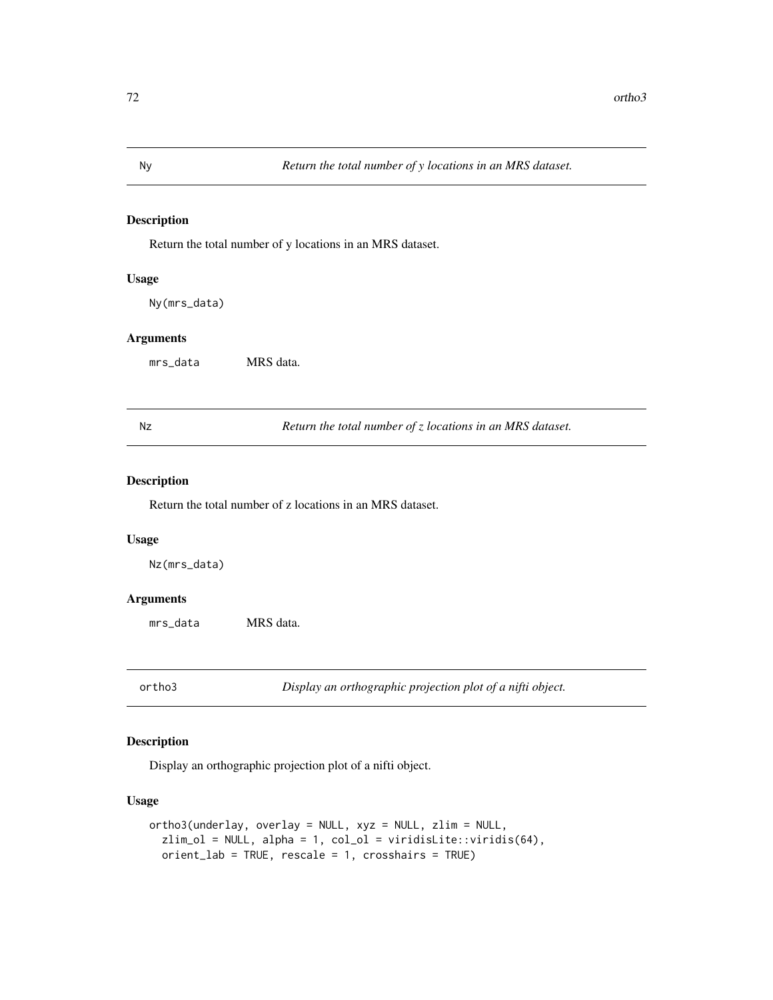Return the total number of y locations in an MRS dataset.

### Usage

Ny(mrs\_data)

#### Arguments

mrs\_data MRS data.

Nz *Return the total number of z locations in an MRS dataset.*

#### Description

Return the total number of z locations in an MRS dataset.

#### Usage

Nz(mrs\_data)

### Arguments

mrs\_data MRS data.

ortho3 *Display an orthographic projection plot of a nifti object.*

### Description

Display an orthographic projection plot of a nifti object.

### Usage

```
ortho3(underlay, overlay = NULL, xyz = NULL, zlim = NULL,
  zlim_cl = NULL, alpha = 1, col_ol = viridisLite::viridis(64),
 orient_lab = TRUE, rescale = 1, crosshairs = TRUE)
```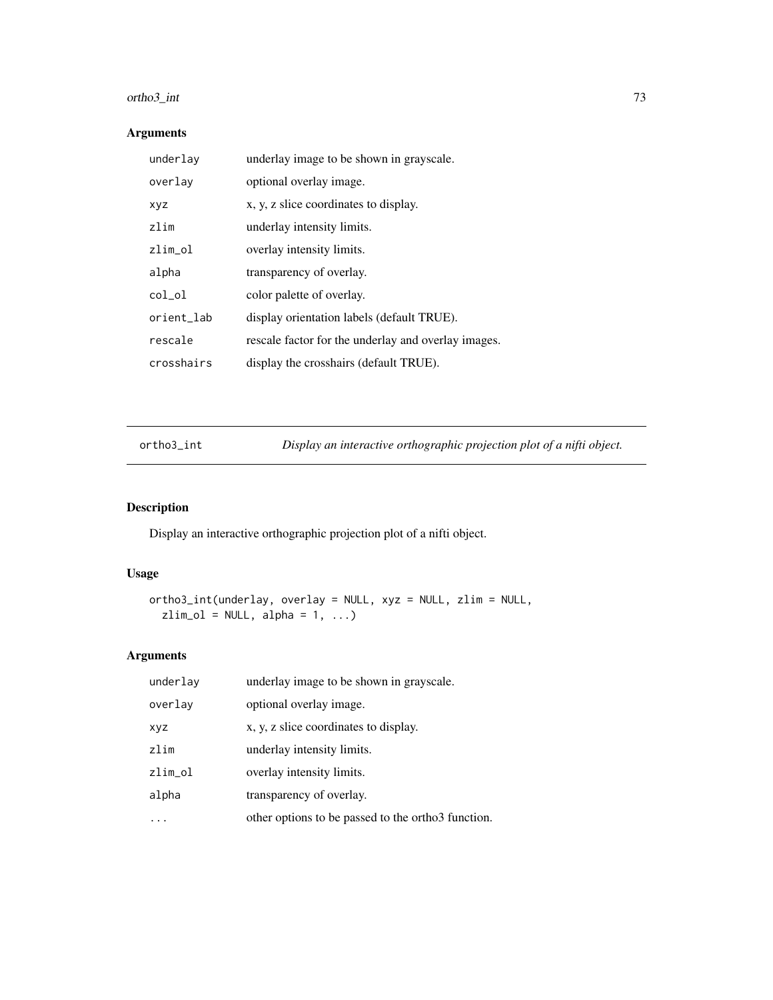# ortho3\_int 73

## Arguments

| underlay   | underlay image to be shown in grayscale.            |
|------------|-----------------------------------------------------|
| overlay    | optional overlay image.                             |
| xyz        | x, y, z slice coordinates to display.               |
| zlim       | underlay intensity limits.                          |
| zlim_ol    | overlay intensity limits.                           |
| alpha      | transparency of overlay.                            |
| col_ol     | color palette of overlay.                           |
| orient_lab | display orientation labels (default TRUE).          |
| rescale    | rescale factor for the underlay and overlay images. |
| crosshairs | display the crosshairs (default TRUE).              |

ortho3\_int *Display an interactive orthographic projection plot of a nifti object.*

# Description

Display an interactive orthographic projection plot of a nifti object.

### Usage

```
ortho3_int(underlay, overlay = NULL, xyz = NULL, zlim = NULL,
 zlim_cl = NULL, alpha = 1, ...)
```

| underlay   | underlay image to be shown in grayscale.           |
|------------|----------------------------------------------------|
| overlay    | optional overlay image.                            |
| <b>XYZ</b> | x, y, z slice coordinates to display.              |
| zlim       | underlay intensity limits.                         |
| zlim_ol    | overlay intensity limits.                          |
| alpha      | transparency of overlay.                           |
|            | other options to be passed to the orthor function. |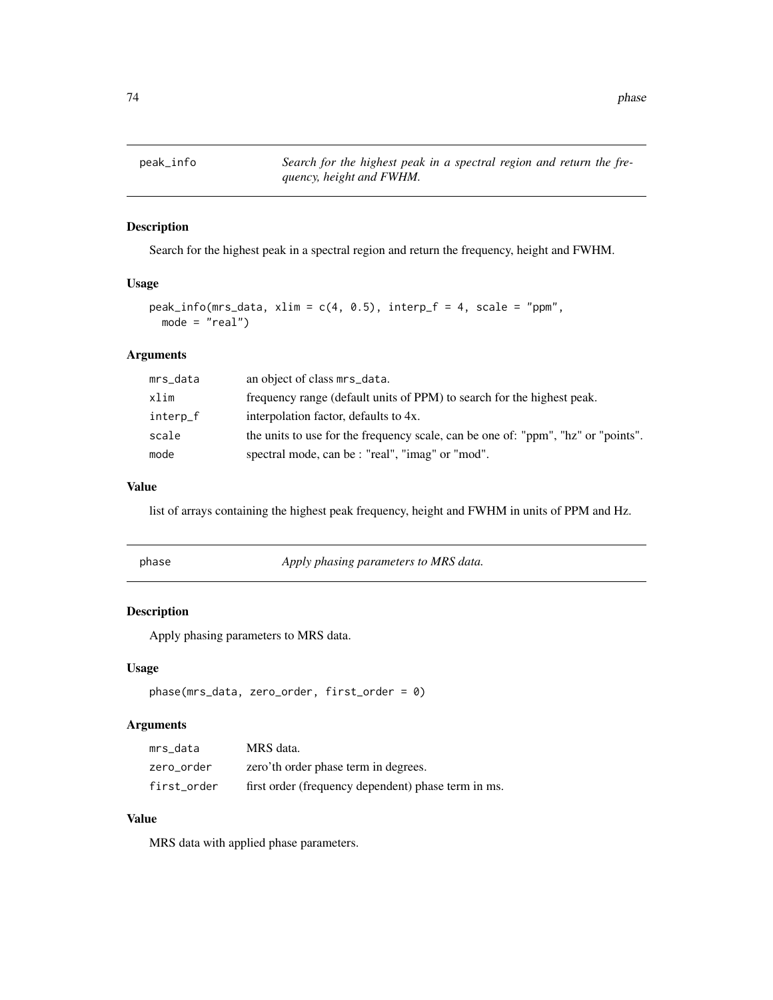peak\_info *Search for the highest peak in a spectral region and return the frequency, height and FWHM.*

### Description

Search for the highest peak in a spectral region and return the frequency, height and FWHM.

#### Usage

```
peak_info(mrs_data, xlim = c(4, 0.5), interp_f = 4, scale = "ppm",mode = "real")
```
### Arguments

| mrs_data | an object of class mrs_data.                                                      |
|----------|-----------------------------------------------------------------------------------|
| xlim     | frequency range (default units of PPM) to search for the highest peak.            |
| interp_f | interpolation factor, defaults to 4x.                                             |
| scale    | the units to use for the frequency scale, can be one of: "ppm", "hz" or "points". |
| mode     | spectral mode, can be : "real", "imag" or "mod".                                  |

#### Value

list of arrays containing the highest peak frequency, height and FWHM in units of PPM and Hz.

| phase | Apply phasing parameters to MRS data. |
|-------|---------------------------------------|
|       |                                       |

## Description

Apply phasing parameters to MRS data.

### Usage

```
phase(mrs_data, zero_order, first_order = 0)
```
#### Arguments

| mrs data    | MRS data.                                           |
|-------------|-----------------------------------------------------|
| zero order  | zero'th order phase term in degrees.                |
| first order | first order (frequency dependent) phase term in ms. |

### Value

MRS data with applied phase parameters.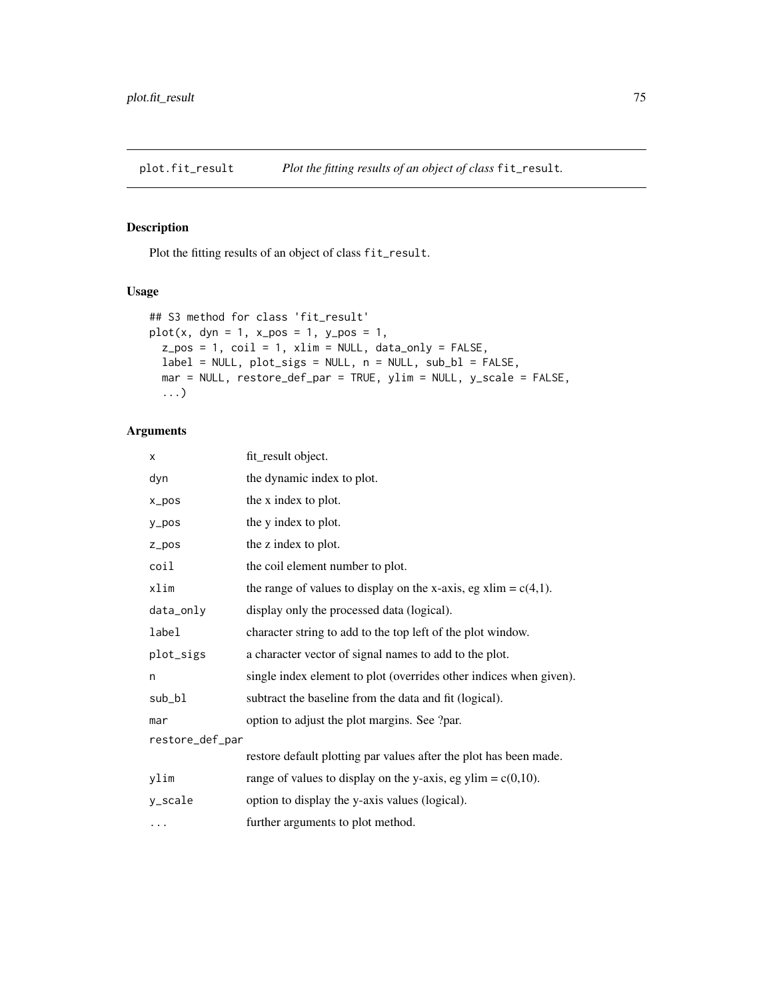Plot the fitting results of an object of class fit\_result.

## Usage

```
## S3 method for class 'fit_result'
plot(x, dyn = 1, x_pos = 1, y_pos = 1,z_{pos} = 1, coil = 1, xlim = NULL, data_{only} = FALSE,
 label = NULL, plot_sigs = NULL, n = NULL, sub_bl = FALSE,
 mar = NULL, restore_def_par = TRUE, ylim = NULL, y_scale = FALSE,
  ...)
```

| X               | fit_result object.                                                 |  |
|-----------------|--------------------------------------------------------------------|--|
| dyn             | the dynamic index to plot.                                         |  |
| $x_{pos}$       | the x index to plot.                                               |  |
| y_pos           | the y index to plot.                                               |  |
| $Z_ppos$        | the z index to plot.                                               |  |
| coil            | the coil element number to plot.                                   |  |
| xlim            | the range of values to display on the x-axis, eg xlim = $c(4,1)$ . |  |
| data_only       | display only the processed data (logical).                         |  |
| label           | character string to add to the top left of the plot window.        |  |
| plot_sigs       | a character vector of signal names to add to the plot.             |  |
| n               | single index element to plot (overrides other indices when given). |  |
| sub_bl          | subtract the baseline from the data and fit (logical).             |  |
| mar             | option to adjust the plot margins. See ?par.                       |  |
| restore_def_par |                                                                    |  |
|                 | restore default plotting par values after the plot has been made.  |  |
| ylim            | range of values to display on the y-axis, eg ylim = $c(0,10)$ .    |  |
| y_scale         | option to display the y-axis values (logical).                     |  |
| $\ddotsc$       | further arguments to plot method.                                  |  |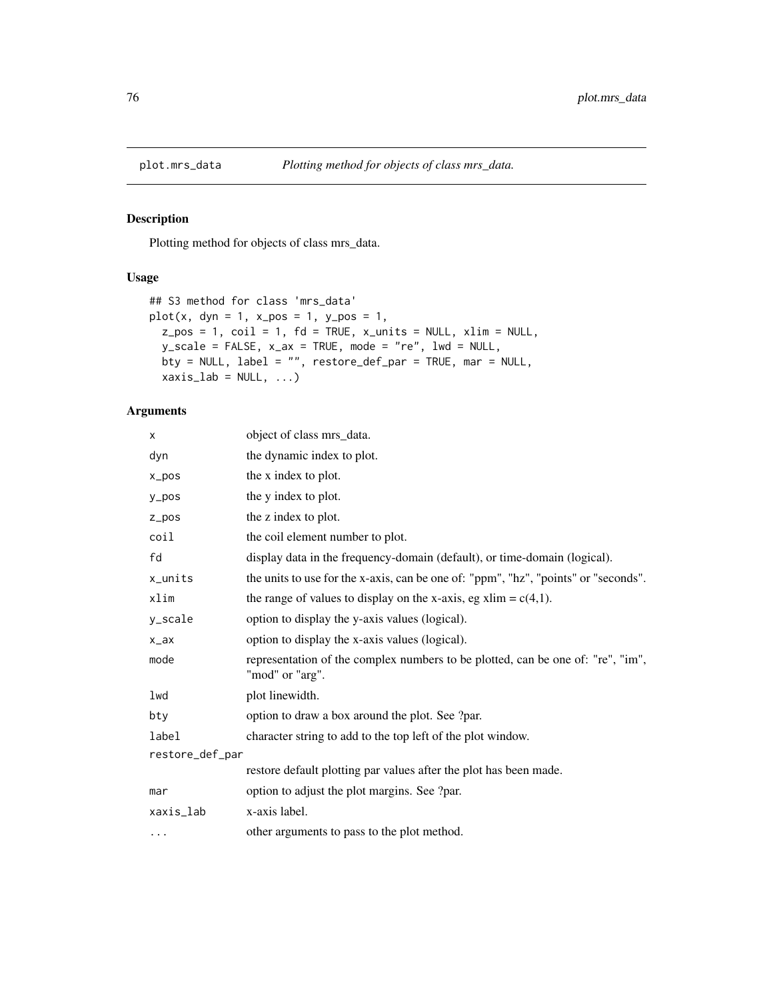Plotting method for objects of class mrs\_data.

## Usage

```
## S3 method for class 'mrs_data'
plot(x, dyn = 1, x_pos = 1, y_pos = 1,z_{pos} = 1, coil = 1, fd = TRUE, x_{units} = NULL, xlim = NULL,
 y\_scale = FALSE, x_ax = TRUE, mode = "re", lwd = NULL,bty = NULL, label = "", restore_def_par = TRUE, mar = NULL,
 xaxis\_lab = NULL, ...
```

| X               | object of class mrs_data.                                                                          |  |
|-----------------|----------------------------------------------------------------------------------------------------|--|
| dyn             | the dynamic index to plot.                                                                         |  |
| $x_{pos}$       | the x index to plot.                                                                               |  |
| $y_p$ os        | the y index to plot.                                                                               |  |
| $Z_ppos$        | the z index to plot.                                                                               |  |
| coil            | the coil element number to plot.                                                                   |  |
| fd              | display data in the frequency-domain (default), or time-domain (logical).                          |  |
| x_units         | the units to use for the x-axis, can be one of: "ppm", "hz", "points" or "seconds".                |  |
| xlim            | the range of values to display on the x-axis, eg xlim = $c(4,1)$ .                                 |  |
| y_scale         | option to display the y-axis values (logical).                                                     |  |
| $x_ax$          | option to display the x-axis values (logical).                                                     |  |
| mode            | representation of the complex numbers to be plotted, can be one of: "re", "im",<br>"mod" or "arg". |  |
| lwd             | plot linewidth.                                                                                    |  |
| bty             | option to draw a box around the plot. See ?par.                                                    |  |
| label           | character string to add to the top left of the plot window.                                        |  |
| restore_def_par |                                                                                                    |  |
|                 | restore default plotting par values after the plot has been made.                                  |  |
| mar             | option to adjust the plot margins. See ?par.                                                       |  |
| xaxis_lab       | x-axis label.                                                                                      |  |
| $\cdots$        | other arguments to pass to the plot method.                                                        |  |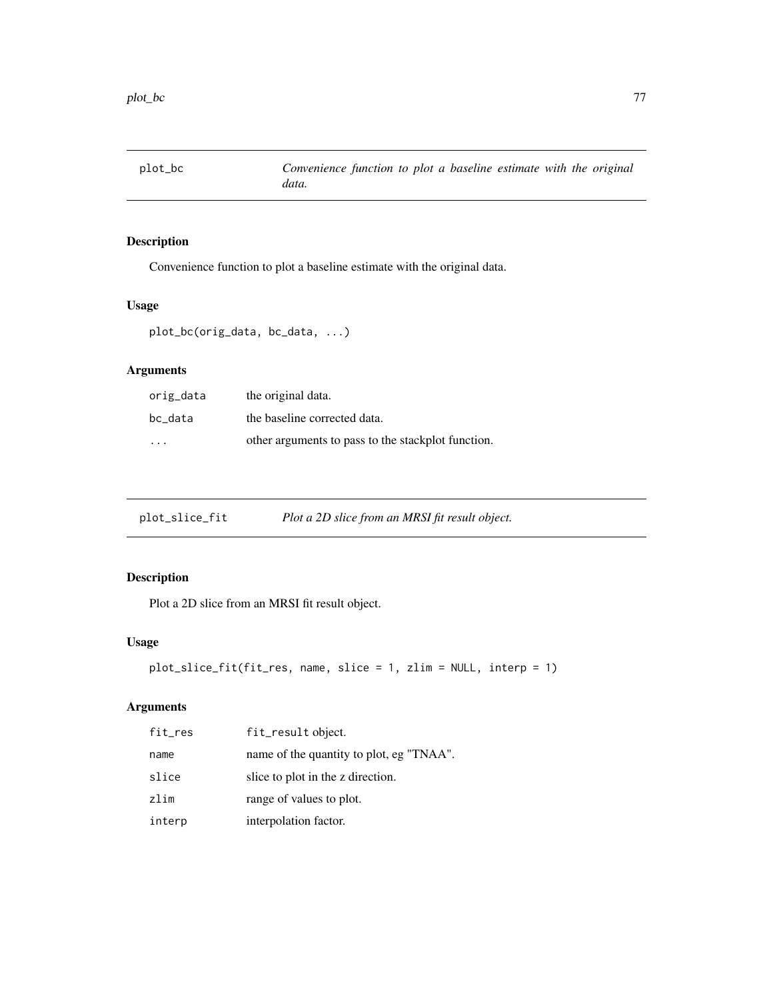Convenience function to plot a baseline estimate with the original data.

# Usage

```
plot_bc(orig_data, bc_data, ...)
```
# Arguments

| orig_data | the original data.                                 |
|-----------|----------------------------------------------------|
| bc_data   | the baseline corrected data.                       |
| .         | other arguments to pass to the stackplot function. |

| plot_slice_fit | Plot a 2D slice from an MRSI fit result object. |  |
|----------------|-------------------------------------------------|--|
|                |                                                 |  |

# Description

Plot a 2D slice from an MRSI fit result object.

## Usage

```
plot_slice_fit(fit_res, name, slice = 1, zlim = NULL, interp = 1)
```

| fit_res | fit_result object.                       |
|---------|------------------------------------------|
| name    | name of the quantity to plot, eg "TNAA". |
| slice   | slice to plot in the z direction.        |
| zlim    | range of values to plot.                 |
| interp  | interpolation factor.                    |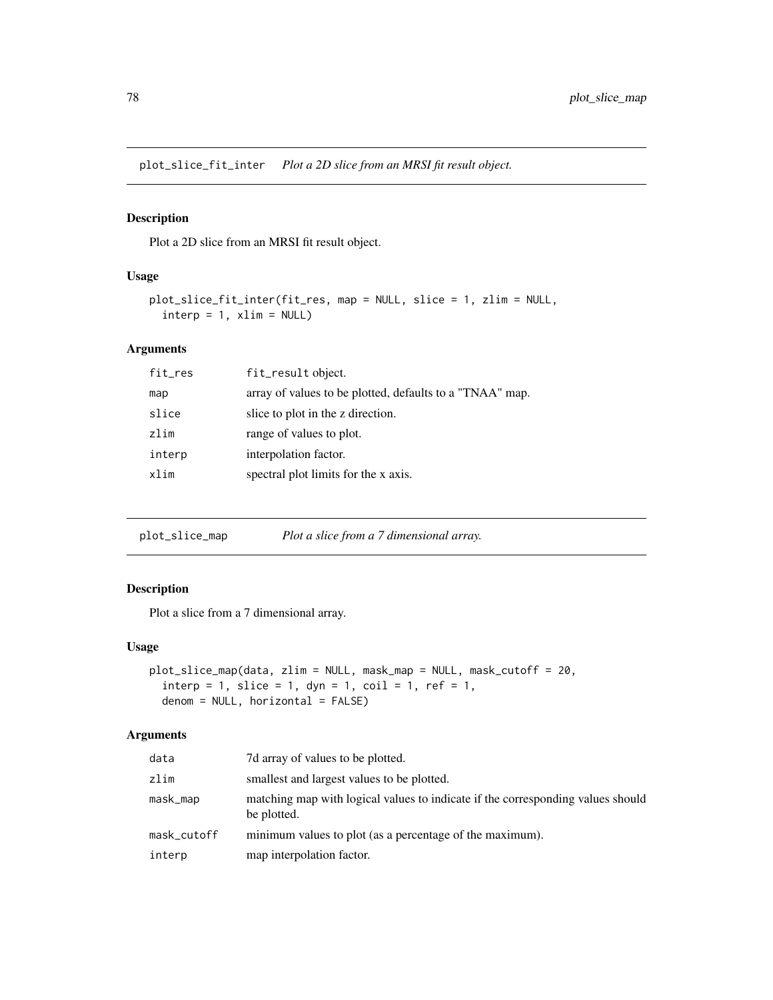plot\_slice\_fit\_inter *Plot a 2D slice from an MRSI fit result object.*

### Description

Plot a 2D slice from an MRSI fit result object.

### Usage

```
plot_slice_fit_inter(fit_res, map = NULL, slice = 1, zlim = NULL,
  \text{interp} = 1, \text{xlim} = \text{NULL}
```
#### Arguments

| fit_res | fit_result object.                                       |
|---------|----------------------------------------------------------|
| map     | array of values to be plotted, defaults to a "TNAA" map. |
| slice   | slice to plot in the z direction.                        |
| zlim    | range of values to plot.                                 |
| interp  | interpolation factor.                                    |
| xlim    | spectral plot limits for the x axis.                     |

plot\_slice\_map *Plot a slice from a 7 dimensional array.*

### Description

Plot a slice from a 7 dimensional array.

#### Usage

```
plot_slice_map(data, zlim = NULL, mask_map = NULL, mask_cutoff = 20,
  \text{interp = 1, slice = 1, dyn = 1, coil = 1, ref = 1,}denom = NULL, horizontal = FALSE)
```

| data        | 7d array of values to be plotted.                                                              |
|-------------|------------------------------------------------------------------------------------------------|
| zlim        | smallest and largest values to be plotted.                                                     |
| mask_map    | matching map with logical values to indicate if the corresponding values should<br>be plotted. |
| mask_cutoff | minimum values to plot (as a percentage of the maximum).                                       |
| interp      | map interpolation factor.                                                                      |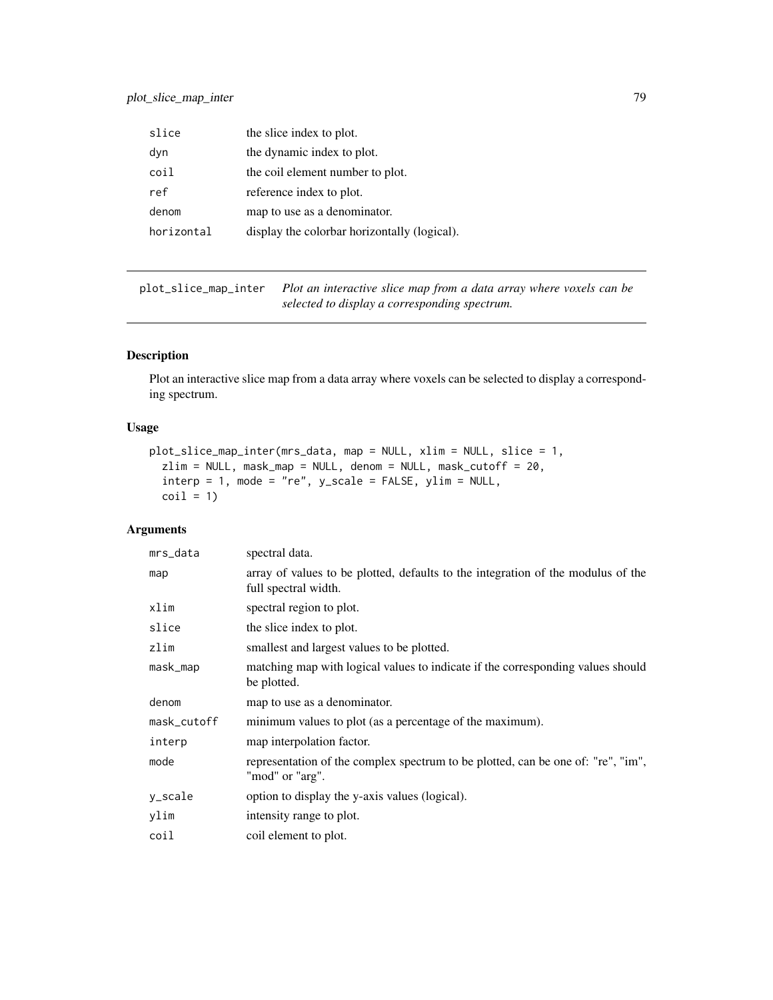| slice      | the slice index to plot.                     |
|------------|----------------------------------------------|
| dyn        | the dynamic index to plot.                   |
| coil       | the coil element number to plot.             |
| ref        | reference index to plot.                     |
| denom      | map to use as a denominator.                 |
| horizontal | display the colorbar horizontally (logical). |

plot\_slice\_map\_inter *Plot an interactive slice map from a data array where voxels can be selected to display a corresponding spectrum.*

# Description

Plot an interactive slice map from a data array where voxels can be selected to display a corresponding spectrum.

### Usage

```
plot_slice_map_inter(mrs_data, map = NULL, xlim = NULL, slice = 1,
  zlim = NULL, mask_map = NULL, denom = NULL, mask_cutoff = 20,
  \text{interp = 1, mode = "re", y\_scale = FALSE, ylim = NULL,}\text{coil} = 1
```

| mrs_data    | spectral data.                                                                                           |
|-------------|----------------------------------------------------------------------------------------------------------|
| map         | array of values to be plotted, defaults to the integration of the modulus of the<br>full spectral width. |
| xlim        | spectral region to plot.                                                                                 |
| slice       | the slice index to plot.                                                                                 |
| zlim        | smallest and largest values to be plotted.                                                               |
| mask_map    | matching map with logical values to indicate if the corresponding values should<br>be plotted.           |
| denom       | map to use as a denominator.                                                                             |
| mask_cutoff | minimum values to plot (as a percentage of the maximum).                                                 |
| interp      | map interpolation factor.                                                                                |
| mode        | representation of the complex spectrum to be plotted, can be one of: "re", "im",<br>"mod" or "arg".      |
| y_scale     | option to display the y-axis values (logical).                                                           |
| ylim        | intensity range to plot.                                                                                 |
| coil        | coil element to plot.                                                                                    |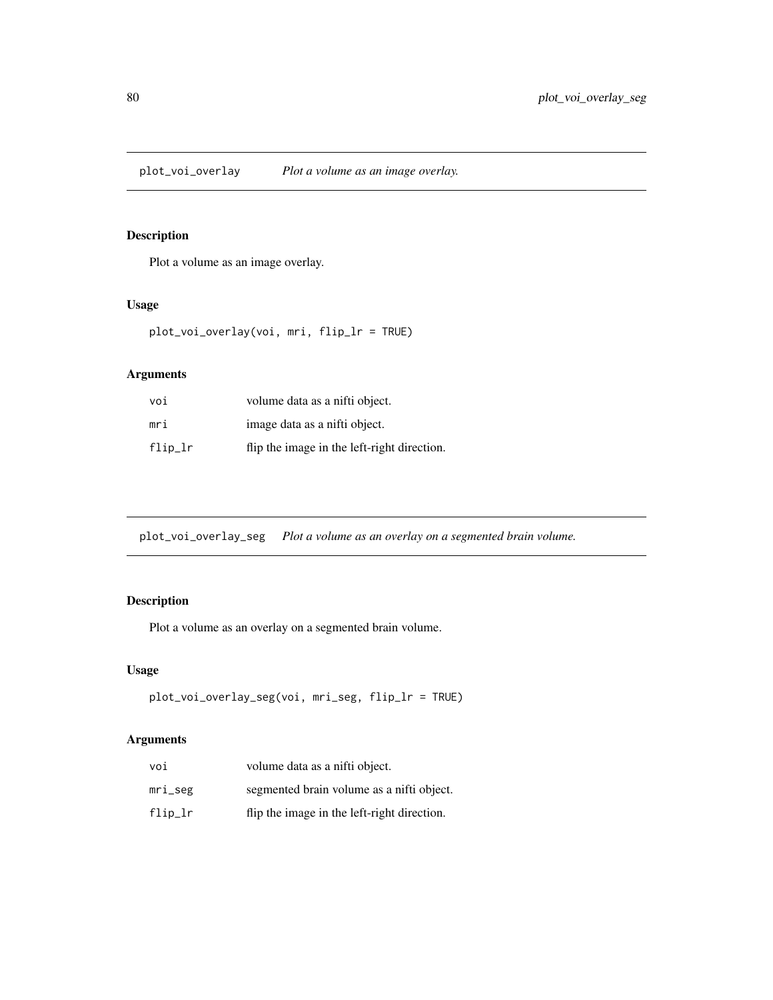plot\_voi\_overlay *Plot a volume as an image overlay.*

### Description

Plot a volume as an image overlay.

### Usage

plot\_voi\_overlay(voi, mri, flip\_lr = TRUE)

### Arguments

| voi        | volume data as a nifti object.              |
|------------|---------------------------------------------|
| mri        | image data as a nifti object.               |
| $flip\_lr$ | flip the image in the left-right direction. |

plot\_voi\_overlay\_seg *Plot a volume as an overlay on a segmented brain volume.*

# Description

Plot a volume as an overlay on a segmented brain volume.

### Usage

```
plot_voi_overlay_seg(voi, mri_seg, flip_lr = TRUE)
```

| voi        | volume data as a nifti object.              |
|------------|---------------------------------------------|
| mri_seg    | segmented brain volume as a nifti object.   |
| $flip\_lr$ | flip the image in the left-right direction. |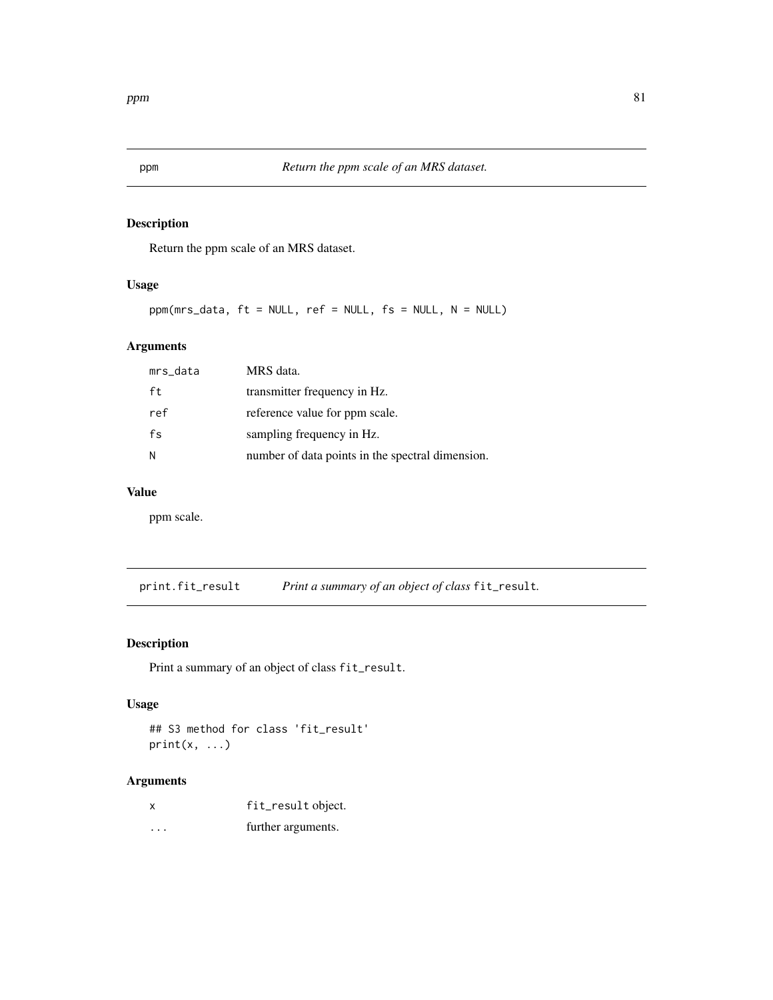Return the ppm scale of an MRS dataset.

# Usage

ppm(mrs\_data, ft = NULL, ref = NULL, fs = NULL, N = NULL)

### Arguments

| mrs_data | MRS data.                                        |
|----------|--------------------------------------------------|
| ft       | transmitter frequency in Hz.                     |
| ref      | reference value for ppm scale.                   |
| fs       | sampling frequency in Hz.                        |
| N        | number of data points in the spectral dimension. |

## Value

ppm scale.

print.fit\_result *Print a summary of an object of class* fit\_result*.*

## Description

Print a summary of an object of class fit\_result.

## Usage

```
## S3 method for class 'fit_result'
print(x, \ldots)
```

| X        | fit_result object. |
|----------|--------------------|
| $\cdots$ | further arguments. |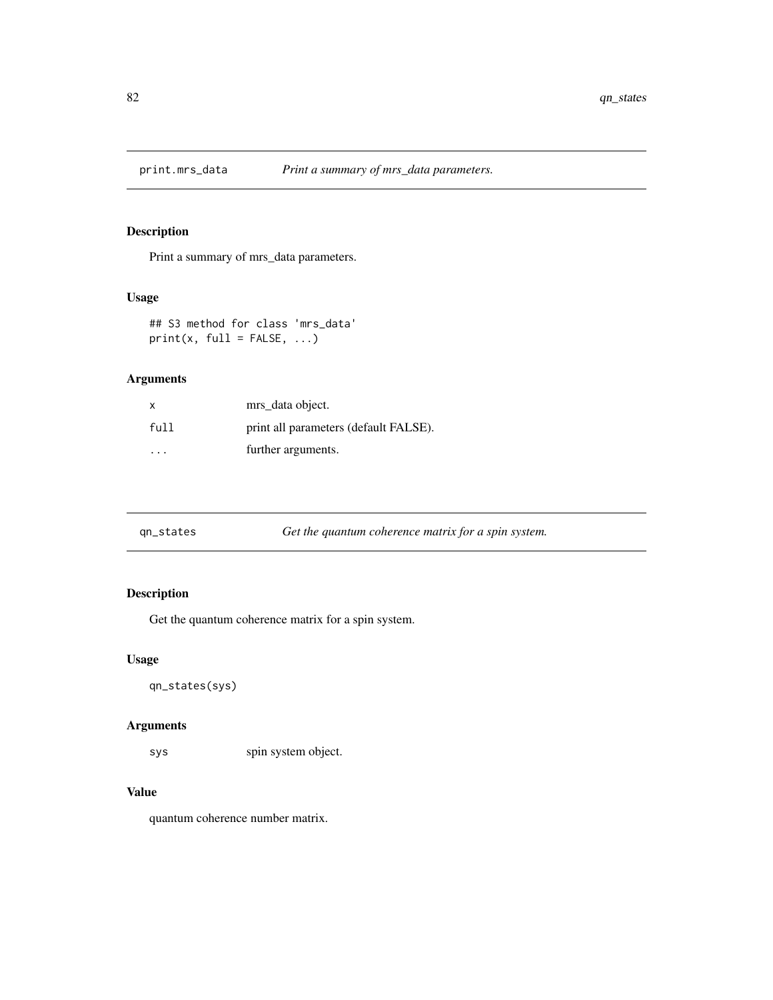Print a summary of mrs\_data parameters.

### Usage

## S3 method for class 'mrs\_data'  $print(x, full = FALSE, ...)$ 

### Arguments

| $\times$ | mrs_data object.                      |
|----------|---------------------------------------|
| full     | print all parameters (default FALSE). |
| .        | further arguments.                    |

| Get the quantum coherence matrix for a spin system.<br>gn_states |  |
|------------------------------------------------------------------|--|
|------------------------------------------------------------------|--|

### Description

Get the quantum coherence matrix for a spin system.

### Usage

qn\_states(sys)

### Arguments

sys spin system object.

## Value

quantum coherence number matrix.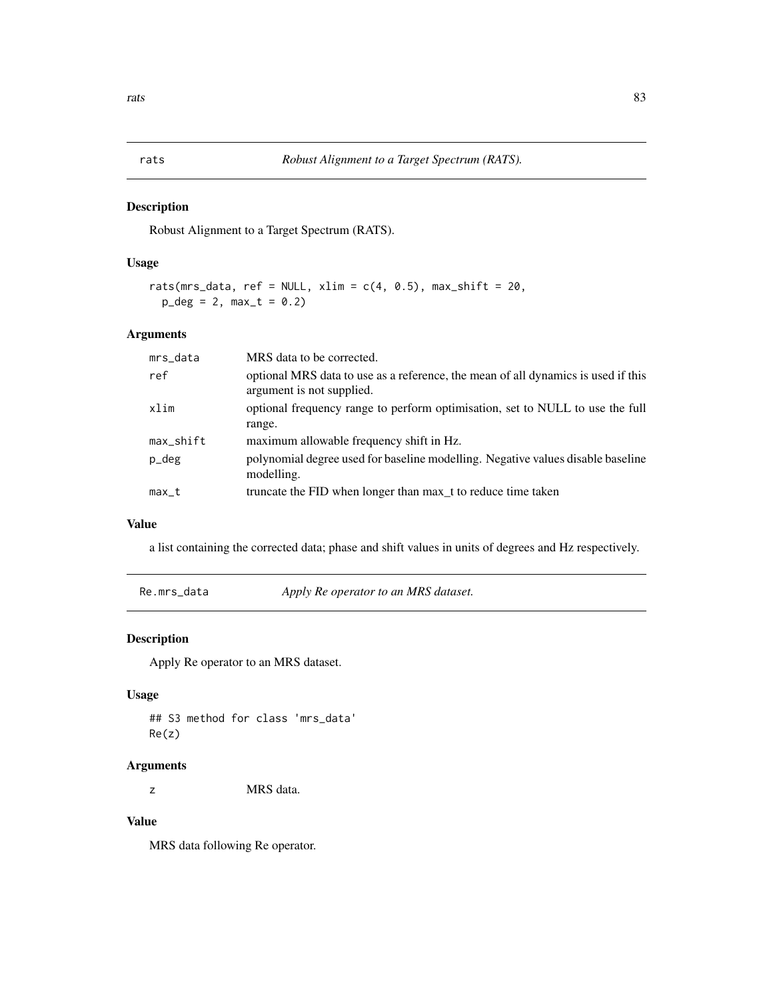Robust Alignment to a Target Spectrum (RATS).

## Usage

```
rats(mrs_data, ref = NULL, xlim = c(4, 0.5), max_shift = 20,
  p_{\text{deg}} = 2, max_{t} = 0.2
```
#### Arguments

| mrs_data     | MRS data to be corrected.                                                                                      |
|--------------|----------------------------------------------------------------------------------------------------------------|
| ref          | optional MRS data to use as a reference, the mean of all dynamics is used if this<br>argument is not supplied. |
| xlim         | optional frequency range to perform optimisation, set to NULL to use the full<br>range.                        |
| $max$ _shift | maximum allowable frequency shift in Hz.                                                                       |
| p_deg        | polynomial degree used for baseline modelling. Negative values disable baseline<br>modelling.                  |
| $max_t$      | truncate the FID when longer than max_t to reduce time taken                                                   |

### Value

a list containing the corrected data; phase and shift values in units of degrees and Hz respectively.

Re.mrs\_data *Apply Re operator to an MRS dataset.*

### Description

Apply Re operator to an MRS dataset.

### Usage

## S3 method for class 'mrs\_data' Re(z)

#### Arguments

z MRS data.

## Value

MRS data following Re operator.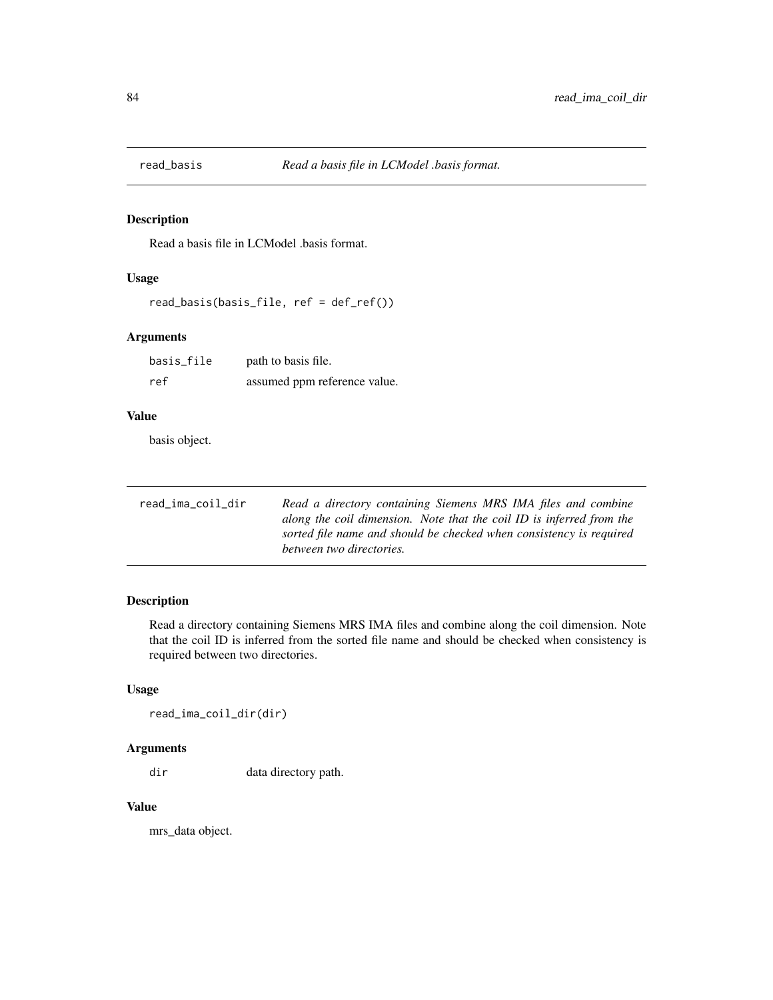Read a basis file in LCModel .basis format.

## Usage

read\_basis(basis\_file, ref = def\_ref())

### Arguments

| basis_file | path to basis file.          |
|------------|------------------------------|
| ref        | assumed ppm reference value. |

#### Value

basis object.

| read_ima_coil_dir | Read a directory containing Siemens MRS IMA files and combine        |
|-------------------|----------------------------------------------------------------------|
|                   | along the coil dimension. Note that the coil ID is inferred from the |
|                   | sorted file name and should be checked when consistency is required  |
|                   | between two directories.                                             |

### Description

Read a directory containing Siemens MRS IMA files and combine along the coil dimension. Note that the coil ID is inferred from the sorted file name and should be checked when consistency is required between two directories.

#### Usage

read\_ima\_coil\_dir(dir)

### Arguments

dir data directory path.

#### Value

mrs\_data object.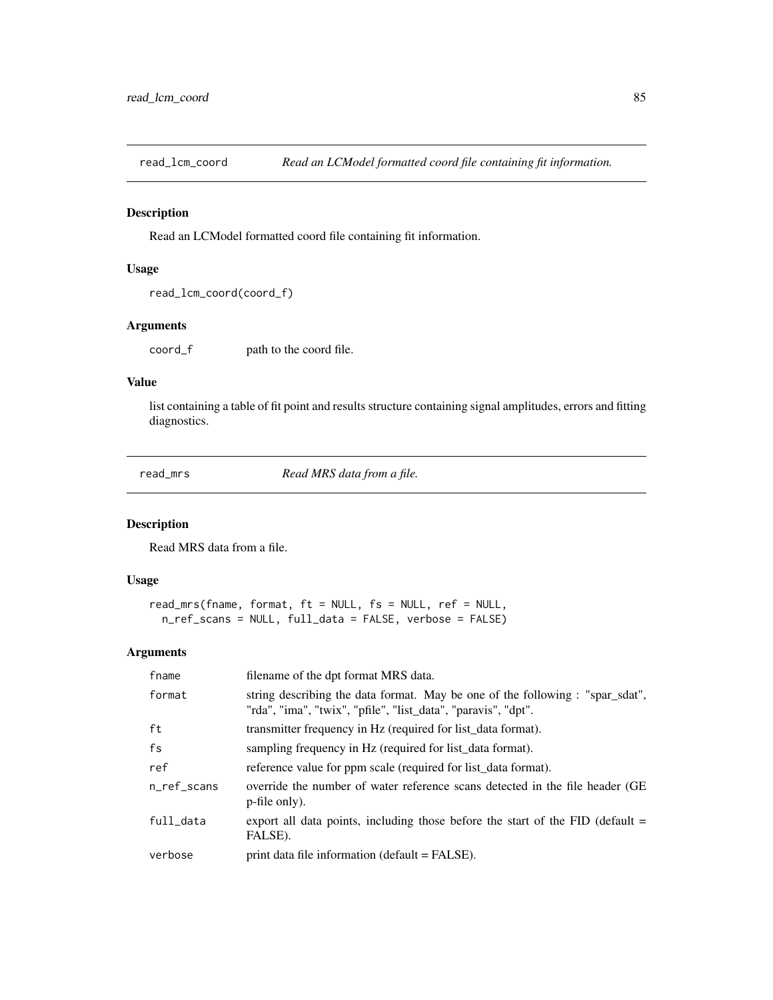Read an LCModel formatted coord file containing fit information.

### Usage

```
read_lcm_coord(coord_f)
```
### Arguments

coord\_f path to the coord file.

## Value

list containing a table of fit point and results structure containing signal amplitudes, errors and fitting diagnostics.

read\_mrs *Read MRS data from a file.*

### Description

Read MRS data from a file.

#### Usage

```
read_mrs(fname, format, ft = NULL, fs = NULL, ref = NULL,
 n_ref_scans = NULL, full_data = FALSE, verbose = FALSE)
```

| fname       | filename of the dpt format MRS data.                                                                                                           |
|-------------|------------------------------------------------------------------------------------------------------------------------------------------------|
| format      | string describing the data format. May be one of the following : "spar_sdat",<br>"rda", "ima", "twix", "pfile", "list_data", "paravis", "dpt". |
| ft          | transmitter frequency in Hz (required for list_data format).                                                                                   |
| fs          | sampling frequency in Hz (required for list data format).                                                                                      |
| ref         | reference value for ppm scale (required for list data format).                                                                                 |
| n ref scans | override the number of water reference scans detected in the file header (GE)<br>p-file only).                                                 |
| full data   | export all data points, including those before the start of the FID (default $=$<br>FALSE).                                                    |
| verbose     | print data file information (default = FALSE).                                                                                                 |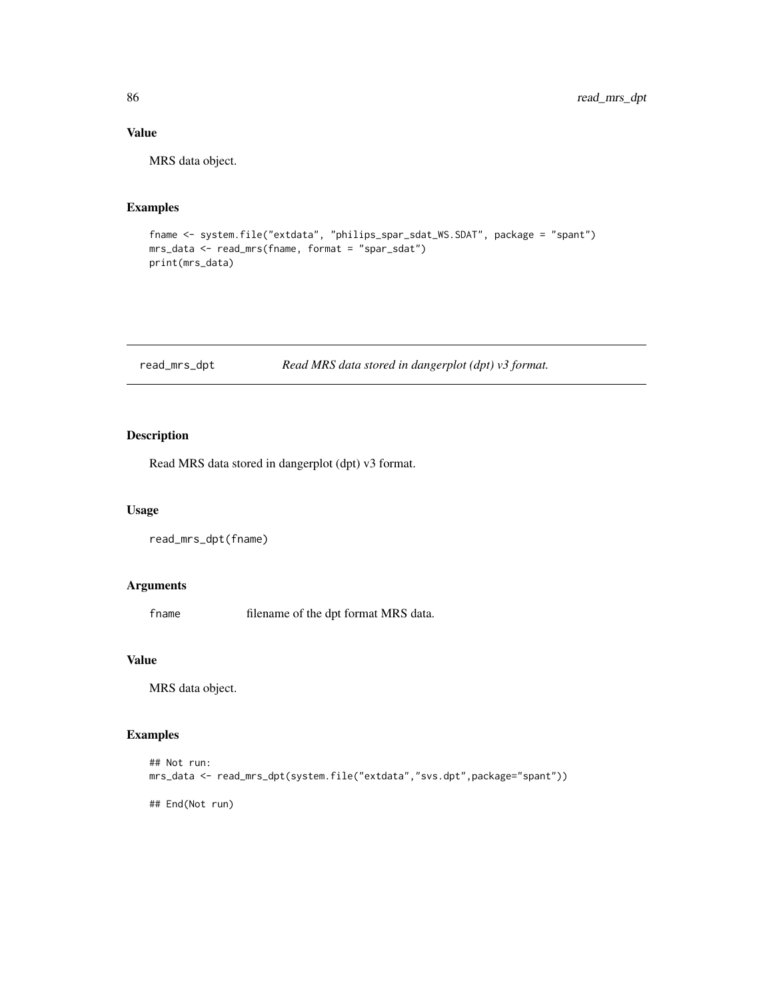## Value

MRS data object.

### Examples

```
fname <- system.file("extdata", "philips_spar_sdat_WS.SDAT", package = "spant")
mrs_data <- read_mrs(fname, format = "spar_sdat")
print(mrs_data)
```
### read\_mrs\_dpt *Read MRS data stored in dangerplot (dpt) v3 format.*

### Description

Read MRS data stored in dangerplot (dpt) v3 format.

#### Usage

read\_mrs\_dpt(fname)

#### Arguments

fname filename of the dpt format MRS data.

#### Value

MRS data object.

### Examples

```
## Not run:
mrs_data <- read_mrs_dpt(system.file("extdata","svs.dpt",package="spant"))
## End(Not run)
```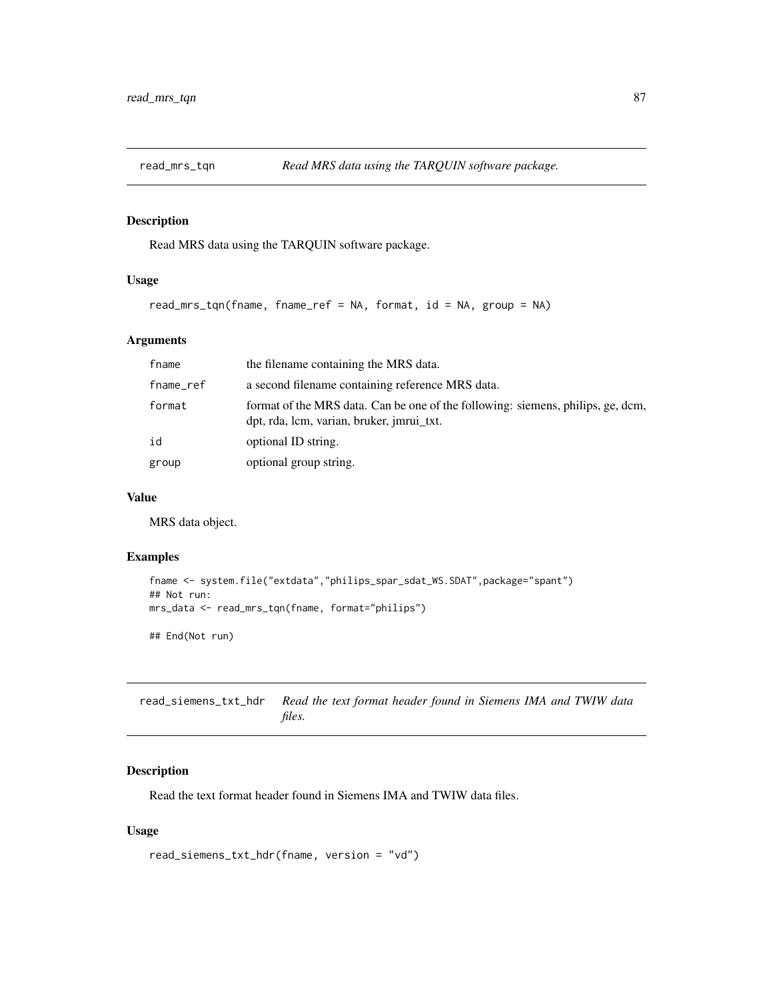Read MRS data using the TARQUIN software package.

#### Usage

```
read_mrs_tqn(fname, fname_ref = NA, format, id = NA, group = NA)
```
#### Arguments

| fname     | the filename containing the MRS data.                                                                                        |
|-----------|------------------------------------------------------------------------------------------------------------------------------|
| fname_ref | a second filename containing reference MRS data.                                                                             |
| format    | format of the MRS data. Can be one of the following: siemens, philips, ge, dcm,<br>dpt, rda, lcm, varian, bruker, imrui txt. |
| id        | optional ID string.                                                                                                          |
| group     | optional group string.                                                                                                       |

#### Value

MRS data object.

#### Examples

```
fname <- system.file("extdata","philips_spar_sdat_WS.SDAT",package="spant")
## Not run:
mrs_data <- read_mrs_tqn(fname, format="philips")
```
## End(Not run)

read\_siemens\_txt\_hdr *Read the text format header found in Siemens IMA and TWIW data files.*

## Description

Read the text format header found in Siemens IMA and TWIW data files.

## Usage

```
read_siemens_txt_hdr(fname, version = "vd")
```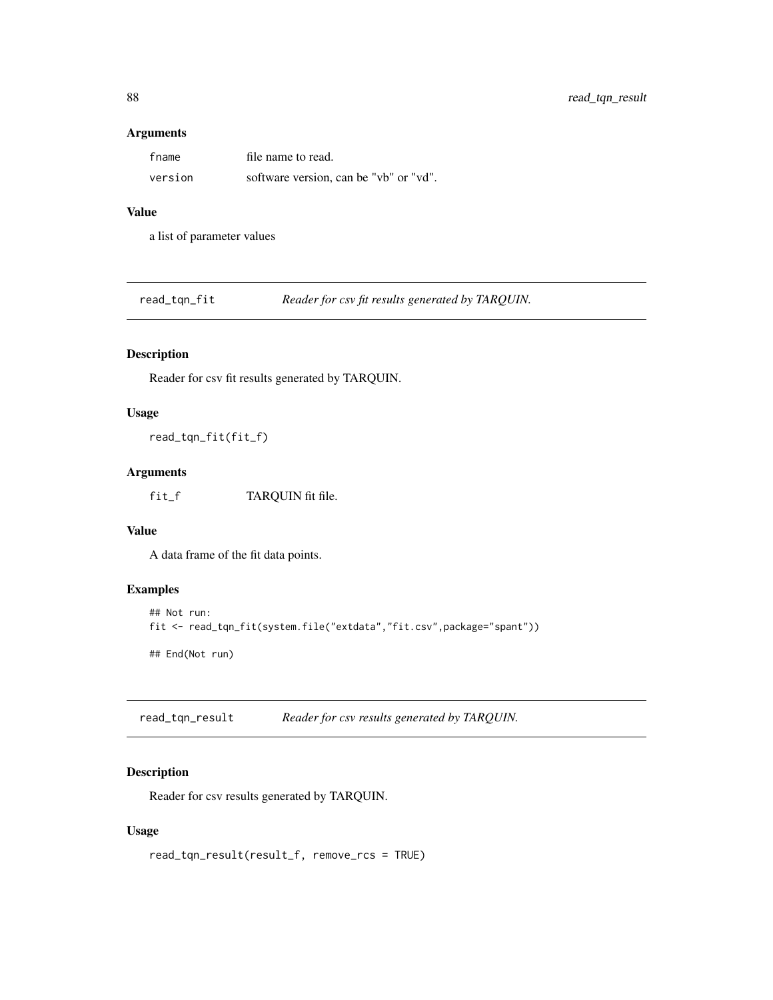#### Arguments

| fname   | file name to read.                     |
|---------|----------------------------------------|
| version | software version, can be "vb" or "vd". |

### Value

a list of parameter values

read\_tqn\_fit *Reader for csv fit results generated by TARQUIN.*

# Description

Reader for csv fit results generated by TARQUIN.

#### Usage

read\_tqn\_fit(fit\_f)

### Arguments

fit\_f TARQUIN fit file.

## Value

A data frame of the fit data points.

### Examples

```
## Not run:
fit <- read_tqn_fit(system.file("extdata","fit.csv",package="spant"))
## End(Not run)
```
read\_tqn\_result *Reader for csv results generated by TARQUIN.*

## Description

Reader for csv results generated by TARQUIN.

## Usage

read\_tqn\_result(result\_f, remove\_rcs = TRUE)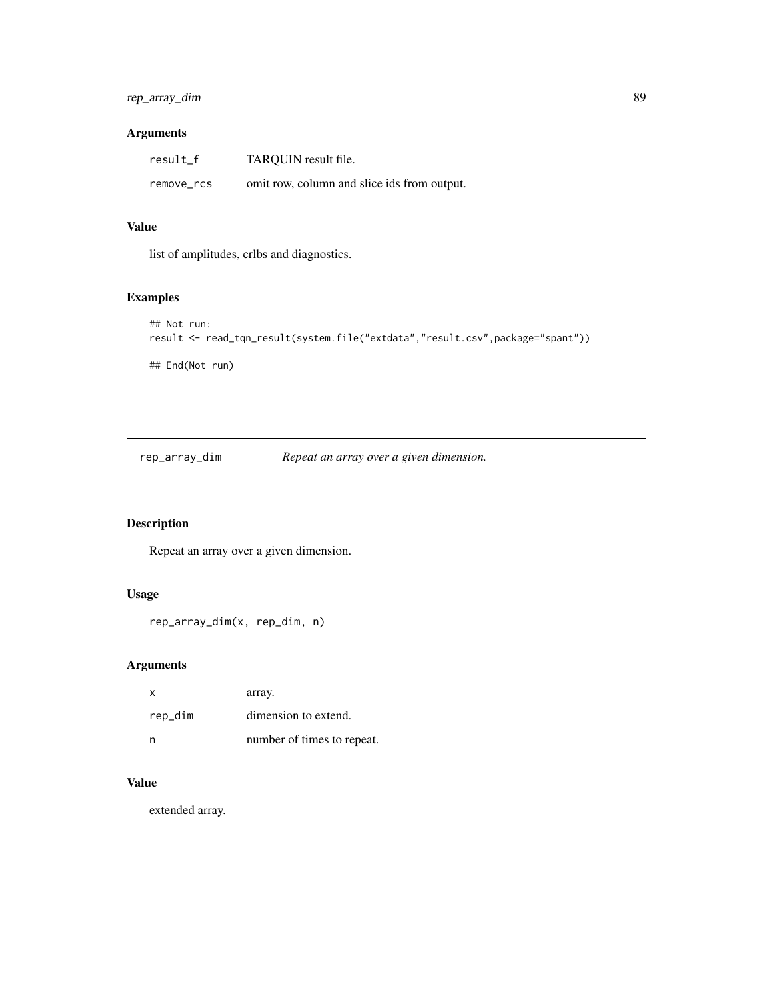# rep\_array\_dim 89

### Arguments

| result_f   | TAROUIN result file.                        |
|------------|---------------------------------------------|
| remove_rcs | omit row, column and slice ids from output. |

#### Value

list of amplitudes, crlbs and diagnostics.

# Examples

```
## Not run:
result <- read_tqn_result(system.file("extdata","result.csv",package="spant"))
## End(Not run)
```
rep\_array\_dim *Repeat an array over a given dimension.*

# Description

Repeat an array over a given dimension.

### Usage

```
rep_array_dim(x, rep_dim, n)
```
### Arguments

| x       | array.                     |
|---------|----------------------------|
| rep_dim | dimension to extend.       |
| n       | number of times to repeat. |

#### Value

extended array.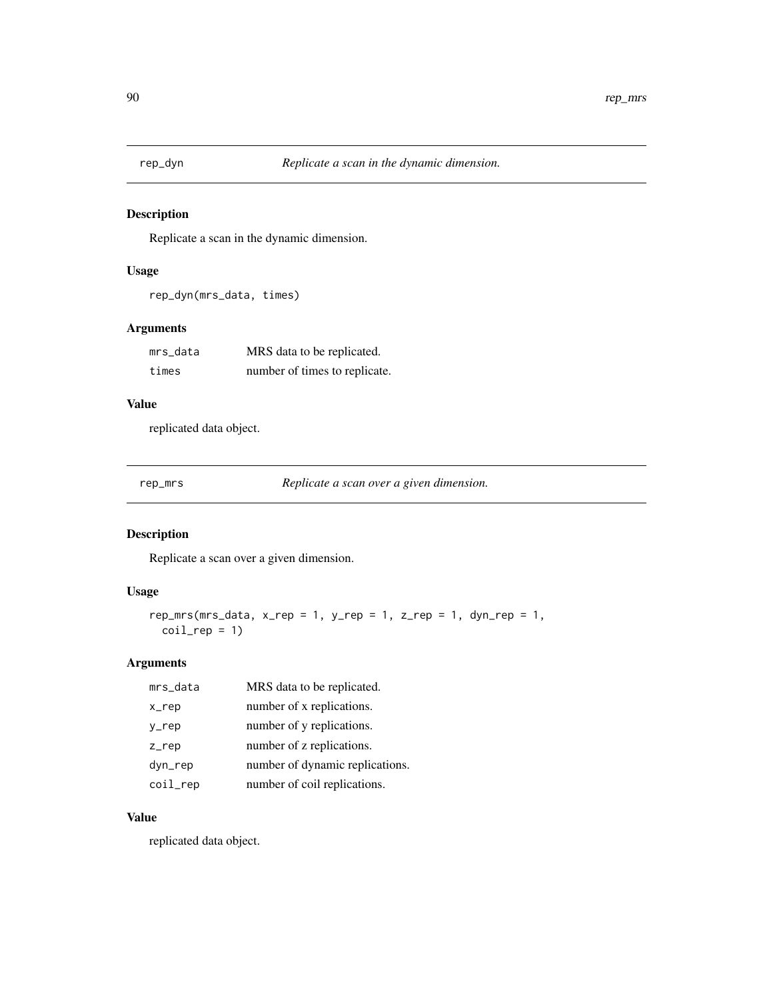Replicate a scan in the dynamic dimension.

## Usage

```
rep_dyn(mrs_data, times)
```
# Arguments

| mrs data | MRS data to be replicated.    |
|----------|-------------------------------|
| times    | number of times to replicate. |

### Value

replicated data object.

rep\_mrs *Replicate a scan over a given dimension.*

# Description

Replicate a scan over a given dimension.

# Usage

```
rep_mrs(mrs_data, x_rep = 1, y_rep = 1, z_rep = 1, dyn_rep = 1,
 coil_{rep} = 1)
```
### Arguments

| mrs_data | MRS data to be replicated.      |
|----------|---------------------------------|
| x_rep    | number of x replications.       |
| y_rep    | number of y replications.       |
| $Z$ _rep | number of z replications.       |
| dyn_rep  | number of dynamic replications. |
| coil_rep | number of coil replications.    |

## Value

replicated data object.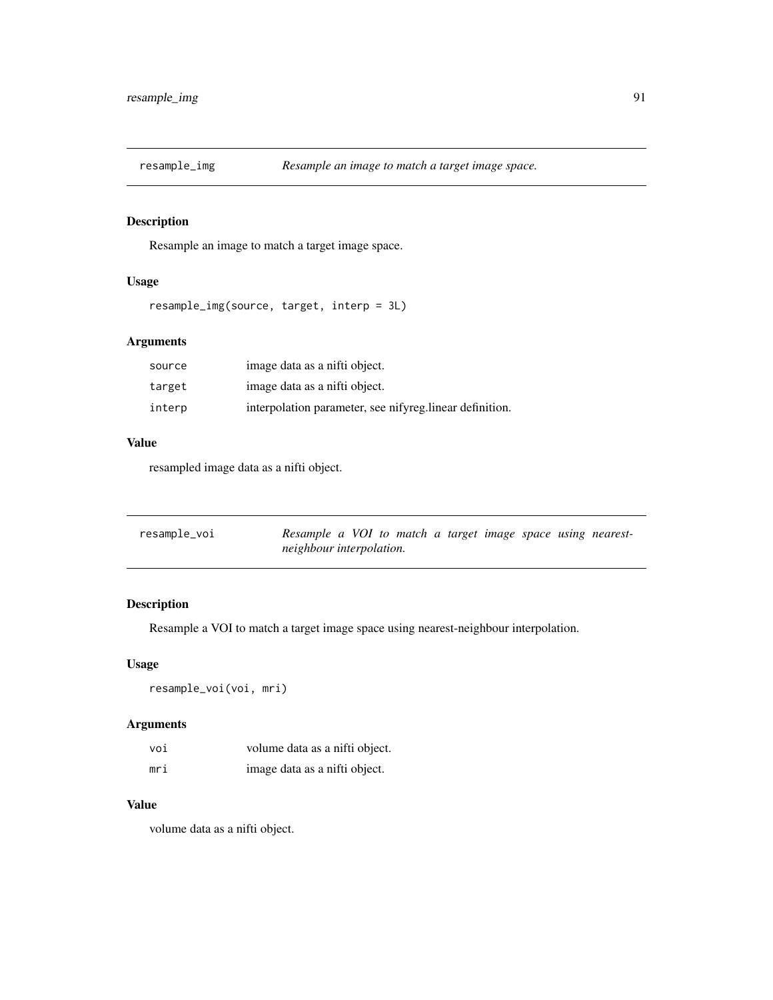Resample an image to match a target image space.

#### Usage

```
resample_img(source, target, interp = 3L)
```
# Arguments

| source | image data as a nifti object.                            |
|--------|----------------------------------------------------------|
| target | image data as a nifti object.                            |
| interp | interpolation parameter, see nifyreg. linear definition. |

#### Value

resampled image data as a nifti object.

| resample_voi | Resample a VOI to match a target image space using nearest- |  |
|--------------|-------------------------------------------------------------|--|
|              | neighbour interpolation.                                    |  |

# Description

Resample a VOI to match a target image space using nearest-neighbour interpolation.

### Usage

resample\_voi(voi, mri)

### Arguments

| voi | volume data as a nifti object. |
|-----|--------------------------------|
| mri | image data as a nifti object.  |

#### Value

volume data as a nifti object.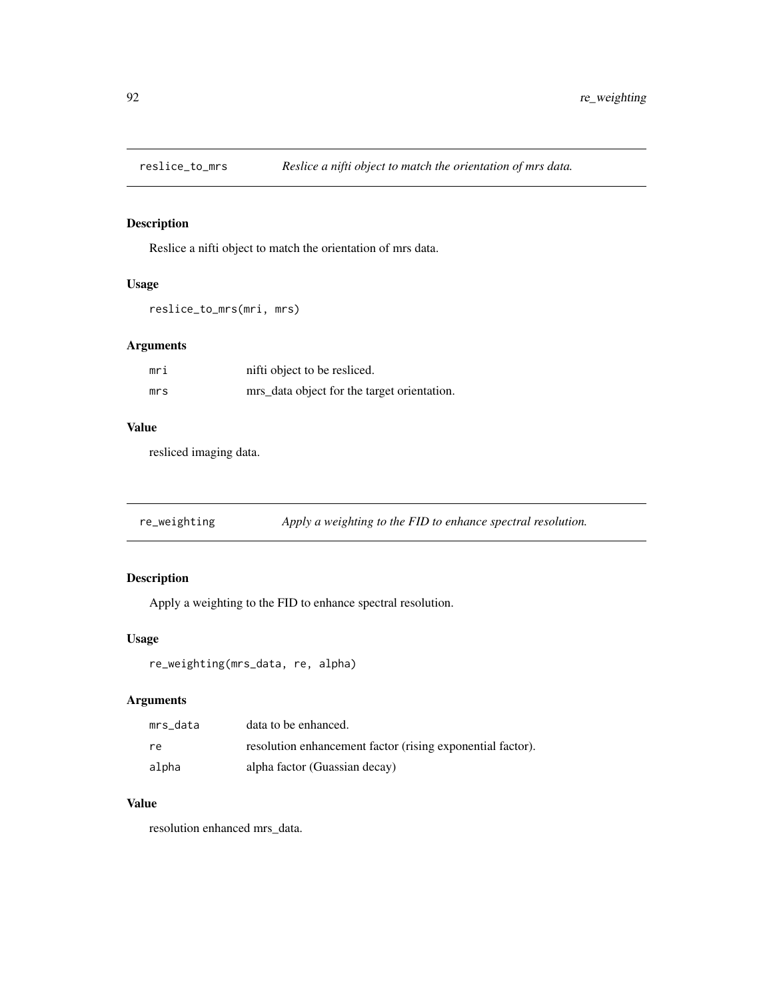Reslice a nifti object to match the orientation of mrs data.

# Usage

```
reslice_to_mrs(mri, mrs)
```
### Arguments

| mri | nifti object to be resliced.                |
|-----|---------------------------------------------|
| mrs | mrs_data object for the target orientation. |

#### Value

resliced imaging data.

re\_weighting *Apply a weighting to the FID to enhance spectral resolution.*

## Description

Apply a weighting to the FID to enhance spectral resolution.

### Usage

re\_weighting(mrs\_data, re, alpha)

## Arguments

| mrs data | data to be enhanced.                                       |
|----------|------------------------------------------------------------|
| re.      | resolution enhancement factor (rising exponential factor). |
| alpha    | alpha factor (Guassian decay)                              |

#### Value

resolution enhanced mrs\_data.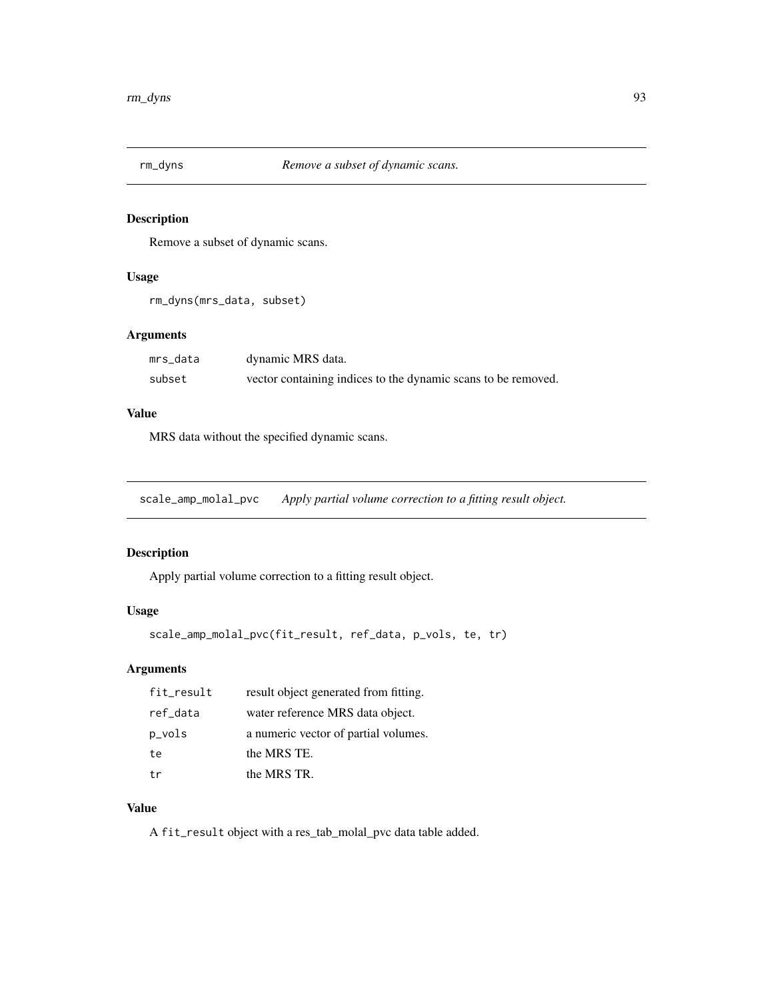Remove a subset of dynamic scans.

### Usage

```
rm_dyns(mrs_data, subset)
```
#### Arguments

| mrs_data | dynamic MRS data.                                             |
|----------|---------------------------------------------------------------|
| subset   | vector containing indices to the dynamic scans to be removed. |

#### Value

MRS data without the specified dynamic scans.

scale\_amp\_molal\_pvc *Apply partial volume correction to a fitting result object.*

### Description

Apply partial volume correction to a fitting result object.

## Usage

```
scale_amp_molal_pvc(fit_result, ref_data, p_vols, te, tr)
```
## Arguments

| fit_result | result object generated from fitting. |
|------------|---------------------------------------|
| ref_data   | water reference MRS data object.      |
| p_vols     | a numeric vector of partial volumes.  |
| te         | the MRS TE.                           |
| t.r        | the MRS TR.                           |

## Value

A fit\_result object with a res\_tab\_molal\_pvc data table added.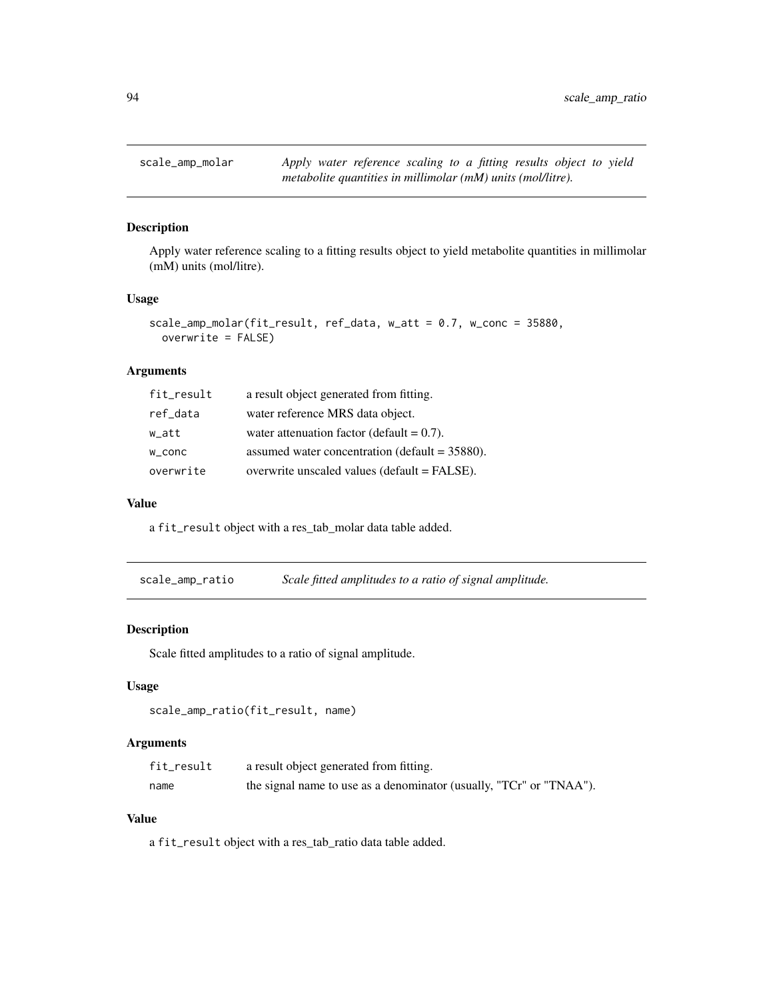Apply water reference scaling to a fitting results object to yield metabolite quantities in millimolar (mM) units (mol/litre).

#### Usage

```
scale_amp_molar(fit_result, ref_data, w_att = 0.7, w_conc = 35880,
 overwrite = FALSE)
```
#### Arguments

| fit_result | a result object generated from fitting.          |
|------------|--------------------------------------------------|
| ref_data   | water reference MRS data object.                 |
| w_att      | water attenuation factor (default $= 0.7$ ).     |
| w_conc     | assumed water concentration (default $=$ 35880). |
| overwrite  | overwrite unscaled values (default = FALSE).     |

#### Value

a fit\_result object with a res\_tab\_molar data table added.

| scale_amp_ratio | Scale fitted amplitudes to a ratio of signal amplitude. |  |
|-----------------|---------------------------------------------------------|--|
|                 |                                                         |  |

#### Description

Scale fitted amplitudes to a ratio of signal amplitude.

#### Usage

scale\_amp\_ratio(fit\_result, name)

### Arguments

| fit_result | a result object generated from fitting.                             |
|------------|---------------------------------------------------------------------|
| name       | the signal name to use as a denominator (usually, "TCr" or "TNAA"). |

### Value

a fit\_result object with a res\_tab\_ratio data table added.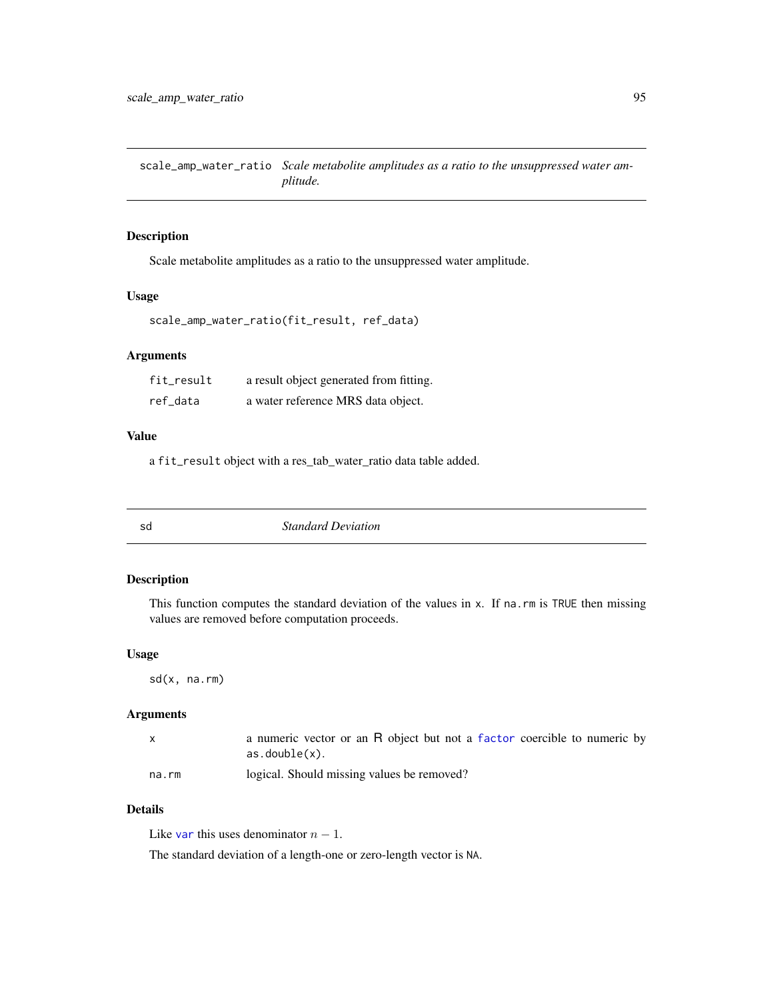scale\_amp\_water\_ratio *Scale metabolite amplitudes as a ratio to the unsuppressed water amplitude.*

#### Description

Scale metabolite amplitudes as a ratio to the unsuppressed water amplitude.

#### Usage

```
scale_amp_water_ratio(fit_result, ref_data)
```
#### Arguments

| fit_result | a result object generated from fitting. |
|------------|-----------------------------------------|
| ref data   | a water reference MRS data object.      |

#### Value

a fit\_result object with a res\_tab\_water\_ratio data table added.

| <b>Standard Deviation</b><br>sd |
|---------------------------------|
|---------------------------------|

#### Description

This function computes the standard deviation of the values in x. If na.rm is TRUE then missing values are removed before computation proceeds.

#### Usage

sd(x, na.rm)

#### Arguments

|       | a numeric vector or an R object but not a factor coercible to numeric by |
|-------|--------------------------------------------------------------------------|
|       | $as.double(x)$ .                                                         |
| na.rm | logical. Should missing values be removed?                               |

## Details

Like [var](#page-0-0) this uses denominator  $n - 1$ .

The standard deviation of a length-one or zero-length vector is NA.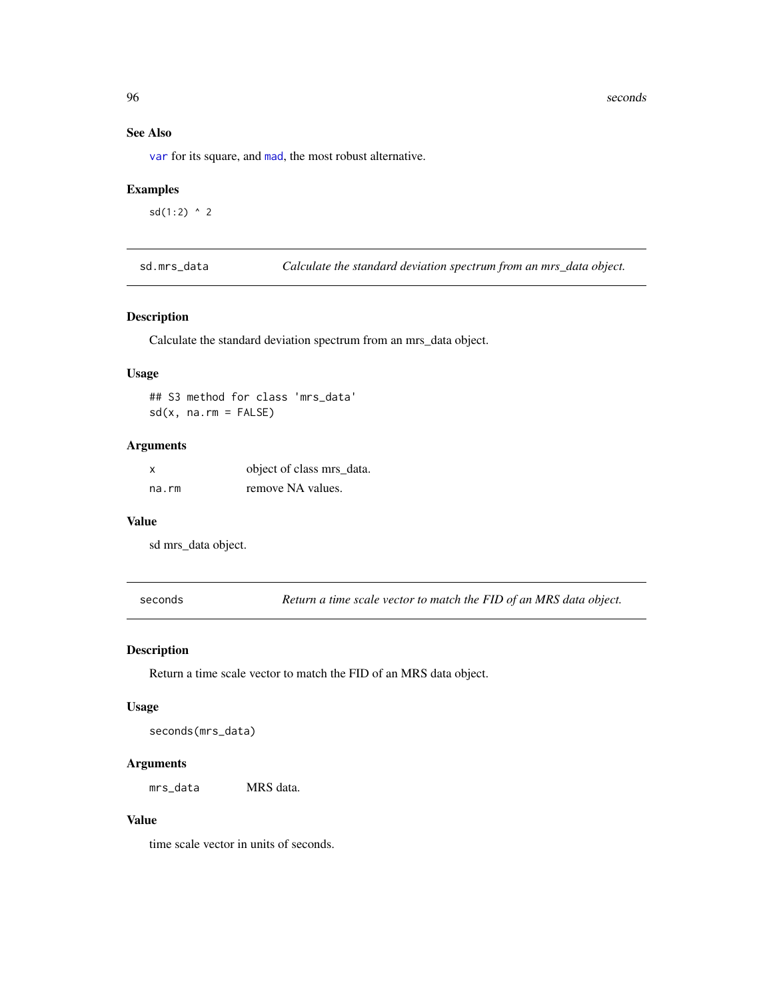96 seconds and the seconds of the seconds of the seconds of the seconds of the seconds of the seconds of the seconds of the seconds of the seconds of the seconds of the seconds of the seconds of the seconds of the seconds

## See Also

[var](#page-0-0) for its square, and [mad](#page-0-0), the most robust alternative.

## Examples

 $sd(1:2)$  ^ 2

sd.mrs\_data *Calculate the standard deviation spectrum from an mrs\_data object.*

#### Description

Calculate the standard deviation spectrum from an mrs\_data object.

### Usage

## S3 method for class 'mrs\_data'  $sd(x, na.rm = FALSE)$ 

#### Arguments

| X     | object of class mrs_data. |
|-------|---------------------------|
| na.rm | remove NA values.         |

### Value

sd mrs\_data object.

seconds *Return a time scale vector to match the FID of an MRS data object.*

### Description

Return a time scale vector to match the FID of an MRS data object.

### Usage

seconds(mrs\_data)

### Arguments

mrs\_data MRS data.

### Value

time scale vector in units of seconds.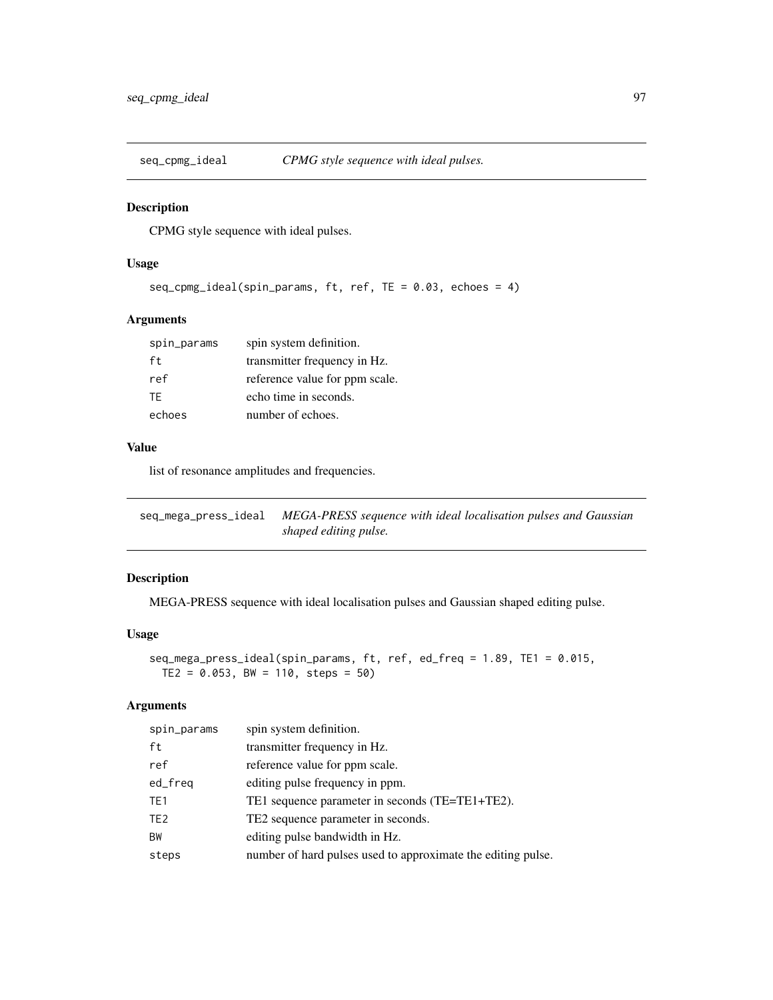CPMG style sequence with ideal pulses.

### Usage

```
seq_cpmg_ideal(spin_params, ft, ref, TE = 0.03, echoes = 4)
```
## Arguments

| spin_params | spin system definition.        |
|-------------|--------------------------------|
| ft          | transmitter frequency in Hz.   |
| ref         | reference value for ppm scale. |
| TF.         | echo time in seconds.          |
| echoes      | number of echoes.              |

#### Value

list of resonance amplitudes and frequencies.

| seq_mega_press_ideal | MEGA-PRESS sequence with ideal localisation pulses and Gaussian |
|----------------------|-----------------------------------------------------------------|
|                      | shaped editing pulse.                                           |

#### Description

MEGA-PRESS sequence with ideal localisation pulses and Gaussian shaped editing pulse.

#### Usage

```
seq_mega_press_ideal(spin_params, ft, ref, ed_freq = 1.89, TE1 = 0.015,
 TE2 = 0.053, BW = 110, steps = 50
```

| spin_params     | spin system definition.                                      |
|-----------------|--------------------------------------------------------------|
| ft              | transmitter frequency in Hz.                                 |
| ref             | reference value for ppm scale.                               |
| ed_freq         | editing pulse frequency in ppm.                              |
| TE <sub>1</sub> | TE1 sequence parameter in seconds (TE=TE1+TE2).              |
| TE <sub>2</sub> | TE2 sequence parameter in seconds.                           |
| BW              | editing pulse bandwidth in Hz.                               |
| steps           | number of hard pulses used to approximate the editing pulse. |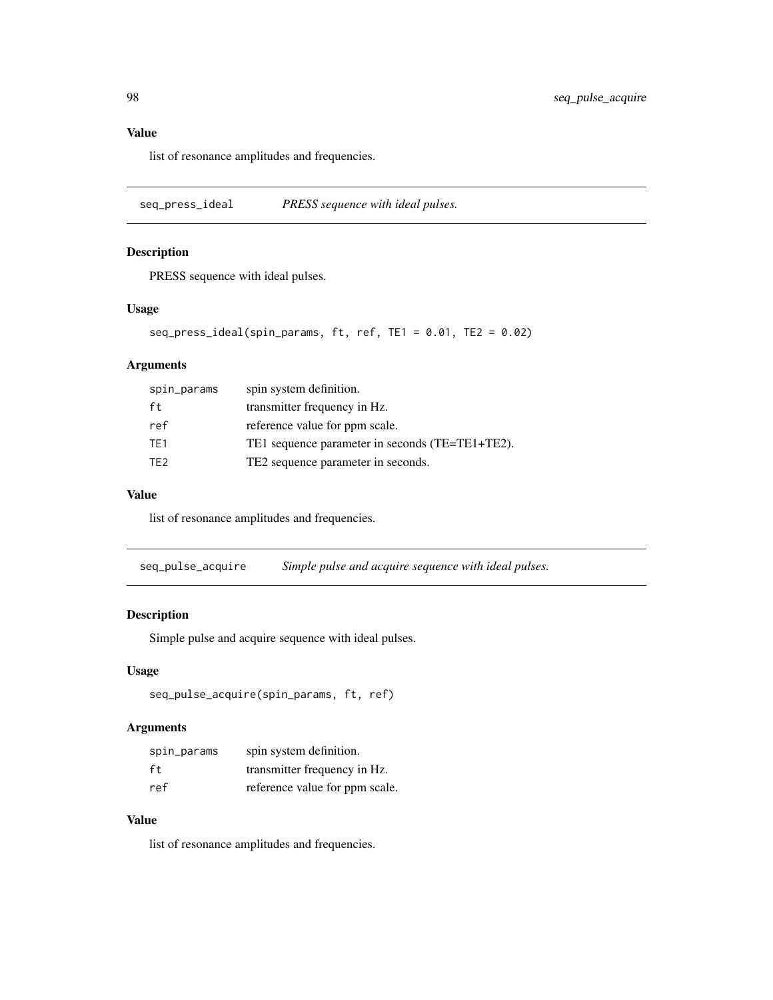## Value

list of resonance amplitudes and frequencies.

seq\_press\_ideal *PRESS sequence with ideal pulses.*

#### Description

PRESS sequence with ideal pulses.

### Usage

```
seq_press_ideal(spin_params, ft, ref, TE1 = 0.01, TE2 = 0.02)
```
## Arguments

| spin_params     | spin system definition.                         |
|-----------------|-------------------------------------------------|
| ft              | transmitter frequency in Hz.                    |
| ref             | reference value for ppm scale.                  |
| TF <sub>1</sub> | TE1 sequence parameter in seconds (TE=TE1+TE2). |
| TF <sub>2</sub> | TE2 sequence parameter in seconds.              |

## Value

list of resonance amplitudes and frequencies.

seq\_pulse\_acquire *Simple pulse and acquire sequence with ideal pulses.*

### Description

Simple pulse and acquire sequence with ideal pulses.

#### Usage

```
seq_pulse_acquire(spin_params, ft, ref)
```
### Arguments

| spin_params | spin system definition.        |
|-------------|--------------------------------|
| ft.         | transmitter frequency in Hz.   |
| ref         | reference value for ppm scale. |

### Value

list of resonance amplitudes and frequencies.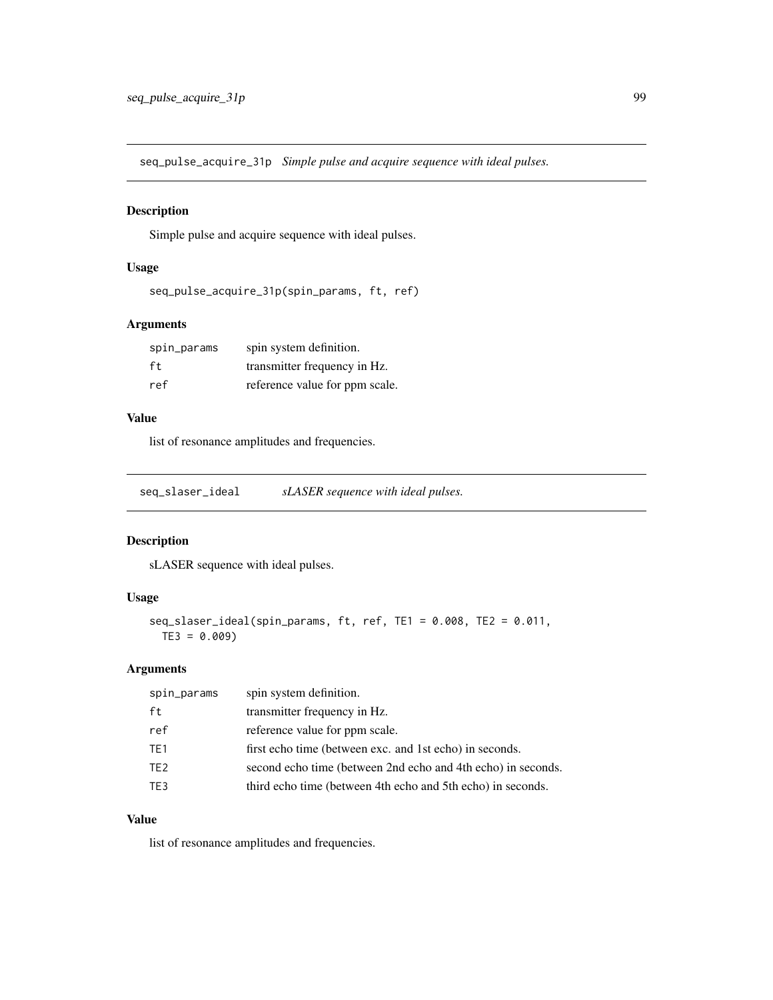seq\_pulse\_acquire\_31p *Simple pulse and acquire sequence with ideal pulses.*

#### Description

Simple pulse and acquire sequence with ideal pulses.

### Usage

```
seq_pulse_acquire_31p(spin_params, ft, ref)
```
### Arguments

| spin_params | spin system definition.        |
|-------------|--------------------------------|
| ft          | transmitter frequency in Hz.   |
| ref         | reference value for ppm scale. |

## Value

list of resonance amplitudes and frequencies.

seq\_slaser\_ideal *sLASER sequence with ideal pulses.*

# Description

sLASER sequence with ideal pulses.

### Usage

```
seq_slaser_ideal(spin_params, ft, ref, TE1 = 0.008, TE2 = 0.011,
 TE3 = 0.009
```
#### Arguments

| spin_params     | spin system definition.                                      |
|-----------------|--------------------------------------------------------------|
| ft              | transmitter frequency in Hz.                                 |
| ref             | reference value for ppm scale.                               |
| TE <sub>1</sub> | first echo time (between exc. and 1st echo) in seconds.      |
| TE <sub>2</sub> | second echo time (between 2nd echo and 4th echo) in seconds. |
| TE3             | third echo time (between 4th echo and 5th echo) in seconds.  |

#### Value

list of resonance amplitudes and frequencies.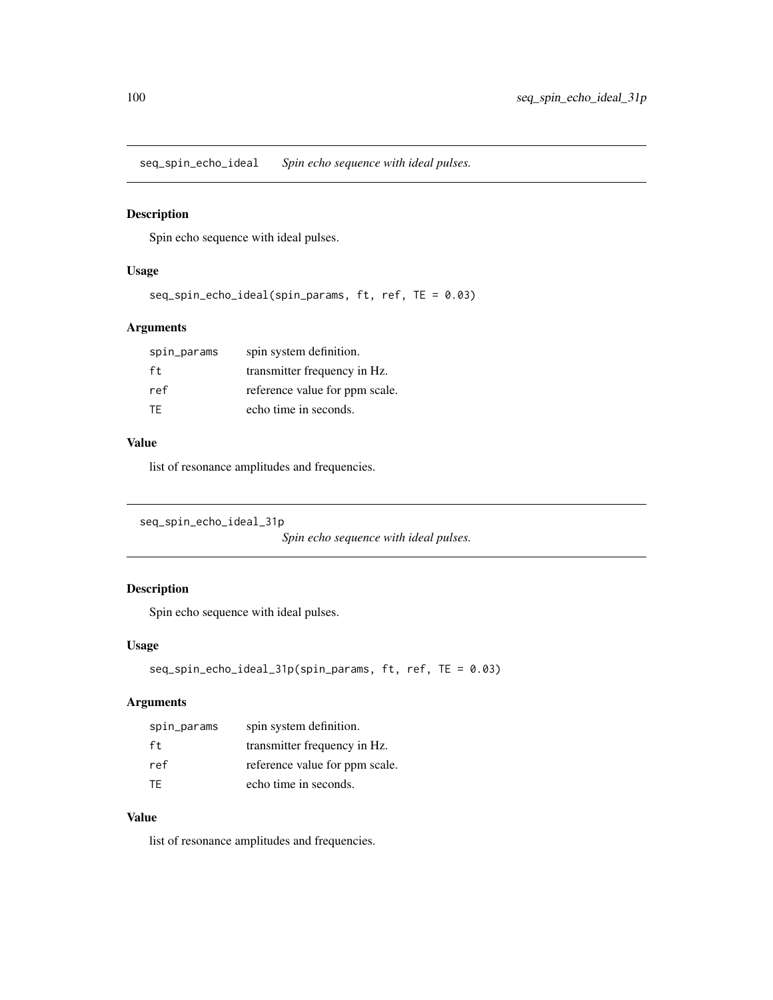seq\_spin\_echo\_ideal *Spin echo sequence with ideal pulses.*

### Description

Spin echo sequence with ideal pulses.

### Usage

```
seq_spin_echo_ideal(spin_params, ft, ref, TE = 0.03)
```
## Arguments

| spin_params | spin system definition.        |
|-------------|--------------------------------|
| ft          | transmitter frequency in Hz.   |
| ref         | reference value for ppm scale. |
| TF.         | echo time in seconds.          |

#### Value

list of resonance amplitudes and frequencies.

```
seq_spin_echo_ideal_31p
```
*Spin echo sequence with ideal pulses.*

## Description

Spin echo sequence with ideal pulses.

# Usage

```
seq_spin_echo_ideal_31p(spin_params, ft, ref, TE = 0.03)
```
# Arguments

| spin_params | spin system definition.        |
|-------------|--------------------------------|
| ft.         | transmitter frequency in Hz.   |
| ref         | reference value for ppm scale. |
| TF.         | echo time in seconds.          |

### Value

list of resonance amplitudes and frequencies.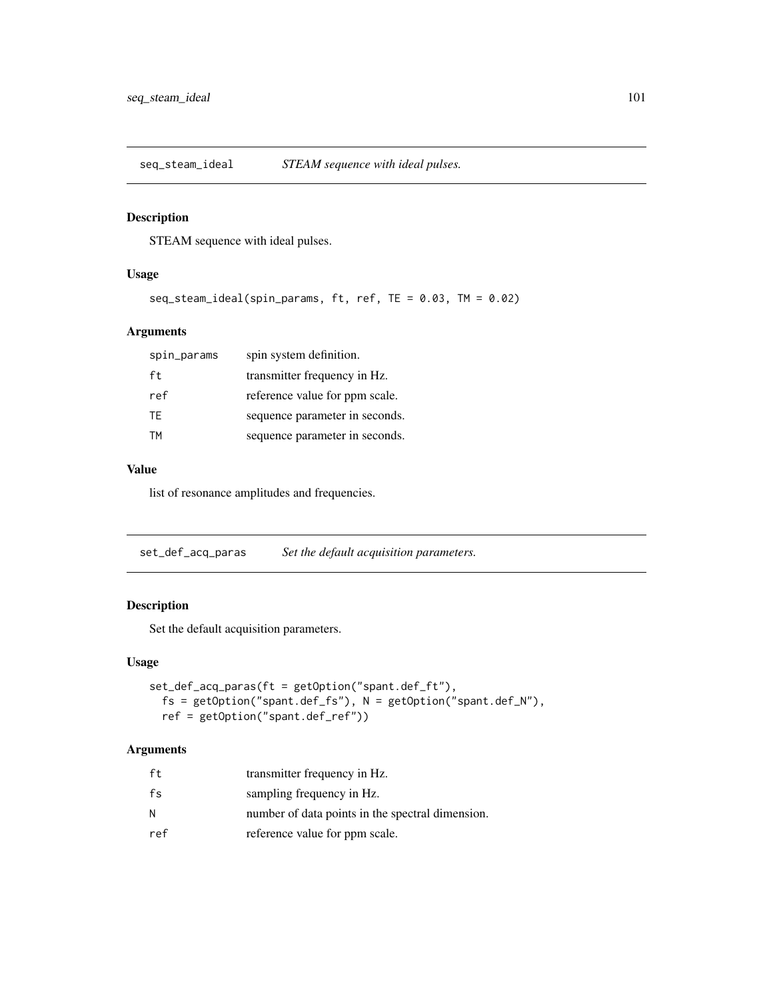seq\_steam\_ideal *STEAM sequence with ideal pulses.*

### Description

STEAM sequence with ideal pulses.

### Usage

```
seq_steam_ideal(spin_params, ft, ref, TE = 0.03, TM = 0.02)
```
### Arguments

| spin_params | spin system definition.        |
|-------------|--------------------------------|
| ft          | transmitter frequency in Hz.   |
| ref         | reference value for ppm scale. |
| TF.         | sequence parameter in seconds. |
| <b>TM</b>   | sequence parameter in seconds. |

#### Value

list of resonance amplitudes and frequencies.

set\_def\_acq\_paras *Set the default acquisition parameters.*

### Description

Set the default acquisition parameters.

#### Usage

```
set_def_acq_paras(ft = getOption("spant.def_ft"),
 fs = getOption("spant.def_fs"), N = getOption("spant.def_N"),
 ref = getOption("spant.def_ref"))
```

| ft  | transmitter frequency in Hz.                     |
|-----|--------------------------------------------------|
| fs  | sampling frequency in Hz.                        |
| И   | number of data points in the spectral dimension. |
| ref | reference value for ppm scale.                   |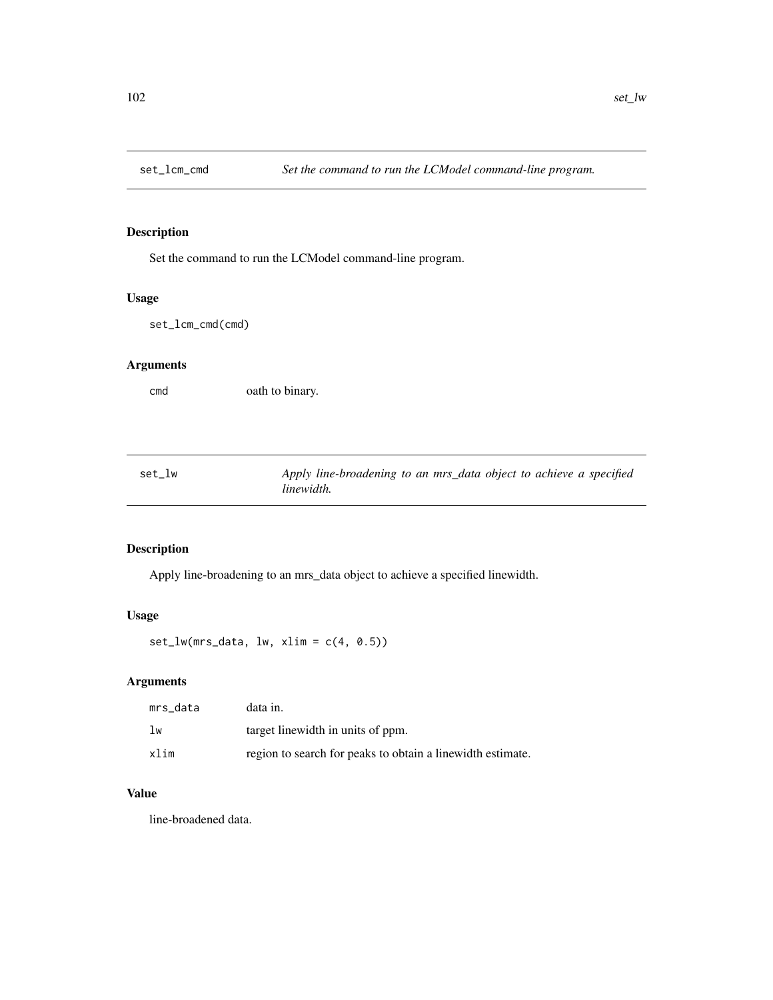Set the command to run the LCModel command-line program.

## Usage

set\_lcm\_cmd(cmd)

## Arguments

cmd oath to binary.

| set_lw | Apply line-broadening to an mrs_data object to achieve a specified |
|--------|--------------------------------------------------------------------|
|        | linewidth.                                                         |

# Description

Apply line-broadening to an mrs\_data object to achieve a specified linewidth.

### Usage

set\_lw(mrs\_data, lw, xlim = c(4, 0.5))

## Arguments

| mrs data | data in.                                                   |
|----------|------------------------------------------------------------|
| lw       | target linewidth in units of ppm.                          |
| xlim     | region to search for peaks to obtain a linewidth estimate. |

## Value

line-broadened data.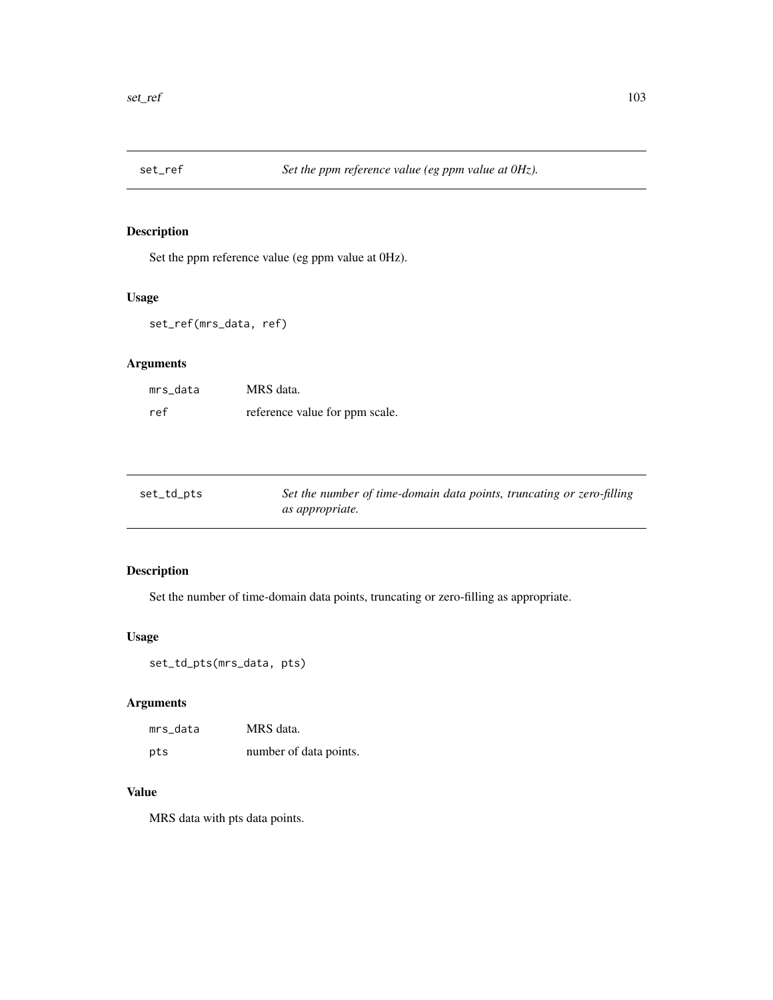Set the ppm reference value (eg ppm value at 0Hz).

### Usage

set\_ref(mrs\_data, ref)

# Arguments

| mrs data | MRS data.                      |
|----------|--------------------------------|
| ref      | reference value for ppm scale. |

| set_td_pts | Set the number of time-domain data points, truncating or zero-filling |
|------------|-----------------------------------------------------------------------|
|            | <i>as appropriate.</i>                                                |

# Description

Set the number of time-domain data points, truncating or zero-filling as appropriate.

### Usage

set\_td\_pts(mrs\_data, pts)

### Arguments

| mrs_data | MRS data.              |
|----------|------------------------|
| pts      | number of data points. |

## Value

MRS data with pts data points.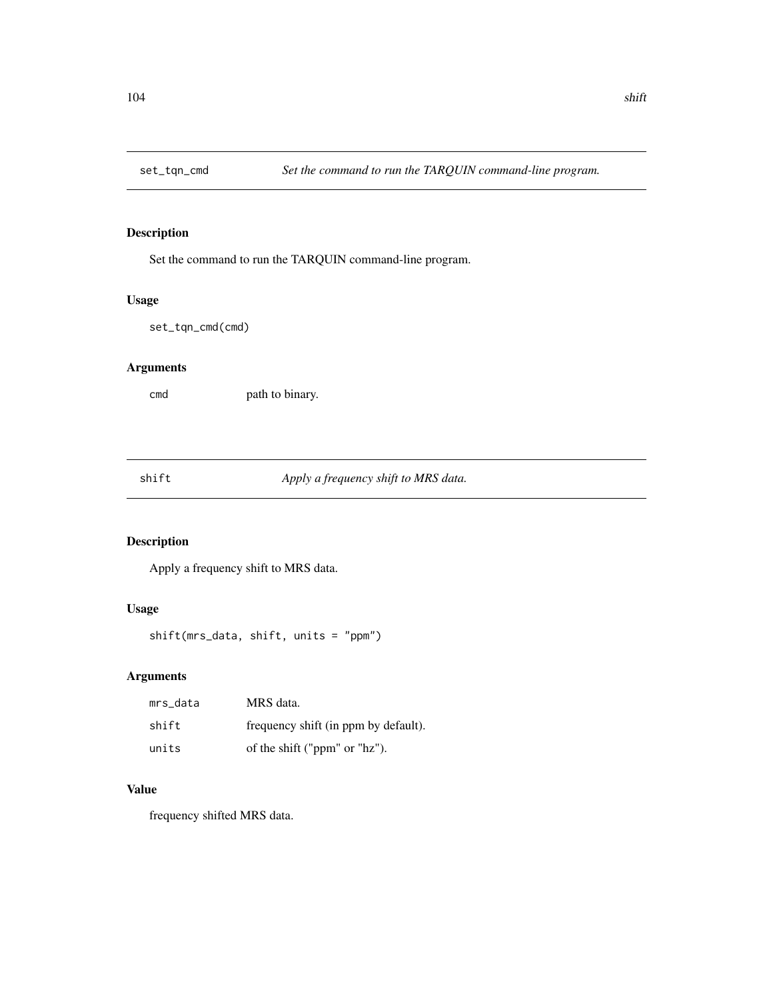Set the command to run the TARQUIN command-line program.

### Usage

set\_tqn\_cmd(cmd)

# Arguments

cmd path to binary.

shift *Apply a frequency shift to MRS data.*

# Description

Apply a frequency shift to MRS data.

#### Usage

shift(mrs\_data, shift, units = "ppm")

### Arguments

| mrs data | MRS data.                            |
|----------|--------------------------------------|
| shift    | frequency shift (in ppm by default). |
| units    | of the shift ("ppm" or "hz").        |

#### Value

frequency shifted MRS data.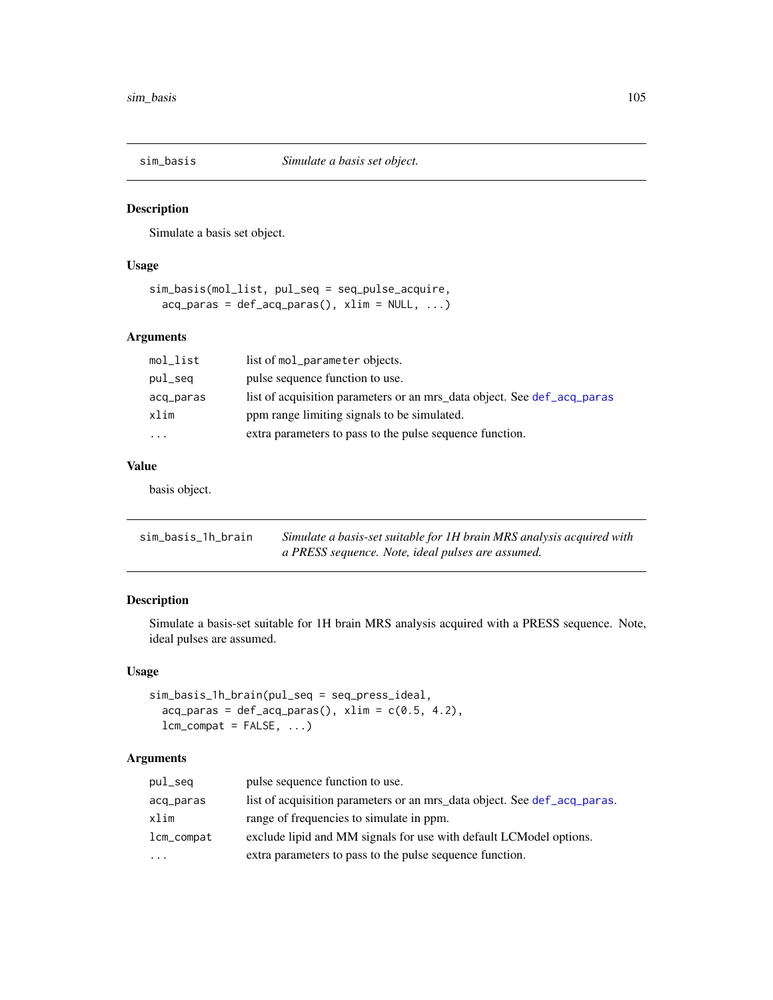Simulate a basis set object.

## Usage

```
sim_basis(mol_list, pul_seq = seq_pulse_acquire,
 acq-paras = def-acq-paras(), xlim = NULL, ...)
```
### Arguments

| mol_list  | list of mol_parameter objects.                                          |
|-----------|-------------------------------------------------------------------------|
| pul_seg   | pulse sequence function to use.                                         |
| acq_paras | list of acquisition parameters or an mrs_data object. See def_acq_paras |
| xlim      | ppm range limiting signals to be simulated.                             |
| $\cdots$  | extra parameters to pass to the pulse sequence function.                |

### Value

basis object.

| sim_basis_1h_brain | Simulate a basis-set suitable for 1H brain MRS analysis acquired with |
|--------------------|-----------------------------------------------------------------------|
|                    | a PRESS sequence. Note, ideal pulses are assumed.                     |

### Description

Simulate a basis-set suitable for 1H brain MRS analysis acquired with a PRESS sequence. Note, ideal pulses are assumed.

#### Usage

```
sim_basis_1h_brain(pul_seq = seq_press_ideal,
 acq-paras = def-acq-paras(), xlim = c(0.5, 4.2),
 lcm\_compact = FALSE, ...
```

| pul_seq                 | pulse sequence function to use.                                          |
|-------------------------|--------------------------------------------------------------------------|
| acq_paras               | list of acquisition parameters or an mrs_data object. See def_acq_paras. |
| xlim                    | range of frequencies to simulate in ppm.                                 |
| lcm_compat              | exclude lipid and MM signals for use with default LCModel options.       |
| $\cdot$ $\cdot$ $\cdot$ | extra parameters to pass to the pulse sequence function.                 |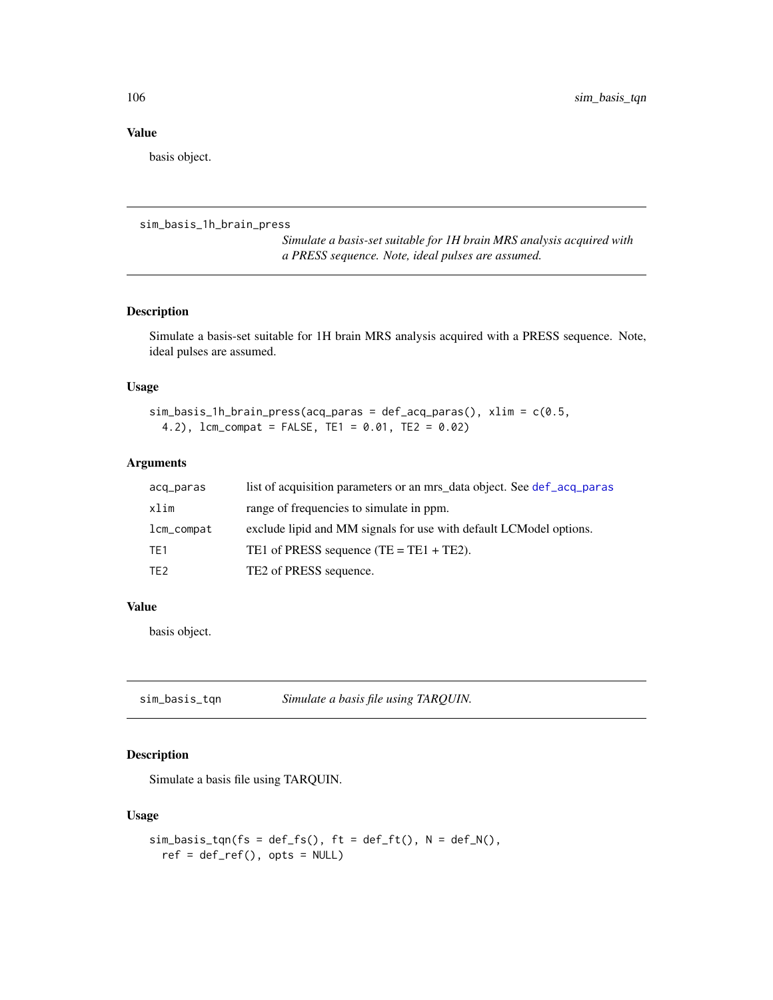#### Value

basis object.

```
sim_basis_1h_brain_press
```
*Simulate a basis-set suitable for 1H brain MRS analysis acquired with a PRESS sequence. Note, ideal pulses are assumed.*

# Description

Simulate a basis-set suitable for 1H brain MRS analysis acquired with a PRESS sequence. Note, ideal pulses are assumed.

#### Usage

```
sim_basis_1h_brain_press(acq_paras = def_acq_paras(), xlim = c(0.5,
 4.2), lcm_compat = FALSE, TE1 = 0.01, TE2 = 0.02)
```
#### Arguments

| acq_paras       | list of acquisition parameters or an mrs_data object. See def_acq_paras |
|-----------------|-------------------------------------------------------------------------|
| xlim            | range of frequencies to simulate in ppm.                                |
| lcm_compat      | exclude lipid and MM signals for use with default LCModel options.      |
| TE <sub>1</sub> | TE1 of PRESS sequence $(TE = TE1 + TE2)$ .                              |
| TE <sub>2</sub> | TE2 of PRESS sequence.                                                  |

#### Value

basis object.

sim\_basis\_tqn *Simulate a basis file using TARQUIN.*

#### Description

Simulate a basis file using TARQUIN.

#### Usage

```
sim\_basis\_tqn(fs = def_fs(), ft = def_fft(), N = def_N(),ref = def_ref(), opts = NULL)
```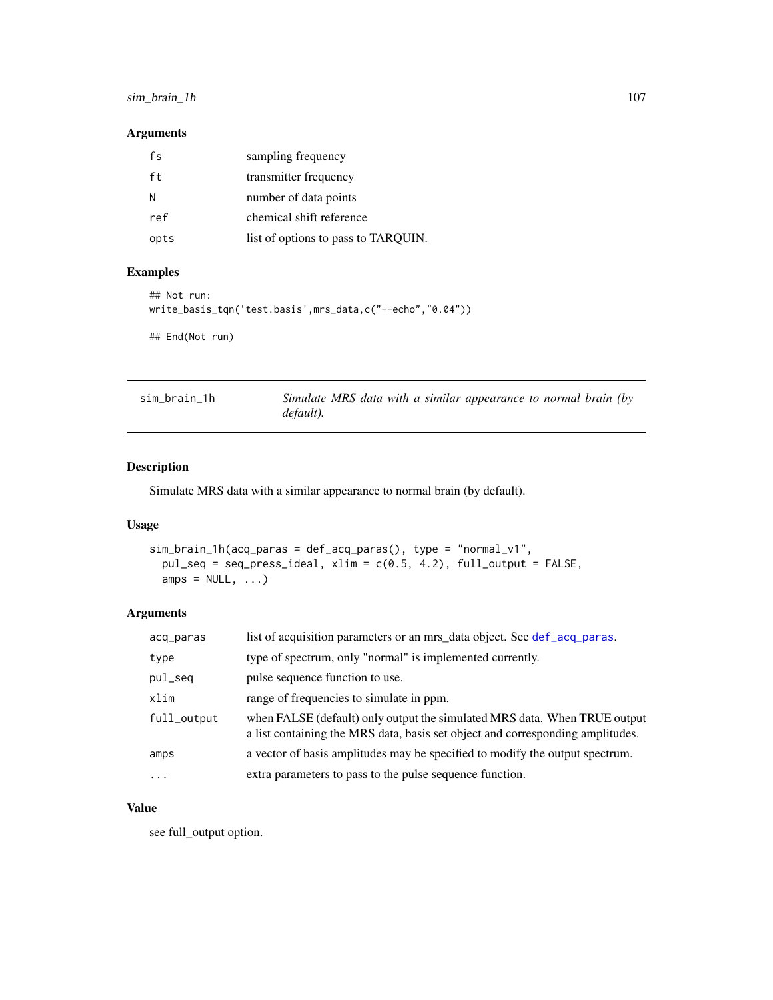# sim\_brain\_1h 107

## Arguments

| fs   | sampling frequency                  |
|------|-------------------------------------|
| ft   | transmitter frequency               |
| N    | number of data points               |
| ref  | chemical shift reference            |
| opts | list of options to pass to TARQUIN. |

# Examples

```
## Not run:
write_basis_tqn('test.basis',mrs_data,c("--echo","0.04"))
## End(Not run)
```

| sim_brain_1h |           |  |  | Simulate MRS data with a similar appearance to normal brain (by |  |  |
|--------------|-----------|--|--|-----------------------------------------------------------------|--|--|
|              | default). |  |  |                                                                 |  |  |

# Description

Simulate MRS data with a similar appearance to normal brain (by default).

#### Usage

```
sim_brain_1h(acq_paras = def_acq_paras(), type = "normal_v1",
 pul_seq = seq_press_ideal, xlim = c(0.5, 4.2), full_output = FALSE,
 amps = NULL, ...)
```
### Arguments

| acq_paras   | list of acquisition parameters or an mrs_data object. See def_acq_paras.                                                                                    |
|-------------|-------------------------------------------------------------------------------------------------------------------------------------------------------------|
| type        | type of spectrum, only "normal" is implemented currently.                                                                                                   |
| pul_seq     | pulse sequence function to use.                                                                                                                             |
| xlim        | range of frequencies to simulate in ppm.                                                                                                                    |
| full_output | when FALSE (default) only output the simulated MRS data. When TRUE output<br>a list containing the MRS data, basis set object and corresponding amplitudes. |
| amps        | a vector of basis amplitudes may be specified to modify the output spectrum.                                                                                |
| $\ddotsc$   | extra parameters to pass to the pulse sequence function.                                                                                                    |

### Value

see full\_output option.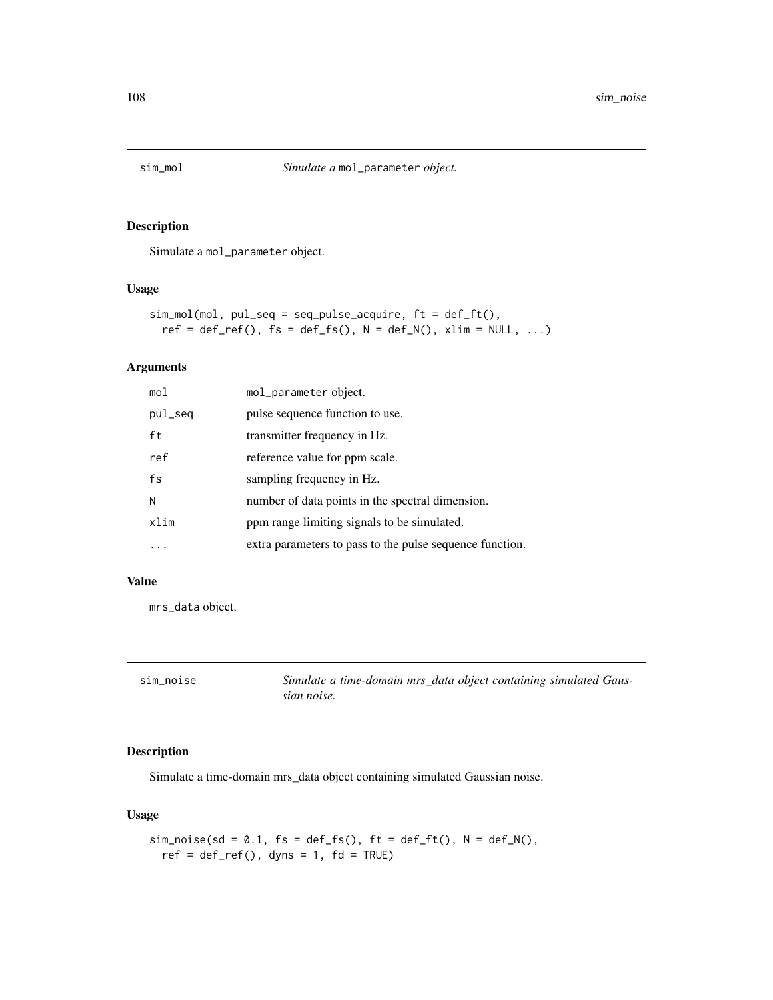Simulate a mol\_parameter object.

#### Usage

```
sim_mol(mol, pul_seq = seq_pulse_acquire, ft = def_ft(),
 ref = def_ref(), fs = def_fs(), N = def_N(), xlim = NULL, ...)
```
### Arguments

| mol     | mol_parameter object.                                    |
|---------|----------------------------------------------------------|
| pul_seq | pulse sequence function to use.                          |
| ft      | transmitter frequency in Hz.                             |
| ref     | reference value for ppm scale.                           |
| fs      | sampling frequency in Hz.                                |
| N       | number of data points in the spectral dimension.         |
| xlim    | ppm range limiting signals to be simulated.              |
|         | extra parameters to pass to the pulse sequence function. |

#### Value

mrs\_data object.

| sim noise | Simulate a time-domain mrs_data object containing simulated Gaus- |
|-----------|-------------------------------------------------------------------|
|           | sian noise.                                                       |

# Description

Simulate a time-domain mrs\_data object containing simulated Gaussian noise.

#### Usage

```
sim\_noise(sd = 0.1, fs = def_fs(), ft = def_ft(), N = def_N(),
 ref = def_ref(), dyns = 1, fd = TRUE)
```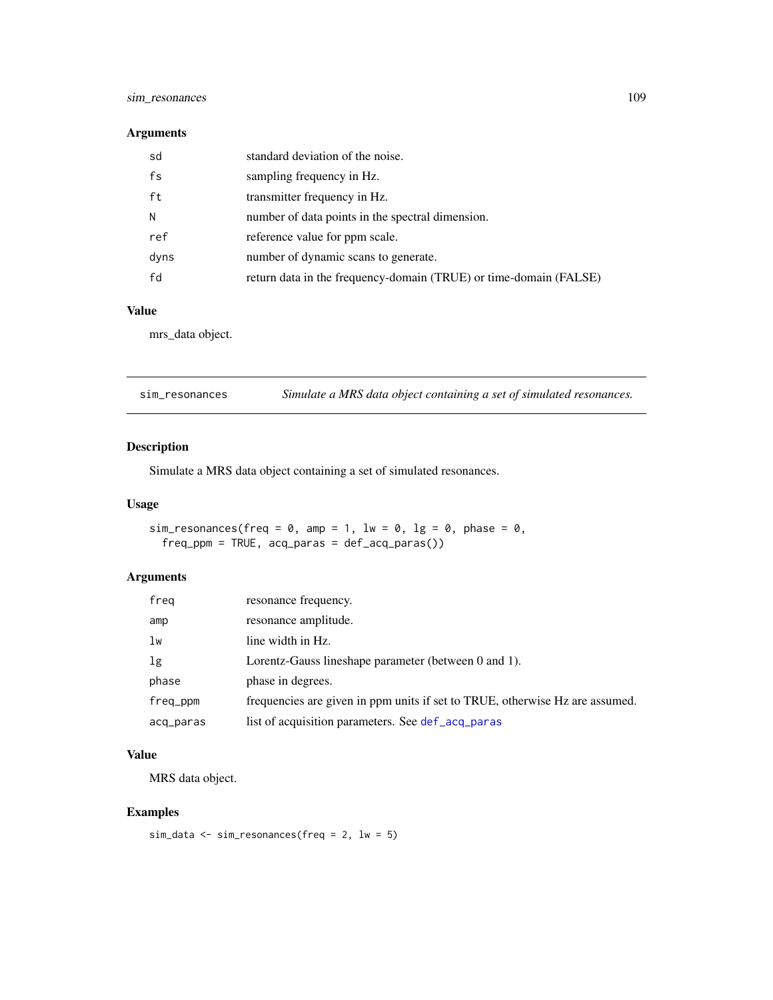### <span id="page-108-0"></span>sim\_resonances 109

#### Arguments

| sd   | standard deviation of the noise.                                  |
|------|-------------------------------------------------------------------|
| fs   | sampling frequency in Hz.                                         |
| ft   | transmitter frequency in Hz.                                      |
| N    | number of data points in the spectral dimension.                  |
| ref  | reference value for ppm scale.                                    |
| dyns | number of dynamic scans to generate.                              |
| fd   | return data in the frequency-domain (TRUE) or time-domain (FALSE) |

#### Value

mrs\_data object.

sim\_resonances *Simulate a MRS data object containing a set of simulated resonances.*

### Description

Simulate a MRS data object containing a set of simulated resonances.

### Usage

```
sim_resonances(freq = 0, amp = 1, lw = 0, lg = 0, phase = 0,
 freq_ppm = TRUE, acq_paras = def_acq_paras())
```
### Arguments

| freq      | resonance frequency.                                                         |
|-----------|------------------------------------------------------------------------------|
| amp       | resonance amplitude.                                                         |
| lw        | line width in Hz.                                                            |
| 1g        | Lorentz-Gauss lineshape parameter (between 0 and 1).                         |
| phase     | phase in degrees.                                                            |
| freq_ppm  | frequencies are given in ppm units if set to TRUE, otherwise Hz are assumed. |
| acq_paras | list of acquisition parameters. See def_acq_paras                            |

# Value

MRS data object.

# Examples

```
sim_data <- sim_resonances(freq = 2, lw = 5)
```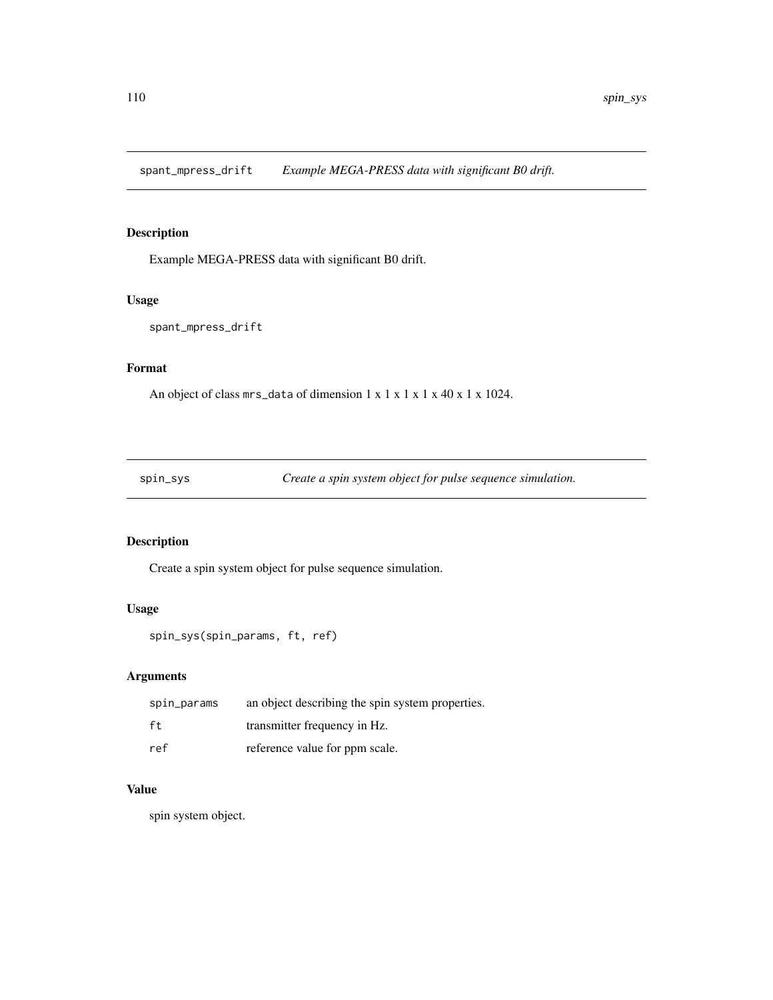<span id="page-109-0"></span>spant\_mpress\_drift *Example MEGA-PRESS data with significant B0 drift.*

### Description

Example MEGA-PRESS data with significant B0 drift.

### Usage

```
spant_mpress_drift
```
# Format

An object of class mrs\_data of dimension 1 x 1 x 1 x 1 x 40 x 1 x 1024.

spin\_sys *Create a spin system object for pulse sequence simulation.*

# Description

Create a spin system object for pulse sequence simulation.

#### Usage

```
spin_sys(spin_params, ft, ref)
```
# Arguments

| spin_params | an object describing the spin system properties. |
|-------------|--------------------------------------------------|
| ft          | transmitter frequency in Hz.                     |
| ref         | reference value for ppm scale.                   |

#### Value

spin system object.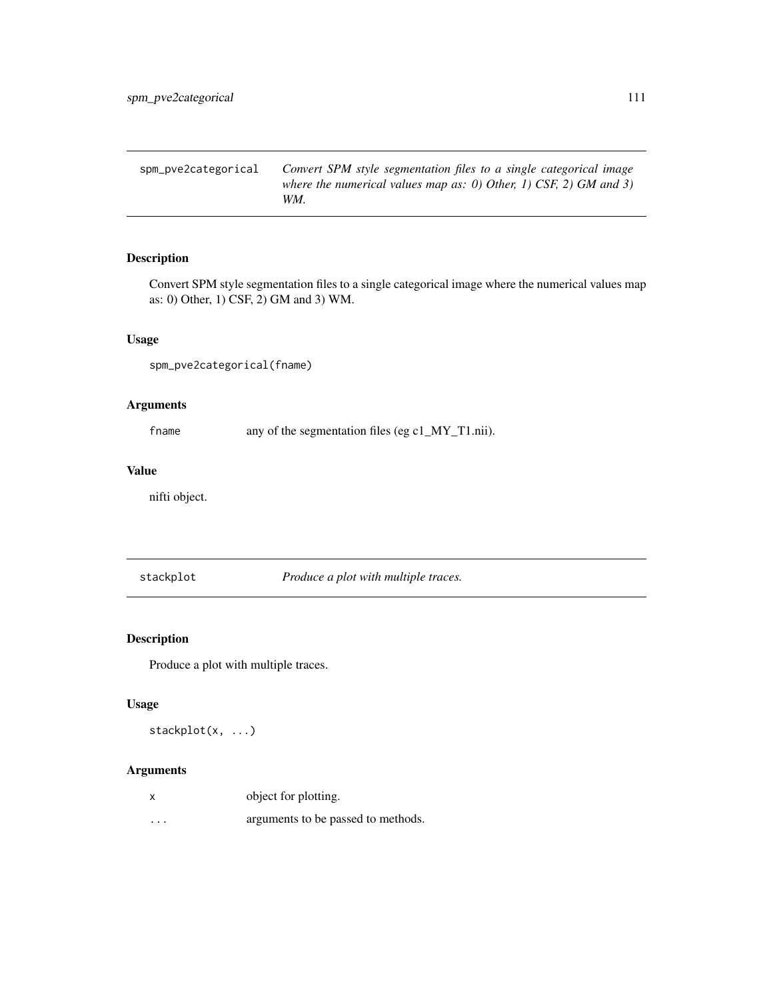<span id="page-110-0"></span>spm\_pve2categorical *Convert SPM style segmentation files to a single categorical image where the numerical values map as: 0) Other, 1) CSF, 2) GM and 3) WM.*

# Description

Convert SPM style segmentation files to a single categorical image where the numerical values map as: 0) Other, 1) CSF, 2) GM and 3) WM.

#### Usage

```
spm_pve2categorical(fname)
```
#### Arguments

fname any of the segmentation files (eg c1\_MY\_T1.nii).

#### Value

nifti object.

stackplot *Produce a plot with multiple traces.*

### Description

Produce a plot with multiple traces.

#### Usage

```
stackplot(x, ...)
```

| X        | object for plotting.               |
|----------|------------------------------------|
| $\cdots$ | arguments to be passed to methods. |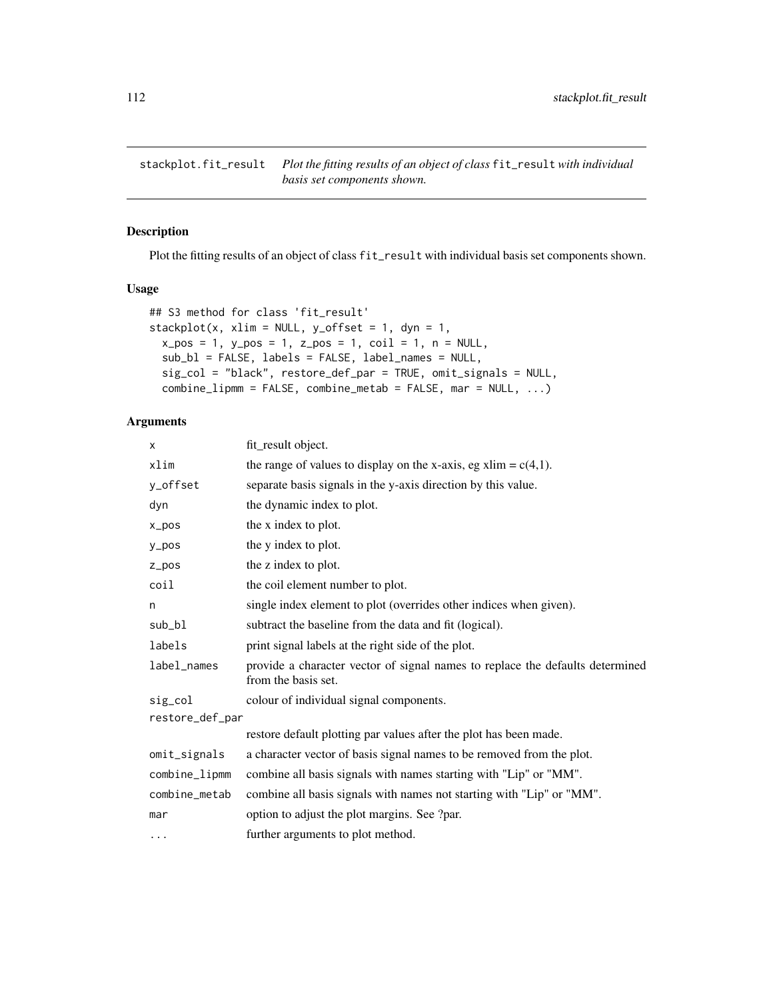<span id="page-111-0"></span>stackplot.fit\_result *Plot the fitting results of an object of class* fit\_result *with individual basis set components shown.*

#### Description

Plot the fitting results of an object of class fit\_result with individual basis set components shown.

#### Usage

```
## S3 method for class 'fit_result'
stackplot(x, xlim = NULL, y_offset = 1, dyn = 1,
 x_pos = 1, y_pos = 1, z_pos = 1, coil = 1, n = NULL,
  sub_bl = FALSE, labels = FALSE, label_names = NULL,
  sig_col = "black", restore_def_par = TRUE, omit_signals = NULL,
  combine_lipmm = FALSE, combine_metab = FALSE, mar = NULL, ...)
```

| X               | fit_result object.                                                                                   |
|-----------------|------------------------------------------------------------------------------------------------------|
| xlim            | the range of values to display on the x-axis, eg xlim = $c(4,1)$ .                                   |
| y_offset        | separate basis signals in the y-axis direction by this value.                                        |
| dyn             | the dynamic index to plot.                                                                           |
| $x_{pos}$       | the x index to plot.                                                                                 |
| $y_p$ os        | the y index to plot.                                                                                 |
| $Z_ppos$        | the z index to plot.                                                                                 |
| coil            | the coil element number to plot.                                                                     |
| n               | single index element to plot (overrides other indices when given).                                   |
| sub_bl          | subtract the baseline from the data and fit (logical).                                               |
| labels          | print signal labels at the right side of the plot.                                                   |
| label_names     | provide a character vector of signal names to replace the defaults determined<br>from the basis set. |
| sig_col         | colour of individual signal components.                                                              |
| restore_def_par |                                                                                                      |
|                 | restore default plotting par values after the plot has been made.                                    |
| omit_signals    | a character vector of basis signal names to be removed from the plot.                                |
| combine_lipmm   | combine all basis signals with names starting with "Lip" or "MM".                                    |
| combine_metab   | combine all basis signals with names not starting with "Lip" or "MM".                                |
| mar             | option to adjust the plot margins. See ?par.                                                         |
| $\cdots$        | further arguments to plot method.                                                                    |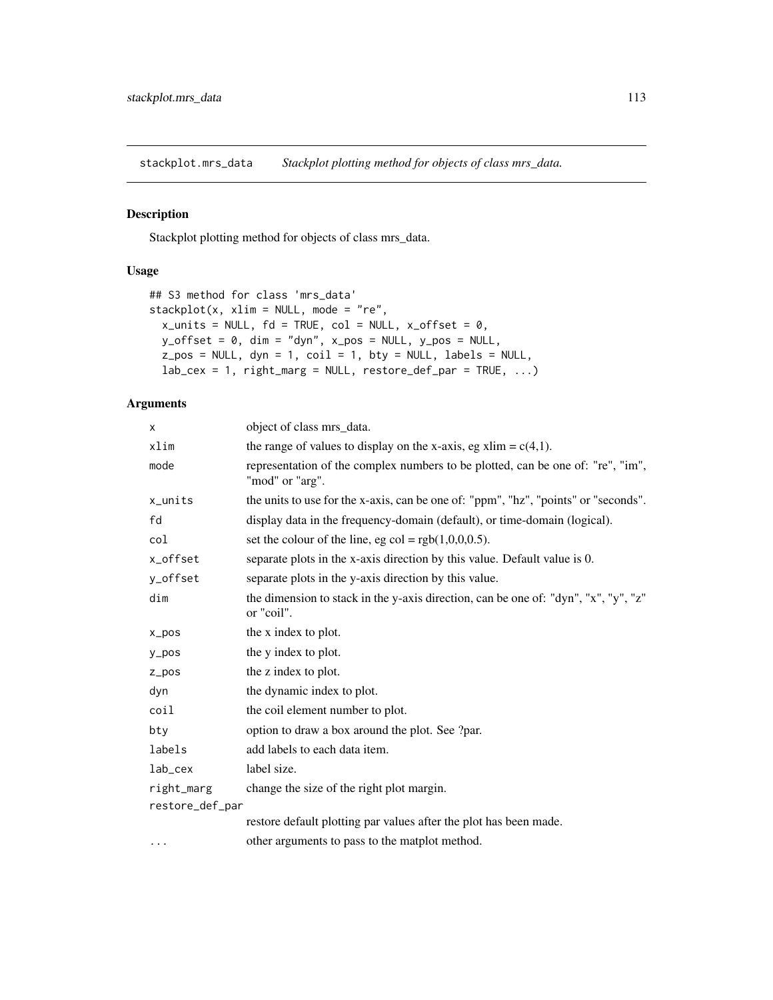<span id="page-112-0"></span>stackplot.mrs\_data *Stackplot plotting method for objects of class mrs\_data.*

### Description

Stackplot plotting method for objects of class mrs\_data.

#### Usage

```
## S3 method for class 'mrs_data'
stackplot(x, xlim = NULL, mode = "re",
 x\_units = NULL, fd = TRUE, col = NULL, x_offest = 0,y\_offset = 0, dim = "dyn", x\_pos = NULL, y\_pos = NULL,
  z_{pos} = NULL, dyn = 1, coil = 1, bty = NULL, labels = NULL,
  lab\_cex = 1, right\_marg = NULL, restore\_def\_par = TRUE, ...)
```

| X               | object of class mrs_data.                                                                          |
|-----------------|----------------------------------------------------------------------------------------------------|
| xlim            | the range of values to display on the x-axis, eg xlim = $c(4,1)$ .                                 |
| mode            | representation of the complex numbers to be plotted, can be one of: "re", "im",<br>"mod" or "arg". |
| $x_$ units      | the units to use for the x-axis, can be one of: "ppm", "hz", "points" or "seconds".                |
| fd              | display data in the frequency-domain (default), or time-domain (logical).                          |
| col             | set the colour of the line, eg col = $rgb(1,0,0,0.5)$ .                                            |
| x_offset        | separate plots in the x-axis direction by this value. Default value is 0.                          |
| y_offset        | separate plots in the y-axis direction by this value.                                              |
| dim             | the dimension to stack in the y-axis direction, can be one of: "dyn", "x", "y", "z"<br>or "coil".  |
| $x_{pos}$       | the x index to plot.                                                                               |
| $y_p$ os        | the y index to plot.                                                                               |
| $Z_ppos$        | the z index to plot.                                                                               |
| dyn             | the dynamic index to plot.                                                                         |
| coil            | the coil element number to plot.                                                                   |
| bty             | option to draw a box around the plot. See ?par.                                                    |
| labels          | add labels to each data item.                                                                      |
| lab_cex         | label size.                                                                                        |
| right_marg      | change the size of the right plot margin.                                                          |
| restore_def_par |                                                                                                    |
|                 | restore default plotting par values after the plot has been made.                                  |
| $\cdots$        | other arguments to pass to the matplot method.                                                     |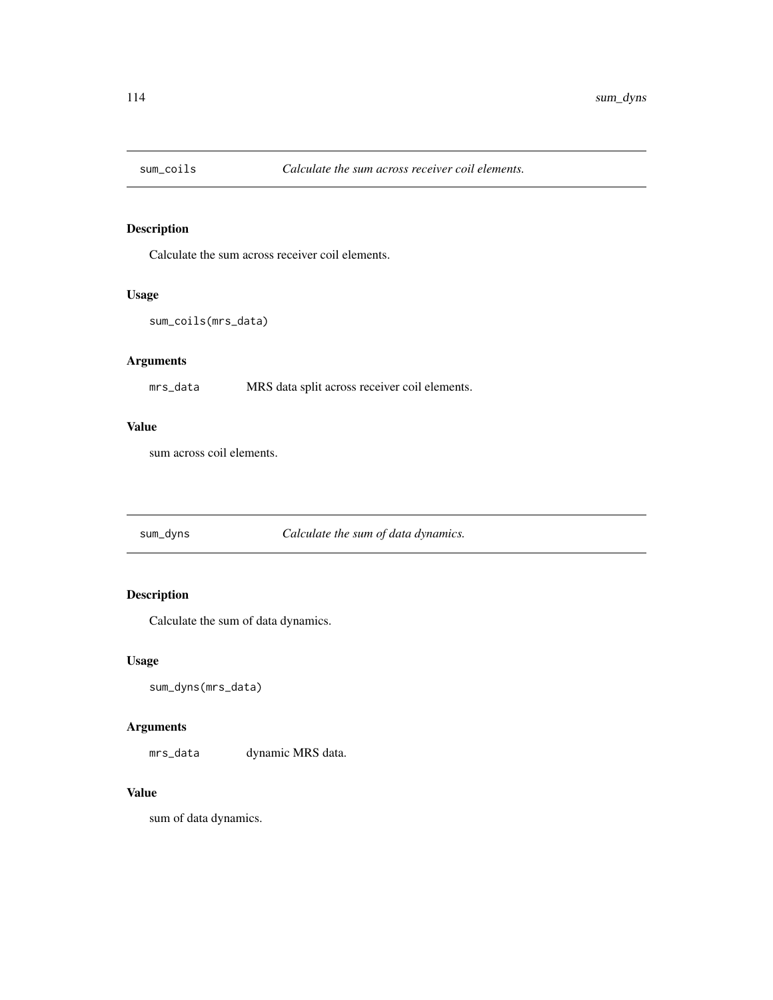<span id="page-113-0"></span>

Calculate the sum across receiver coil elements.

### Usage

```
sum_coils(mrs_data)
```
### Arguments

mrs\_data MRS data split across receiver coil elements.

#### Value

sum across coil elements.

# sum\_dyns *Calculate the sum of data dynamics.*

# Description

Calculate the sum of data dynamics.

#### Usage

```
sum_dyns(mrs_data)
```
### Arguments

mrs\_data dynamic MRS data.

## Value

sum of data dynamics.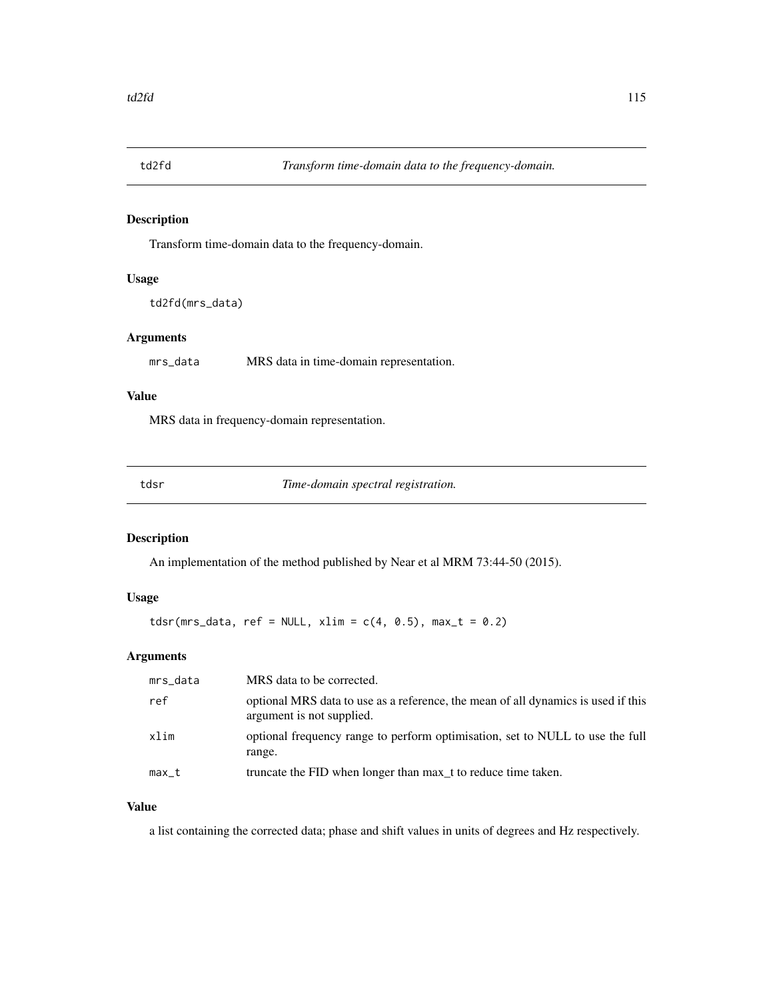<span id="page-114-0"></span>

Transform time-domain data to the frequency-domain.

#### Usage

```
td2fd(mrs_data)
```
# Arguments

mrs\_data MRS data in time-domain representation.

#### Value

MRS data in frequency-domain representation.

tdsr *Time-domain spectral registration.*

### Description

An implementation of the method published by Near et al MRM 73:44-50 (2015).

# Usage

 $tdsr(mrs\_data, ref = NULL, xlim = c(4, 0.5), max_t = 0.2)$ 

# Arguments

| mrs_data | MRS data to be corrected.                                                                                      |
|----------|----------------------------------------------------------------------------------------------------------------|
| ref      | optional MRS data to use as a reference, the mean of all dynamics is used if this<br>argument is not supplied. |
| xlim     | optional frequency range to perform optimisation, set to NULL to use the full<br>range.                        |
| max_t    | truncate the FID when longer than max t to reduce time taken.                                                  |

## Value

a list containing the corrected data; phase and shift values in units of degrees and Hz respectively.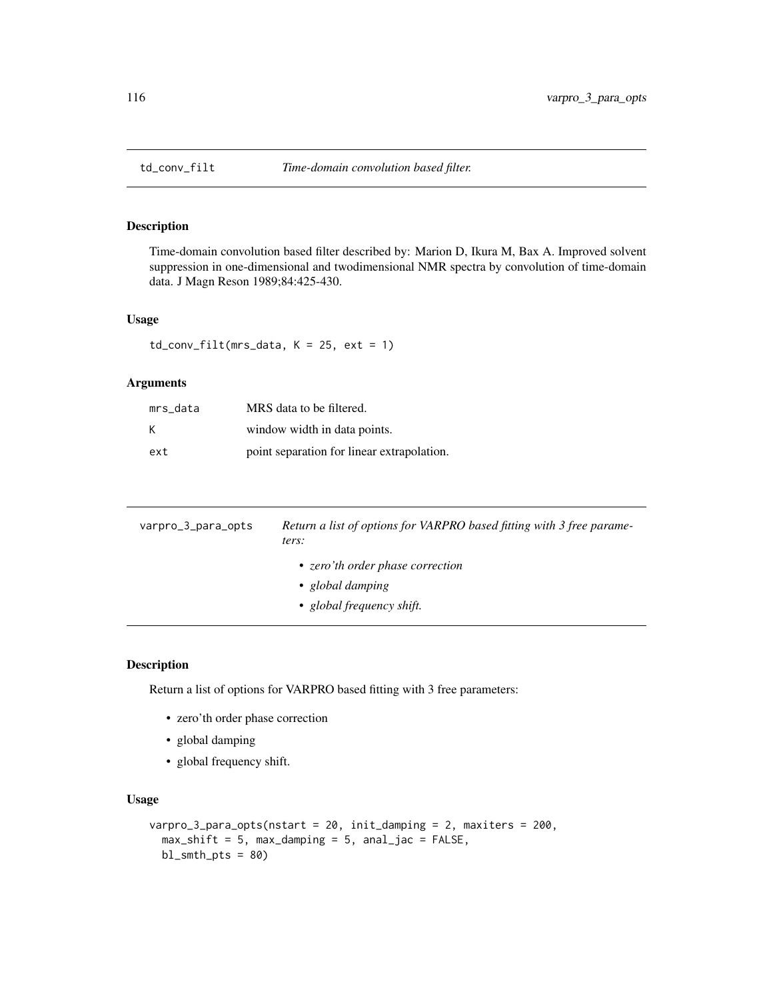<span id="page-115-0"></span>

Time-domain convolution based filter described by: Marion D, Ikura M, Bax A. Improved solvent suppression in one-dimensional and twodimensional NMR spectra by convolution of time-domain data. J Magn Reson 1989;84:425-430.

#### Usage

 $td_{conv_{i}} = 1$ td\_conv\_filt(mrs\_data, K = 25, ext = 1)

#### Arguments

| mrs data | MRS data to be filtered.                   |
|----------|--------------------------------------------|
| K        | window width in data points.               |
| ext      | point separation for linear extrapolation. |

| varpro_3_para_opts | Return a list of options for VARPRO based fitting with 3 free parame-<br>ters:    |
|--------------------|-----------------------------------------------------------------------------------|
|                    | • zero'th order phase correction<br>• global damping<br>• global frequency shift. |

### Description

Return a list of options for VARPRO based fitting with 3 free parameters:

- zero'th order phase correction
- global damping
- global frequency shift.

#### Usage

```
varpro_3_para_opts(nstart = 20, init_damping = 2, maxiters = 200,
  max\_shift = 5, max\_damping = 5, anal_jac = FALSE,
 bl\_smth\_pts = 80
```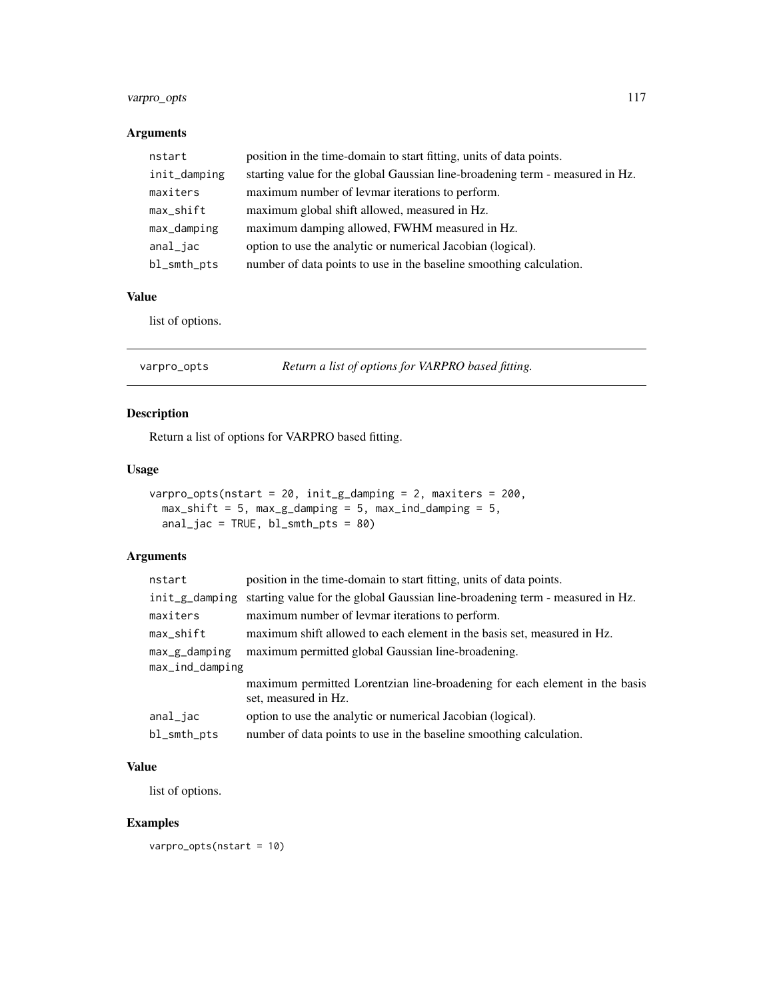### <span id="page-116-0"></span>varpro\_opts 117

# Arguments

| nstart       | position in the time-domain to start fitting, units of data points.           |
|--------------|-------------------------------------------------------------------------------|
| init_damping | starting value for the global Gaussian line-broadening term - measured in Hz. |
| maxiters     | maximum number of levmar iterations to perform.                               |
| max_shift    | maximum global shift allowed, measured in Hz.                                 |
| max_damping  | maximum damping allowed, FWHM measured in Hz.                                 |
| anal_jac     | option to use the analytic or numerical Jacobian (logical).                   |
| bl_smth_pts  | number of data points to use in the baseline smoothing calculation.           |

#### Value

list of options.

| varpro_opts | Return a list of options for VARPRO based fitting. |
|-------------|----------------------------------------------------|
|-------------|----------------------------------------------------|

# Description

Return a list of options for VARPRO based fitting.

#### Usage

```
varpro_opts(nstart = 20, init_g_damping = 2, maxiters = 200,
 max\_shift = 5, max\_g\_damping = 5, max\_ind\_damping = 5,
 anal_jac = TRUE, bl_smth_pts = 80)
```
# Arguments

| nstart          | position in the time-domain to start fitting, units of data points.                                |  |
|-----------------|----------------------------------------------------------------------------------------------------|--|
| init_g_damping  | starting value for the global Gaussian line-broadening term - measured in Hz.                      |  |
| maxiters        | maximum number of levmar iterations to perform.                                                    |  |
| max_shift       | maximum shift allowed to each element in the basis set, measured in Hz.                            |  |
| $max_g_d$       | maximum permitted global Gaussian line-broadening.                                                 |  |
| max_ind_damping |                                                                                                    |  |
|                 | maximum permitted Lorentzian line-broadening for each element in the basis<br>set, measured in Hz. |  |
| anal_jac        | option to use the analytic or numerical Jacobian (logical).                                        |  |
| bl_smth_pts     | number of data points to use in the baseline smoothing calculation.                                |  |

#### Value

list of options.

### Examples

varpro\_opts(nstart = 10)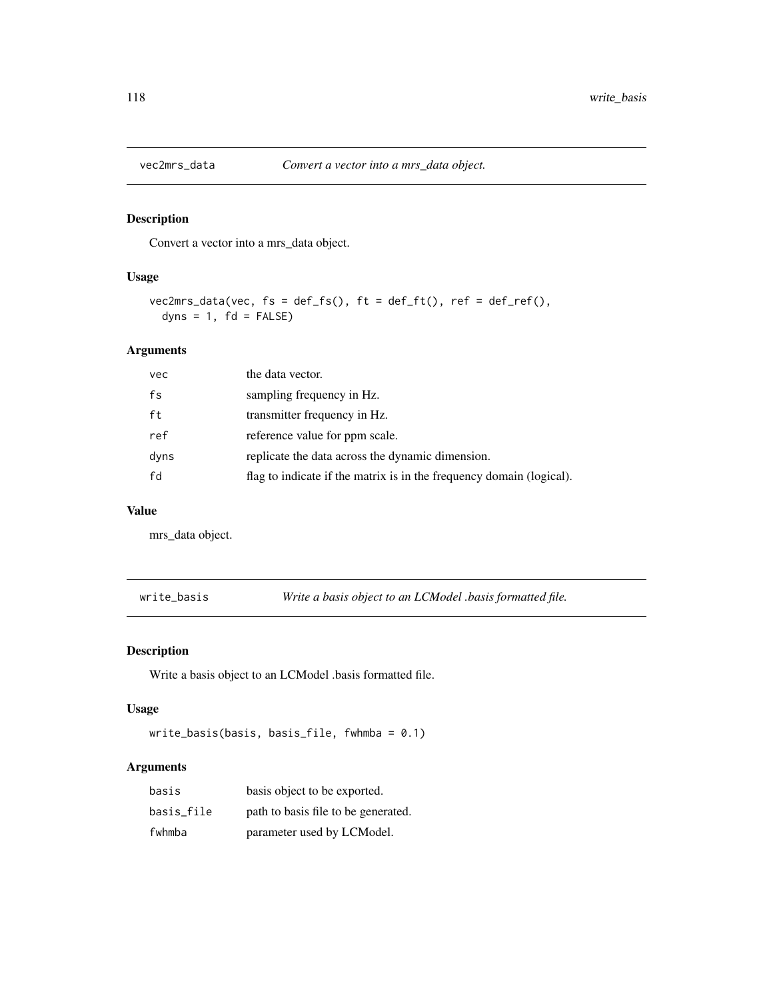<span id="page-117-0"></span>

Convert a vector into a mrs\_data object.

### Usage

```
vec2mrs_data(vec, fs = def_fs(), ft = def_ft(), ref = def_ref(),
  dyns = 1, fd = FALSE)
```
### Arguments

| vec  | the data vector.                                                     |
|------|----------------------------------------------------------------------|
| fs   | sampling frequency in Hz.                                            |
| ft   | transmitter frequency in Hz.                                         |
| ref  | reference value for ppm scale.                                       |
| dyns | replicate the data across the dynamic dimension.                     |
| fd   | flag to indicate if the matrix is in the frequency domain (logical). |

#### Value

mrs\_data object.

write\_basis *Write a basis object to an LCModel .basis formatted file.*

### Description

Write a basis object to an LCModel .basis formatted file.

#### Usage

```
write_basis(basis, basis_file, fwhmba = 0.1)
```

| basis      | basis object to be exported.        |
|------------|-------------------------------------|
| basis file | path to basis file to be generated. |
| fwhmba     | parameter used by LCModel.          |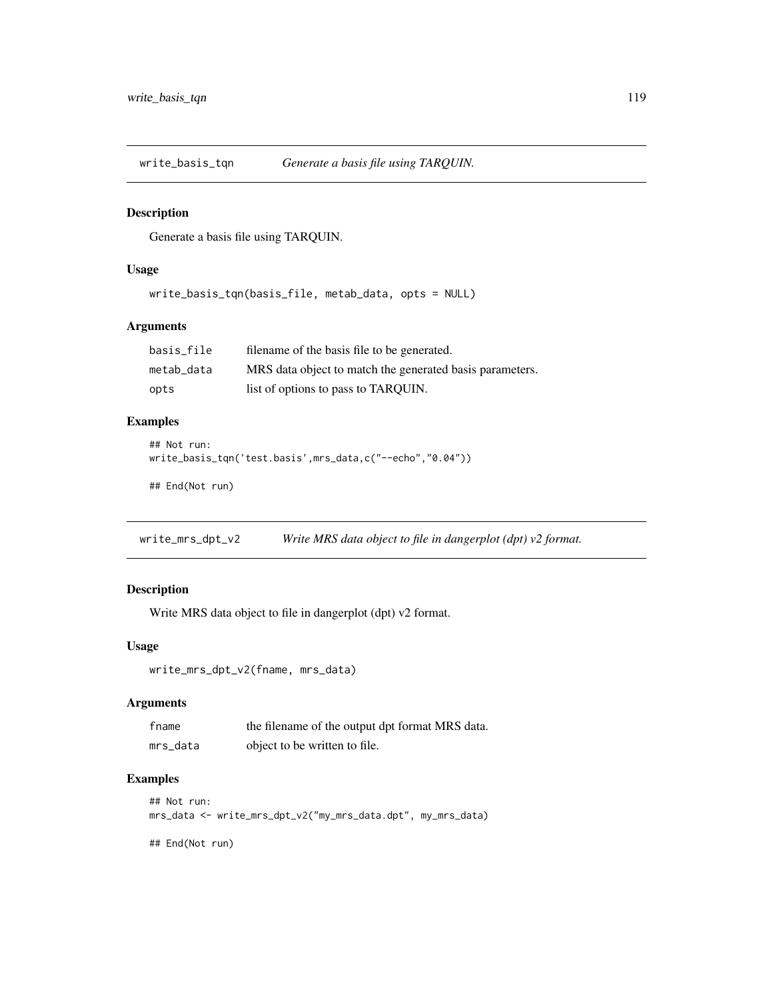<span id="page-118-0"></span>write\_basis\_tqn *Generate a basis file using TARQUIN.*

#### Description

Generate a basis file using TARQUIN.

#### Usage

write\_basis\_tqn(basis\_file, metab\_data, opts = NULL)

### Arguments

| basis file | filename of the basis file to be generated.              |
|------------|----------------------------------------------------------|
| metab data | MRS data object to match the generated basis parameters. |
| opts       | list of options to pass to TAROUIN.                      |

### Examples

```
## Not run:
write_basis_tqn('test.basis',mrs_data,c("--echo","0.04"))
```
## End(Not run)

write\_mrs\_dpt\_v2 *Write MRS data object to file in dangerplot (dpt) v2 format.*

# Description

Write MRS data object to file in dangerplot (dpt) v2 format.

# Usage

write\_mrs\_dpt\_v2(fname, mrs\_data)

#### Arguments

| fname    | the filename of the output dpt format MRS data. |
|----------|-------------------------------------------------|
| mrs_data | object to be written to file.                   |

# Examples

```
## Not run:
mrs_data <- write_mrs_dpt_v2("my_mrs_data.dpt", my_mrs_data)
## End(Not run)
```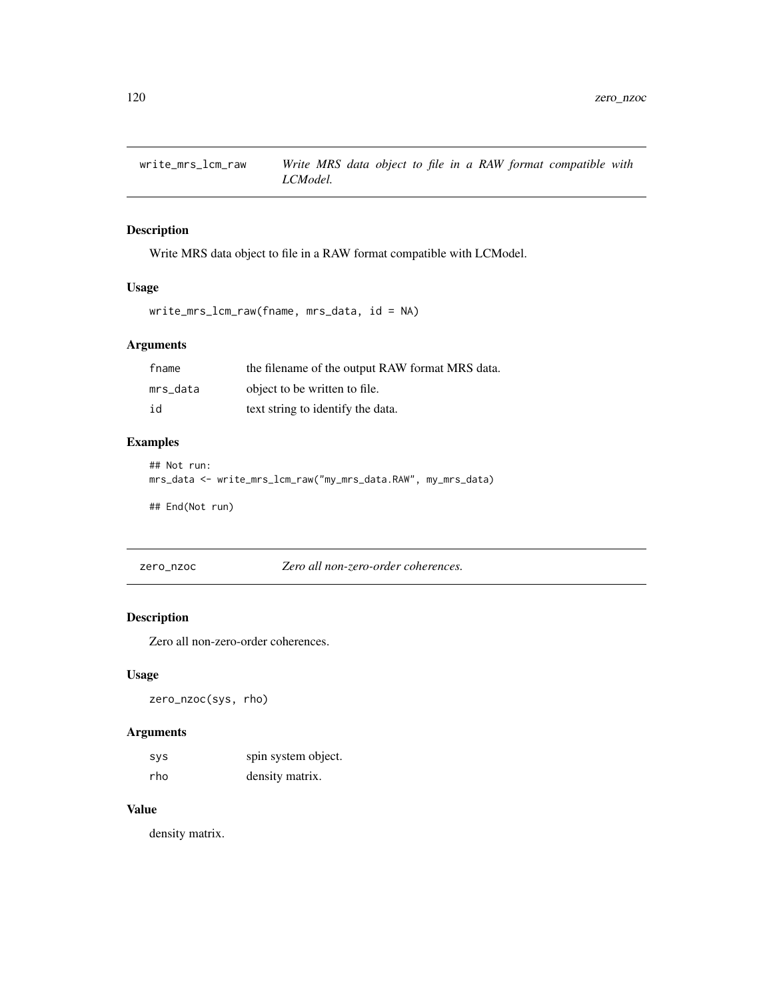<span id="page-119-0"></span>

Write MRS data object to file in a RAW format compatible with LCModel.

#### Usage

```
write_mrs_lcm_raw(fname, mrs_data, id = NA)
```
# Arguments

| fname    | the filename of the output RAW format MRS data. |
|----------|-------------------------------------------------|
| mrs data | object to be written to file.                   |
| id       | text string to identify the data.               |

### Examples

```
## Not run:
mrs_data <- write_mrs_lcm_raw("my_mrs_data.RAW", my_mrs_data)
```
## End(Not run)

zero\_nzoc *Zero all non-zero-order coherences.*

# Description

Zero all non-zero-order coherences.

#### Usage

zero\_nzoc(sys, rho)

# Arguments

| <b>SVS</b> | spin system object. |
|------------|---------------------|
| rho        | density matrix.     |

#### Value

density matrix.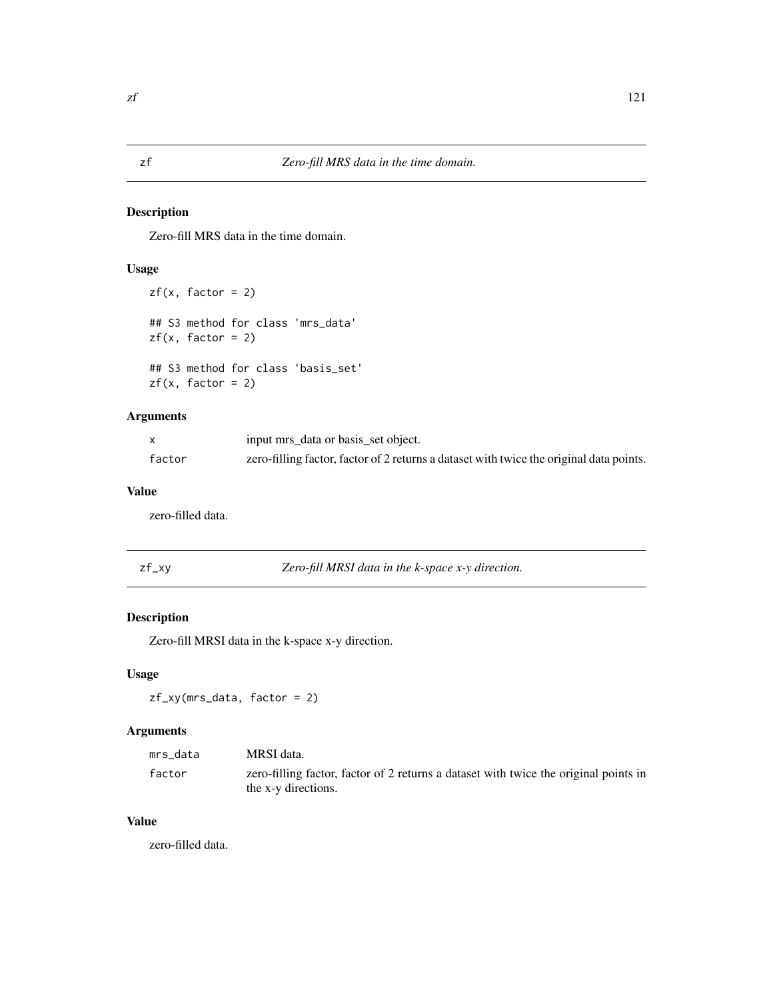<span id="page-120-0"></span>Zero-fill MRS data in the time domain.

# Usage

```
zf(x, factor = 2)## S3 method for class 'mrs_data'
zf(x, factor = 2)## S3 method for class 'basis_set'
zf(x, factor = 2)
```
### Arguments

|        | input mrs_data or basis_set object.                                                     |
|--------|-----------------------------------------------------------------------------------------|
| factor | zero-filling factor, factor of 2 returns a dataset with twice the original data points. |

# Value

zero-filled data.

| Zero-fill MRSI data in the k-space x-y direction.<br>zf_xy |  |
|------------------------------------------------------------|--|
|------------------------------------------------------------|--|

# Description

Zero-fill MRSI data in the k-space x-y direction.

#### Usage

zf\_xy(mrs\_data, factor = 2)

# Arguments

| mrs data | MRSI data.                                                                           |
|----------|--------------------------------------------------------------------------------------|
| factor   | zero-filling factor, factor of 2 returns a dataset with twice the original points in |
|          | the x-y directions.                                                                  |

# Value

zero-filled data.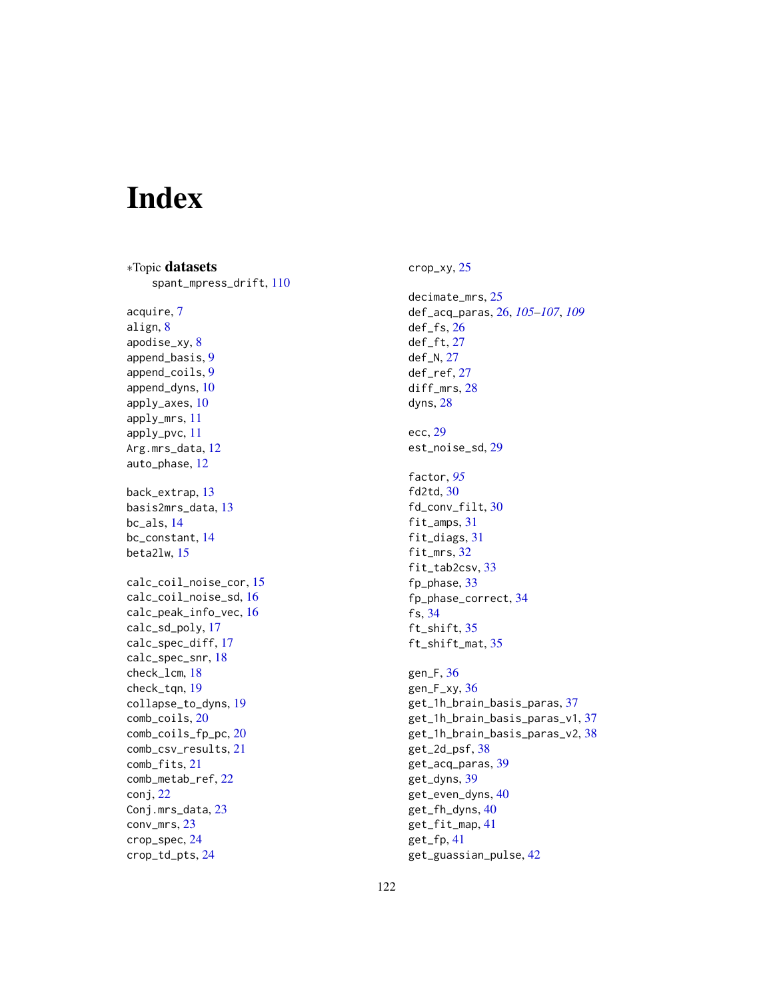# Index

∗Topic datasets spant\_mpress\_drift, [110](#page-109-0) acquire, [7](#page-6-0) align, [8](#page-7-0) apodise\_xy, [8](#page-7-0) append\_basis, [9](#page-8-0) append\_coils, [9](#page-8-0) append\_dyns, [10](#page-9-0) apply\_axes, [10](#page-9-0) apply\_mrs, [11](#page-10-0) apply\_pvc, [11](#page-10-0) Arg.mrs\_data, [12](#page-11-0) auto\_phase, [12](#page-11-0) back\_extrap, [13](#page-12-0) basis2mrs\_data, [13](#page-12-0) bc\_als, [14](#page-13-0) bc\_constant, [14](#page-13-0) beta2lw, [15](#page-14-0) calc\_coil\_noise\_cor, [15](#page-14-0) calc\_coil\_noise\_sd, [16](#page-15-0) calc\_peak\_info\_vec, [16](#page-15-0) calc\_sd\_poly, [17](#page-16-0) calc\_spec\_diff, [17](#page-16-0) calc\_spec\_snr, [18](#page-17-0) check\_lcm, [18](#page-17-0) check\_tqn, [19](#page-18-0) collapse\_to\_dyns, [19](#page-18-0) comb\_coils, [20](#page-19-0) comb\_coils\_fp\_pc, [20](#page-19-0) comb\_csv\_results, [21](#page-20-0) comb\_fits, [21](#page-20-0) comb\_metab\_ref, [22](#page-21-0) conj, [22](#page-21-0) Conj.mrs\_data, [23](#page-22-0) conv\_mrs, [23](#page-22-0) crop\_spec, [24](#page-23-0) crop\_td\_pts, [24](#page-23-0)

crop\_xy, [25](#page-24-0)

decimate\_mrs, [25](#page-24-0) def\_acq\_paras, [26,](#page-25-1) *[105](#page-104-0)[–107](#page-106-0)*, *[109](#page-108-0)* def\_fs, [26](#page-25-1) def\_ft, [27](#page-26-0) def\_N, [27](#page-26-0) def\_ref, [27](#page-26-0) diff\_mrs, [28](#page-27-0) dyns, [28](#page-27-0) ecc, [29](#page-28-0) est\_noise\_sd, [29](#page-28-0) factor, *[95](#page-94-0)* fd2td, [30](#page-29-0) fd\_conv\_filt, [30](#page-29-0) fit\_amps, [31](#page-30-0) fit\_diags, [31](#page-30-0) fit\_mrs, [32](#page-31-0) fit\_tab2csv, [33](#page-32-0) fp\_phase, [33](#page-32-0) fp\_phase\_correct, [34](#page-33-0) fs, [34](#page-33-0) ft\_shift, [35](#page-34-0) ft\_shift\_mat, [35](#page-34-0) gen\_F, [36](#page-35-0) gen\_ $F$ \_xy, [36](#page-35-0) get\_1h\_brain\_basis\_paras, [37](#page-36-0) get\_1h\_brain\_basis\_paras\_v1, [37](#page-36-0) get\_1h\_brain\_basis\_paras\_v2, [38](#page-37-0) get\_2d\_psf, [38](#page-37-0) get\_acq\_paras, [39](#page-38-0) get\_dyns, [39](#page-38-0) get\_even\_dyns, [40](#page-39-0) get\_fh\_dyns, [40](#page-39-0) get\_fit\_map, [41](#page-40-0) get\_fp, [41](#page-40-0) get\_guassian\_pulse, [42](#page-41-0)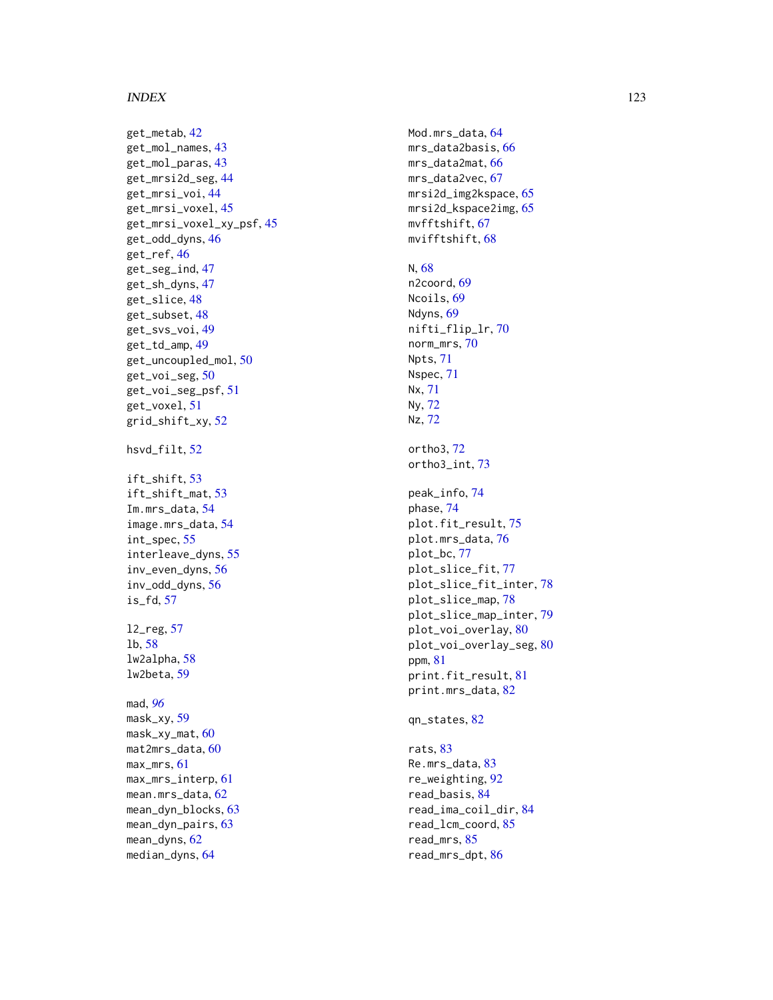#### INDEX 123

get\_metab , [42](#page-41-0) get\_mol\_names , [43](#page-42-0) get\_mol\_paras , [43](#page-42-0) get\_mrsi2d\_seg , [44](#page-43-0) get\_mrsi\_voi , [44](#page-43-0) get\_mrsi\_voxel , [45](#page-44-0) get\_mrsi\_voxel\_xy\_psf , [45](#page-44-0) get\_odd\_dyns , [46](#page-45-0) get\_ref , [46](#page-45-0) get\_seg\_ind , [47](#page-46-0) get\_sh\_dyns , [47](#page-46-0) get\_slice , [48](#page-47-0) get\_subset , [48](#page-47-0) get\_svs\_voi , [49](#page-48-0) get\_td\_amp , [49](#page-48-0) get\_uncoupled\_mol , [50](#page-49-0) get\_voi\_seg , [50](#page-49-0) get\_voi\_seg\_psf , [51](#page-50-0) get\_voxel , [51](#page-50-0) grid\_shift\_xy , [52](#page-51-0) hsvd\_filt , [52](#page-51-0) ift\_shift , [53](#page-52-0) ift\_shift\_mat , [53](#page-52-0) Im.mrs\_data, [54](#page-53-0) image.mrs\_data , [54](#page-53-0) int\_spec , [55](#page-54-0) interleave\_dyns , [55](#page-54-0) inv\_even\_dyns , [56](#page-55-0) inv\_odd\_dyns , [56](#page-55-0) is\_fd , [57](#page-56-0) l2\_reg , [57](#page-56-0) lb , [58](#page-57-0) lw2alpha , [58](#page-57-0) lw2beta , [59](#page-58-0) mad , *[96](#page-95-0)* mask\_xy, <mark>5</mark>9 mask\_xy\_mat , [60](#page-59-0) mat2mrs\_data, <mark>6</mark>0 max\_mrs , [61](#page-60-0) max\_mrs\_interp , [61](#page-60-0) mean.mrs\_data,[62](#page-61-0) mean\_dyn\_blocks, [63](#page-62-0) mean\_dyn\_pairs , [63](#page-62-0) mean\_dyns , [62](#page-61-0)

median\_dyns , [64](#page-63-0)

Mod.mrs\_data, [64](#page-63-0) mrs\_data2basis,[66](#page-65-0) mrs\_data2mat, <mark>[66](#page-65-0)</mark> mrs\_data2vec, [67](#page-66-0) mrsi2d\_img2kspace, [65](#page-64-0) mrsi2d\_kspace2img, [65](#page-64-0) mvfftshift , [67](#page-66-0) mvifftshift , [68](#page-67-0) N , [68](#page-67-0) n2coord, <mark>[69](#page-68-0)</mark> Ncoils, [69](#page-68-0) Ndyns, [69](#page-68-0) nifti\_flip\_lr , [70](#page-69-0) norm\_mrs , [70](#page-69-0) Npts , [71](#page-70-0) Nspec , [71](#page-70-0) Nx , [71](#page-70-0) Ny , [72](#page-71-0) Nz , [72](#page-71-0) ortho3 , [72](#page-71-0) ortho3\_int , [73](#page-72-0) peak\_info , [74](#page-73-0) phase , [74](#page-73-0) plot.fit\_result , [75](#page-74-0) plot.mrs\_data , [76](#page-75-0) plot\_bc , [77](#page-76-0) plot\_slice\_fit , [77](#page-76-0) plot\_slice\_fit\_inter , [78](#page-77-0) plot\_slice\_map , [78](#page-77-0) plot\_slice\_map\_inter , [79](#page-78-0) plot\_voi\_overlay , [80](#page-79-0) plot\_voi\_overlay\_seg, [80](#page-79-0) ppm , [81](#page-80-0) print.fit\_result , [81](#page-80-0) print.mrs\_data , [82](#page-81-0) qn\_states , [82](#page-81-0) rats, [83](#page-82-0)

Re.mrs\_data, [83](#page-82-0) re\_weighting , [92](#page-91-0) read\_basis , [84](#page-83-0) read\_ima\_coil\_dir , [84](#page-83-0) read\_lcm\_coord , [85](#page-84-0) read\_mrs , [85](#page-84-0) read\_mrs\_dpt , [86](#page-85-0)